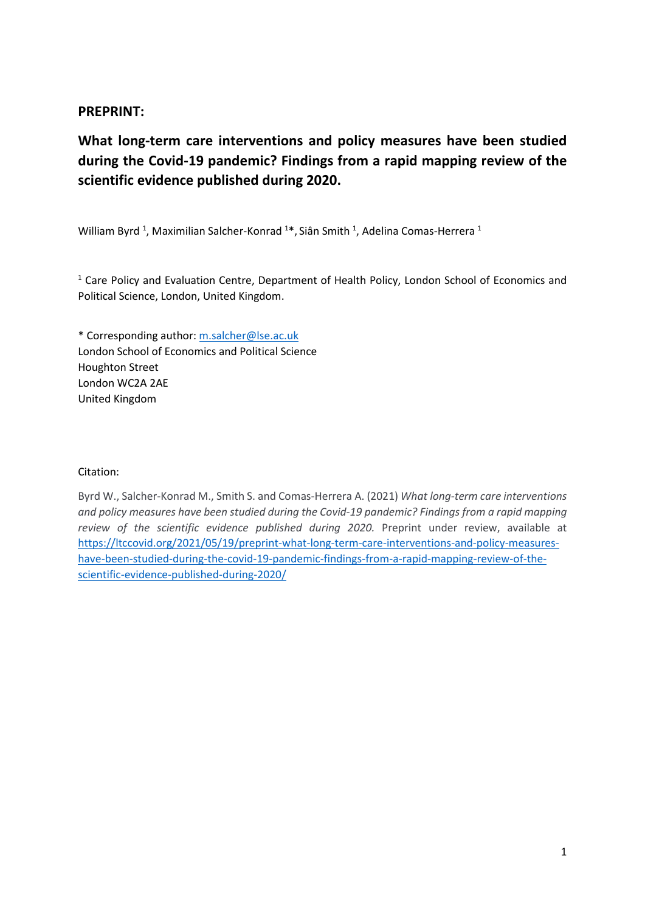## **PREPRINT:**

**What long-term care interventions and policy measures have been studied during the Covid-19 pandemic? Findings from a rapid mapping review of the scientific evidence published during 2020.**

William Byrd<sup>1</sup>, Maximilian Salcher-Konrad <sup>1</sup>\*, Siân Smith <sup>1</sup>, Adelina Comas-Herrera <sup>1</sup>

<sup>1</sup> Care Policy and Evaluation Centre, Department of Health Policy, London School of Economics and Political Science, London, United Kingdom.

\* Corresponding author: [m.salcher@lse.ac.uk](mailto:m.salcher@lse.ac.uk) London School of Economics and Political Science Houghton Street London WC2A 2AE United Kingdom

### Citation:

Byrd W., Salcher-Konrad M., Smith S. and Comas-Herrera A. (2021) *What long-term care interventions and policy measures have been studied during the Covid-19 pandemic? Findings from a rapid mapping review of the scientific evidence published during 2020.* Preprint under review, available at [https://ltccovid.org/2021/05/19/preprint-what-long-term-care-interventions-and-policy-measures](https://ltccovid.org/2021/05/19/preprint-what-long-term-care-interventions-and-policy-measures-have-been-studied-during-the-covid-19-pandemic-findings-from-a-rapid-mapping-review-of-the-scientific-evidence-published-during-2020/)[have-been-studied-during-the-covid-19-pandemic-findings-from-a-rapid-mapping-review-of-the](https://ltccovid.org/2021/05/19/preprint-what-long-term-care-interventions-and-policy-measures-have-been-studied-during-the-covid-19-pandemic-findings-from-a-rapid-mapping-review-of-the-scientific-evidence-published-during-2020/)[scientific-evidence-published-during-2020/](https://ltccovid.org/2021/05/19/preprint-what-long-term-care-interventions-and-policy-measures-have-been-studied-during-the-covid-19-pandemic-findings-from-a-rapid-mapping-review-of-the-scientific-evidence-published-during-2020/)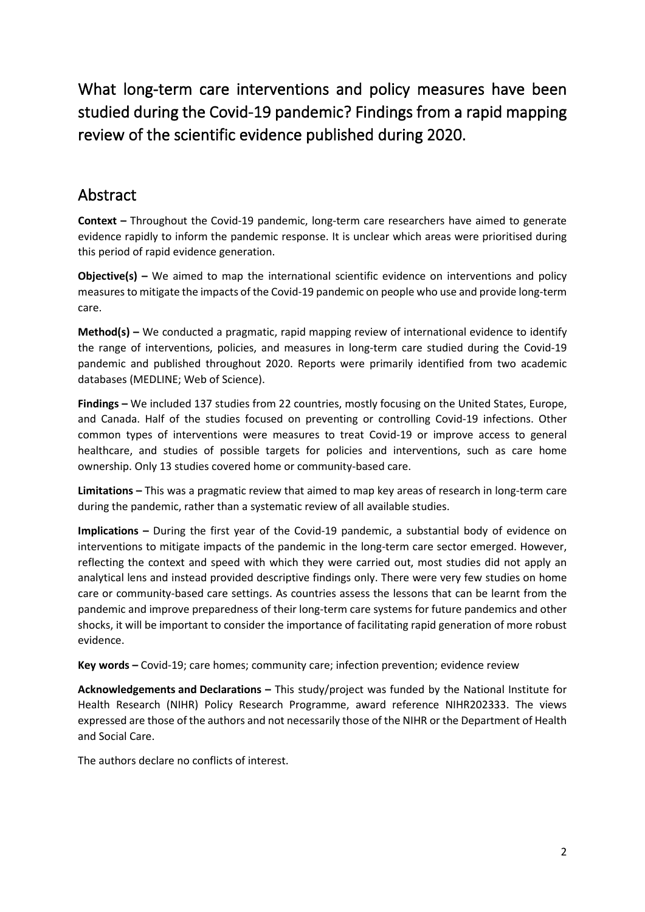What long-term care interventions and policy measures have been studied during the Covid-19 pandemic? Findings from a rapid mapping review of the scientific evidence published during 2020.

## Abstract

**Context –** Throughout the Covid-19 pandemic, long-term care researchers have aimed to generate evidence rapidly to inform the pandemic response. It is unclear which areas were prioritised during this period of rapid evidence generation.

**Objective(s)** – We aimed to map the international scientific evidence on interventions and policy measures to mitigate the impacts of the Covid-19 pandemic on people who use and provide long-term care.

**Method(s) –** We conducted a pragmatic, rapid mapping review of international evidence to identify the range of interventions, policies, and measures in long-term care studied during the Covid-19 pandemic and published throughout 2020. Reports were primarily identified from two academic databases (MEDLINE; Web of Science).

**Findings –** We included 137 studies from 22 countries, mostly focusing on the United States, Europe, and Canada. Half of the studies focused on preventing or controlling Covid-19 infections. Other common types of interventions were measures to treat Covid-19 or improve access to general healthcare, and studies of possible targets for policies and interventions, such as care home ownership. Only 13 studies covered home or community-based care.

**Limitations –** This was a pragmatic review that aimed to map key areas of research in long-term care during the pandemic, rather than a systematic review of all available studies.

**Implications –** During the first year of the Covid-19 pandemic, a substantial body of evidence on interventions to mitigate impacts of the pandemic in the long-term care sector emerged. However, reflecting the context and speed with which they were carried out, most studies did not apply an analytical lens and instead provided descriptive findings only. There were very few studies on home care or community-based care settings. As countries assess the lessons that can be learnt from the pandemic and improve preparedness of their long-term care systems for future pandemics and other shocks, it will be important to consider the importance of facilitating rapid generation of more robust evidence.

**Key words –** Covid-19; care homes; community care; infection prevention; evidence review

**Acknowledgements and Declarations –** This study/project was funded by the National Institute for Health Research (NIHR) Policy Research Programme, award reference NIHR202333. The views expressed are those of the authors and not necessarily those of the NIHR or the Department of Health and Social Care.

The authors declare no conflicts of interest.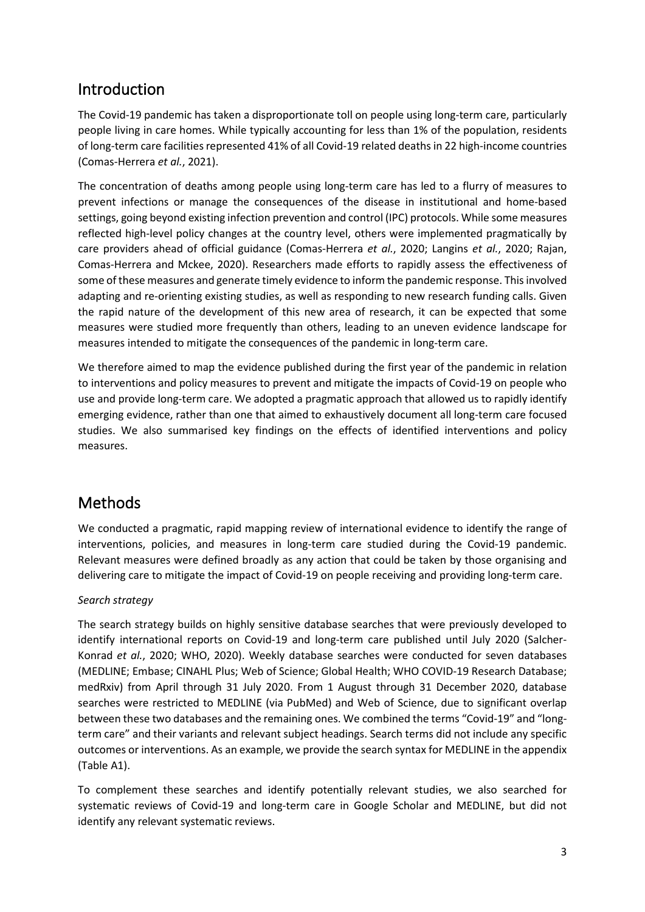## Introduction

The Covid-19 pandemic has taken a disproportionate toll on people using long-term care, particularly people living in care homes. While typically accounting for less than 1% of the population, residents of long-term care facilities represented 41% of all Covid-19 related deaths in 22 high-income countries (Comas-Herrera *et al.*, 2021).

The concentration of deaths among people using long-term care has led to a flurry of measures to prevent infections or manage the consequences of the disease in institutional and home-based settings, going beyond existing infection prevention and control (IPC) protocols. While some measures reflected high-level policy changes at the country level, others were implemented pragmatically by care providers ahead of official guidance (Comas-Herrera *et al.*, 2020; Langins *et al.*, 2020; Rajan, Comas-Herrera and Mckee, 2020). Researchers made efforts to rapidly assess the effectiveness of some of these measures and generate timely evidence to inform the pandemic response. This involved adapting and re-orienting existing studies, as well as responding to new research funding calls. Given the rapid nature of the development of this new area of research, it can be expected that some measures were studied more frequently than others, leading to an uneven evidence landscape for measures intended to mitigate the consequences of the pandemic in long-term care.

We therefore aimed to map the evidence published during the first year of the pandemic in relation to interventions and policy measures to prevent and mitigate the impacts of Covid-19 on people who use and provide long-term care. We adopted a pragmatic approach that allowed us to rapidly identify emerging evidence, rather than one that aimed to exhaustively document all long-term care focused studies. We also summarised key findings on the effects of identified interventions and policy measures.

## Methods

We conducted a pragmatic, rapid mapping review of international evidence to identify the range of interventions, policies, and measures in long-term care studied during the Covid-19 pandemic. Relevant measures were defined broadly as any action that could be taken by those organising and delivering care to mitigate the impact of Covid-19 on people receiving and providing long-term care.

## *Search strategy*

The search strategy builds on highly sensitive database searches that were previously developed to identify international reports on Covid-19 and long-term care published until July 2020 (Salcher-Konrad *et al.*, 2020; WHO, 2020). Weekly database searches were conducted for seven databases (MEDLINE; Embase; CINAHL Plus; Web of Science; Global Health; WHO COVID-19 Research Database; medRxiv) from April through 31 July 2020. From 1 August through 31 December 2020, database searches were restricted to MEDLINE (via PubMed) and Web of Science, due to significant overlap between these two databases and the remaining ones. We combined the terms "Covid-19" and "longterm care" and their variants and relevant subject headings. Search terms did not include any specific outcomes or interventions. As an example, we provide the search syntax for MEDLINE in the appendix (Table A1).

To complement these searches and identify potentially relevant studies, we also searched for systematic reviews of Covid-19 and long-term care in Google Scholar and MEDLINE, but did not identify any relevant systematic reviews.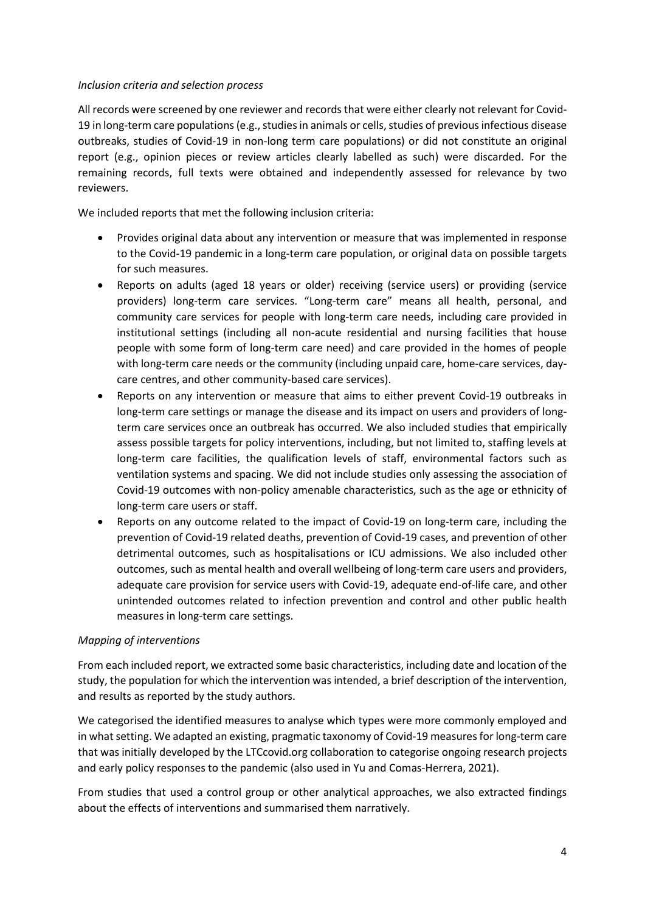#### *Inclusion criteria and selection process*

All records were screened by one reviewer and records that were either clearly not relevant for Covid-19 in long-term care populations (e.g., studies in animals or cells, studies of previous infectious disease outbreaks, studies of Covid-19 in non-long term care populations) or did not constitute an original report (e.g., opinion pieces or review articles clearly labelled as such) were discarded. For the remaining records, full texts were obtained and independently assessed for relevance by two reviewers.

We included reports that met the following inclusion criteria:

- Provides original data about any intervention or measure that was implemented in response to the Covid-19 pandemic in a long-term care population, or original data on possible targets for such measures.
- Reports on adults (aged 18 years or older) receiving (service users) or providing (service providers) long-term care services. "Long-term care" means all health, personal, and community care services for people with long-term care needs, including care provided in institutional settings (including all non-acute residential and nursing facilities that house people with some form of long-term care need) and care provided in the homes of people with long-term care needs or the community (including unpaid care, home-care services, daycare centres, and other community-based care services).
- Reports on any intervention or measure that aims to either prevent Covid-19 outbreaks in long-term care settings or manage the disease and its impact on users and providers of longterm care services once an outbreak has occurred. We also included studies that empirically assess possible targets for policy interventions, including, but not limited to, staffing levels at long-term care facilities, the qualification levels of staff, environmental factors such as ventilation systems and spacing. We did not include studies only assessing the association of Covid-19 outcomes with non-policy amenable characteristics, such as the age or ethnicity of long-term care users or staff.
- Reports on any outcome related to the impact of Covid-19 on long-term care, including the prevention of Covid-19 related deaths, prevention of Covid-19 cases, and prevention of other detrimental outcomes, such as hospitalisations or ICU admissions. We also included other outcomes, such as mental health and overall wellbeing of long-term care users and providers, adequate care provision for service users with Covid-19, adequate end-of-life care, and other unintended outcomes related to infection prevention and control and other public health measures in long-term care settings.

#### *Mapping of interventions*

From each included report, we extracted some basic characteristics, including date and location of the study, the population for which the intervention was intended, a brief description of the intervention, and results as reported by the study authors.

We categorised the identified measures to analyse which types were more commonly employed and in what setting. We adapted an existing, pragmatic taxonomy of Covid-19 measures for long-term care that was initially developed by the LTCcovid.org collaboration to categorise ongoing research projects and early policy responses to the pandemic (also used in Yu and Comas-Herrera, 2021).

From studies that used a control group or other analytical approaches, we also extracted findings about the effects of interventions and summarised them narratively.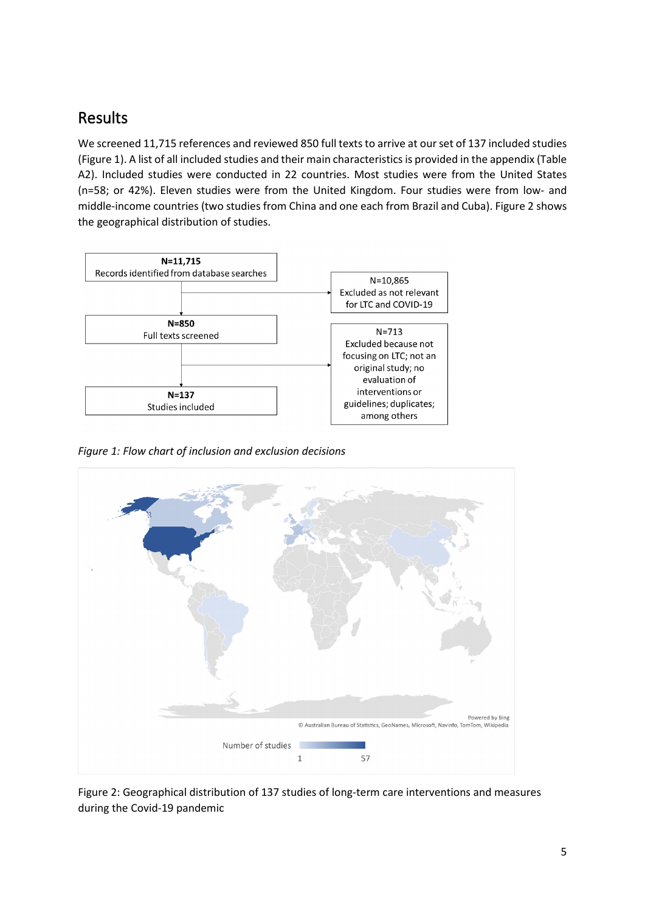# Results

We screened 11,715 references and reviewed 850 full texts to arrive at our set of 137 included studies (Figure 1). A list of all included studies and their main characteristics is provided in the appendix (Table A2). Included studies were conducted in 22 countries. Most studies were from the United States (n=58; or 42%). Eleven studies were from the United Kingdom. Four studies were from low- and middle-income countries (two studies from China and one each from Brazil and Cuba). Figure 2 shows the geographical distribution of studies.



*Figure 1: Flow chart of inclusion and exclusion decisions*



Figure 2: Geographical distribution of 137 studies of long-term care interventions and measures during the Covid-19 pandemic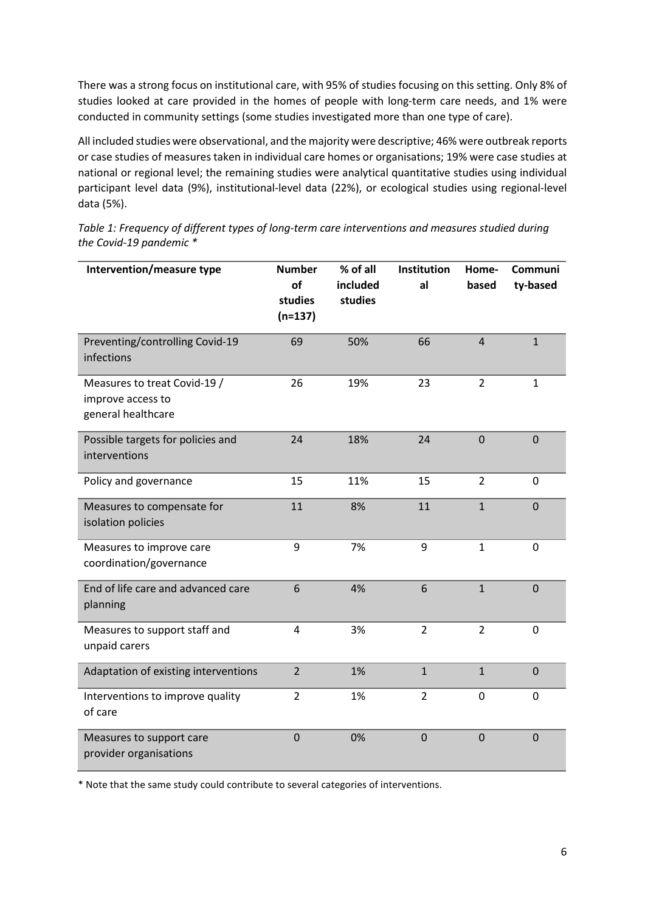There was a strong focus on institutional care, with 95% of studies focusing on this setting. Only 8% of studies looked at care provided in the homes of people with long-term care needs, and 1% were conducted in community settings (some studies investigated more than one type of care).

All included studies were observational, and the majority were descriptive; 46% were outbreak reports or case studies of measures taken in individual care homes or organisations; 19% were case studies at national or regional level; the remaining studies were analytical quantitative studies using individual participant level data (9%), institutional-level data (22%), or ecological studies using regional-level data (5%).

| Intervention/measure type                                               | <b>Number</b><br>of<br>studies<br>$(n=137)$ | % of all<br>included<br>studies | <b>Institution</b><br>al | Home-<br>based | <b>Communi</b><br>ty-based |
|-------------------------------------------------------------------------|---------------------------------------------|---------------------------------|--------------------------|----------------|----------------------------|
| Preventing/controlling Covid-19<br>infections                           | 69                                          | 50%                             | 66                       | $\overline{4}$ | $\mathbf{1}$               |
| Measures to treat Covid-19 /<br>improve access to<br>general healthcare | 26                                          | 19%                             | 23                       | $\overline{2}$ | $\mathbf{1}$               |
| Possible targets for policies and<br>interventions                      | 24                                          | 18%                             | 24                       | $\overline{0}$ | $\overline{0}$             |
| Policy and governance                                                   | 15                                          | 11%                             | 15                       | $\overline{2}$ | 0                          |
| Measures to compensate for<br>isolation policies                        | 11                                          | 8%                              | 11                       | $\mathbf{1}$   | $\mathbf 0$                |
| Measures to improve care<br>coordination/governance                     | 9                                           | 7%                              | 9                        | $\mathbf{1}$   | 0                          |
| End of life care and advanced care<br>planning                          | 6                                           | 4%                              | 6                        | $\mathbf{1}$   | $\mathbf 0$                |
| Measures to support staff and<br>unpaid carers                          | 4                                           | 3%                              | $\overline{2}$           | $\overline{2}$ | 0                          |
| Adaptation of existing interventions                                    | $\overline{2}$                              | 1%                              | $\mathbf{1}$             | $\mathbf{1}$   | $\mathbf 0$                |
| Interventions to improve quality<br>of care                             | $\overline{2}$                              | 1%                              | $\overline{2}$           | 0              | 0                          |
| Measures to support care<br>provider organisations                      | $\overline{0}$                              | 0%                              | $\mathbf 0$              | $\mathbf 0$    | $\mathbf 0$                |

*Table 1: Frequency of different types of long-term care interventions and measures studied during the Covid-19 pandemic \**

\* Note that the same study could contribute to several categories of interventions.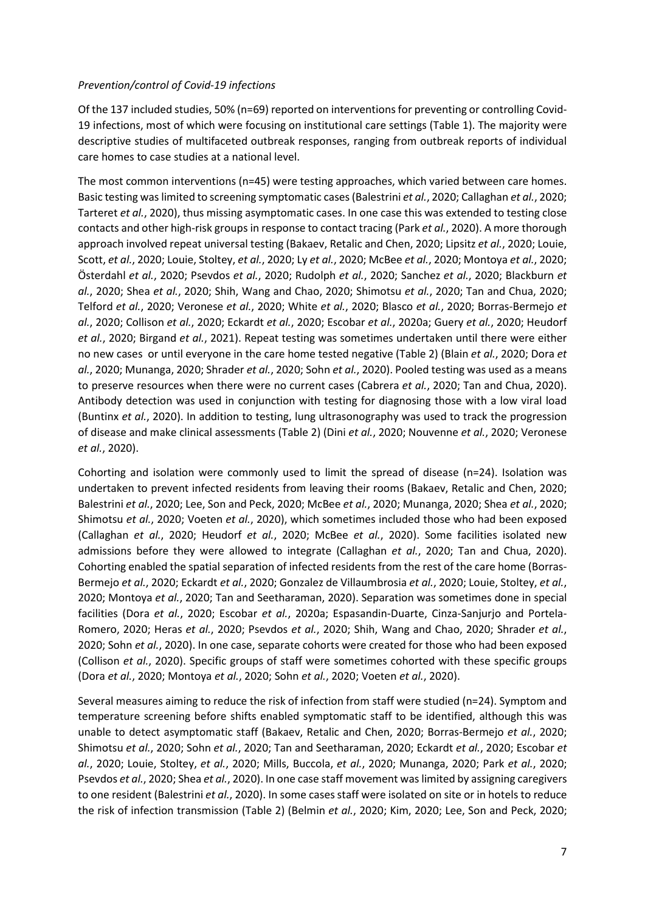### *Prevention/control of Covid-19 infections*

Of the 137 included studies, 50% (n=69) reported on interventions for preventing or controlling Covid-19 infections, most of which were focusing on institutional care settings (Table 1). The majority were descriptive studies of multifaceted outbreak responses, ranging from outbreak reports of individual care homes to case studies at a national level.

The most common interventions (n=45) were testing approaches, which varied between care homes. Basic testing was limited to screening symptomatic cases (Balestrini *et al.*, 2020; Callaghan *et al.*, 2020; Tarteret *et al.*, 2020), thus missing asymptomatic cases. In one case this was extended to testing close contacts and other high-risk groups in response to contact tracing (Park *et al.*, 2020). A more thorough approach involved repeat universal testing (Bakaev, Retalic and Chen, 2020; Lipsitz *et al.*, 2020; Louie, Scott, *et al.*, 2020; Louie, Stoltey, *et al.*, 2020; Ly *et al.*, 2020; McBee *et al.*, 2020; Montoya *et al.*, 2020; Österdahl *et al.*, 2020; Psevdos *et al.*, 2020; Rudolph *et al.*, 2020; Sanchez *et al.*, 2020; Blackburn *et al.*, 2020; Shea *et al.*, 2020; Shih, Wang and Chao, 2020; Shimotsu *et al.*, 2020; Tan and Chua, 2020; Telford *et al.*, 2020; Veronese *et al.*, 2020; White *et al.*, 2020; Blasco *et al.*, 2020; Borras-Bermejo *et al.*, 2020; Collison *et al.*, 2020; Eckardt *et al.*, 2020; Escobar *et al.*, 2020a; Guery *et al.*, 2020; Heudorf *et al.*, 2020; Birgand *et al.*, 2021). Repeat testing was sometimes undertaken until there were either no new cases or until everyone in the care home tested negative (Table 2) (Blain *et al.*, 2020; Dora *et al.*, 2020; Munanga, 2020; Shrader *et al.*, 2020; Sohn *et al.*, 2020). Pooled testing was used as a means to preserve resources when there were no current cases (Cabrera *et al.*, 2020; Tan and Chua, 2020). Antibody detection was used in conjunction with testing for diagnosing those with a low viral load (Buntinx *et al.*, 2020). In addition to testing, lung ultrasonography was used to track the progression of disease and make clinical assessments (Table 2) (Dini *et al.*, 2020; Nouvenne *et al.*, 2020; Veronese *et al.*, 2020).

Cohorting and isolation were commonly used to limit the spread of disease (n=24). Isolation was undertaken to prevent infected residents from leaving their rooms (Bakaev, Retalic and Chen, 2020; Balestrini *et al.*, 2020; Lee, Son and Peck, 2020; McBee *et al.*, 2020; Munanga, 2020; Shea *et al.*, 2020; Shimotsu *et al.*, 2020; Voeten *et al.*, 2020), which sometimes included those who had been exposed (Callaghan *et al.*, 2020; Heudorf *et al.*, 2020; McBee *et al.*, 2020). Some facilities isolated new admissions before they were allowed to integrate (Callaghan *et al.*, 2020; Tan and Chua, 2020). Cohorting enabled the spatial separation of infected residents from the rest of the care home (Borras-Bermejo *et al.*, 2020; Eckardt *et al.*, 2020; Gonzalez de Villaumbrosia *et al.*, 2020; Louie, Stoltey, *et al.*, 2020; Montoya *et al.*, 2020; Tan and Seetharaman, 2020). Separation was sometimes done in special facilities (Dora *et al.*, 2020; Escobar *et al.*, 2020a; Espasandin-Duarte, Cinza-Sanjurjo and Portela-Romero, 2020; Heras *et al.*, 2020; Psevdos *et al.*, 2020; Shih, Wang and Chao, 2020; Shrader *et al.*, 2020; Sohn *et al.*, 2020). In one case, separate cohorts were created for those who had been exposed (Collison *et al.*, 2020). Specific groups of staff were sometimes cohorted with these specific groups (Dora *et al.*, 2020; Montoya *et al.*, 2020; Sohn *et al.*, 2020; Voeten *et al.*, 2020).

Several measures aiming to reduce the risk of infection from staff were studied (n=24). Symptom and temperature screening before shifts enabled symptomatic staff to be identified, although this was unable to detect asymptomatic staff (Bakaev, Retalic and Chen, 2020; Borras-Bermejo *et al.*, 2020; Shimotsu *et al.*, 2020; Sohn *et al.*, 2020; Tan and Seetharaman, 2020; Eckardt *et al.*, 2020; Escobar *et al.*, 2020; Louie, Stoltey, *et al.*, 2020; Mills, Buccola, *et al.*, 2020; Munanga, 2020; Park *et al.*, 2020; Psevdos *et al.*, 2020; Shea *et al.*, 2020). In one case staff movement was limited by assigning caregivers to one resident (Balestrini *et al.*, 2020). In some cases staff were isolated on site or in hotels to reduce the risk of infection transmission (Table 2) (Belmin *et al.*, 2020; Kim, 2020; Lee, Son and Peck, 2020;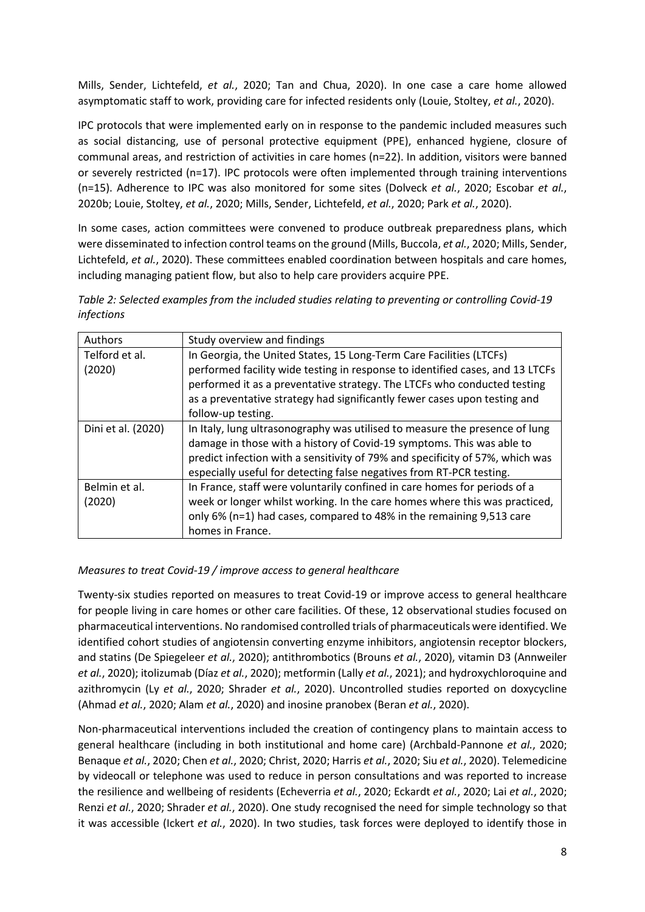Mills, Sender, Lichtefeld, *et al.*, 2020; Tan and Chua, 2020). In one case a care home allowed asymptomatic staff to work, providing care for infected residents only (Louie, Stoltey, *et al.*, 2020).

IPC protocols that were implemented early on in response to the pandemic included measures such as social distancing, use of personal protective equipment (PPE), enhanced hygiene, closure of communal areas, and restriction of activities in care homes (n=22). In addition, visitors were banned or severely restricted (n=17). IPC protocols were often implemented through training interventions (n=15). Adherence to IPC was also monitored for some sites (Dolveck *et al.*, 2020; Escobar *et al.*, 2020b; Louie, Stoltey, *et al.*, 2020; Mills, Sender, Lichtefeld, *et al.*, 2020; Park *et al.*, 2020).

In some cases, action committees were convened to produce outbreak preparedness plans, which were disseminated to infection control teams on the ground (Mills, Buccola, *et al.*, 2020; Mills, Sender, Lichtefeld, *et al.*, 2020). These committees enabled coordination between hospitals and care homes, including managing patient flow, but also to help care providers acquire PPE.

*Table 2: Selected examples from the included studies relating to preventing or controlling Covid-19 infections* 

| Authors            | Study overview and findings                                                   |  |
|--------------------|-------------------------------------------------------------------------------|--|
| Telford et al.     | In Georgia, the United States, 15 Long-Term Care Facilities (LTCFs)           |  |
| (2020)             | performed facility wide testing in response to identified cases, and 13 LTCFs |  |
|                    | performed it as a preventative strategy. The LTCFs who conducted testing      |  |
|                    | as a preventative strategy had significantly fewer cases upon testing and     |  |
|                    | follow-up testing.                                                            |  |
| Dini et al. (2020) | In Italy, lung ultrasonography was utilised to measure the presence of lung   |  |
|                    | damage in those with a history of Covid-19 symptoms. This was able to         |  |
|                    | predict infection with a sensitivity of 79% and specificity of 57%, which was |  |
|                    | especially useful for detecting false negatives from RT-PCR testing.          |  |
| Belmin et al.      | In France, staff were voluntarily confined in care homes for periods of a     |  |
| (2020)             | week or longer whilst working. In the care homes where this was practiced,    |  |
|                    | only 6% (n=1) had cases, compared to 48% in the remaining 9,513 care          |  |
|                    | homes in France.                                                              |  |

### *Measures to treat Covid-19 / improve access to general healthcare*

Twenty-six studies reported on measures to treat Covid-19 or improve access to general healthcare for people living in care homes or other care facilities. Of these, 12 observational studies focused on pharmaceutical interventions. No randomised controlled trials of pharmaceuticals were identified. We identified cohort studies of angiotensin converting enzyme inhibitors, angiotensin receptor blockers, and statins (De Spiegeleer *et al.*, 2020); antithrombotics (Brouns *et al.*, 2020), vitamin D3 (Annweiler *et al.*, 2020); itolizumab (Díaz *et al.*, 2020); metformin (Lally *et al.*, 2021); and hydroxychloroquine and azithromycin (Ly *et al.*, 2020; Shrader *et al.*, 2020). Uncontrolled studies reported on doxycycline (Ahmad *et al.*, 2020; Alam *et al.*, 2020) and inosine pranobex (Beran *et al.*, 2020).

Non-pharmaceutical interventions included the creation of contingency plans to maintain access to general healthcare (including in both institutional and home care) (Archbald-Pannone *et al.*, 2020; Benaque *et al.*, 2020; Chen *et al.*, 2020; Christ, 2020; Harris *et al.*, 2020; Siu *et al.*, 2020). Telemedicine by videocall or telephone was used to reduce in person consultations and was reported to increase the resilience and wellbeing of residents (Echeverria *et al.*, 2020; Eckardt *et al.*, 2020; Lai *et al.*, 2020; Renzi *et al.*, 2020; Shrader *et al.*, 2020). One study recognised the need for simple technology so that it was accessible (Ickert *et al.*, 2020). In two studies, task forces were deployed to identify those in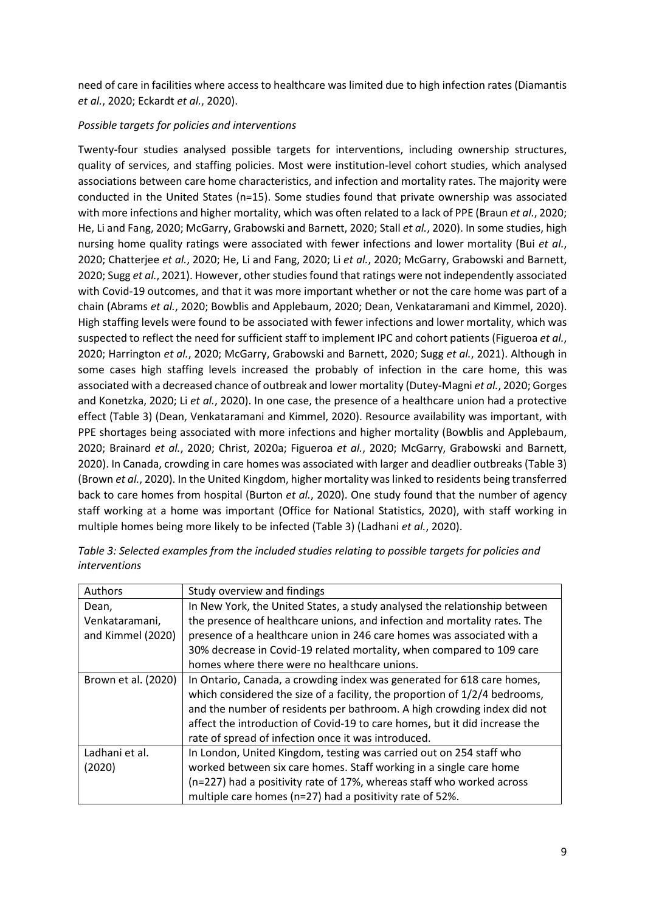need of care in facilities where access to healthcare was limited due to high infection rates (Diamantis *et al.*, 2020; Eckardt *et al.*, 2020).

### *Possible targets for policies and interventions*

Twenty-four studies analysed possible targets for interventions, including ownership structures, quality of services, and staffing policies. Most were institution-level cohort studies, which analysed associations between care home characteristics, and infection and mortality rates. The majority were conducted in the United States (n=15). Some studies found that private ownership was associated with more infections and higher mortality, which was often related to a lack of PPE (Braun *et al.*, 2020; He, Li and Fang, 2020; McGarry, Grabowski and Barnett, 2020; Stall *et al.*, 2020). In some studies, high nursing home quality ratings were associated with fewer infections and lower mortality (Bui *et al.*, 2020; Chatterjee *et al.*, 2020; He, Li and Fang, 2020; Li *et al.*, 2020; McGarry, Grabowski and Barnett, 2020; Sugg *et al.*, 2021). However, other studies found that ratings were not independently associated with Covid-19 outcomes, and that it was more important whether or not the care home was part of a chain (Abrams *et al.*, 2020; Bowblis and Applebaum, 2020; Dean, Venkataramani and Kimmel, 2020). High staffing levels were found to be associated with fewer infections and lower mortality, which was suspected to reflect the need for sufficient staff to implement IPC and cohort patients (Figueroa *et al.*, 2020; Harrington *et al.*, 2020; McGarry, Grabowski and Barnett, 2020; Sugg *et al.*, 2021). Although in some cases high staffing levels increased the probably of infection in the care home, this was associated with a decreased chance of outbreak and lower mortality (Dutey-Magni *et al.*, 2020; Gorges and Konetzka, 2020; Li *et al.*, 2020). In one case, the presence of a healthcare union had a protective effect (Table 3) (Dean, Venkataramani and Kimmel, 2020). Resource availability was important, with PPE shortages being associated with more infections and higher mortality (Bowblis and Applebaum, 2020; Brainard *et al.*, 2020; Christ, 2020a; Figueroa *et al.*, 2020; McGarry, Grabowski and Barnett, 2020). In Canada, crowding in care homes was associated with larger and deadlier outbreaks (Table 3) (Brown *et al.*, 2020). In the United Kingdom, higher mortality was linked to residents being transferred back to care homes from hospital (Burton *et al.*, 2020). One study found that the number of agency staff working at a home was important (Office for National Statistics, 2020), with staff working in multiple homes being more likely to be infected (Table 3) (Ladhani *et al.*, 2020).

| Authors             | Study overview and findings                                                |  |  |
|---------------------|----------------------------------------------------------------------------|--|--|
| Dean,               | In New York, the United States, a study analysed the relationship between  |  |  |
| Venkataramani,      | the presence of healthcare unions, and infection and mortality rates. The  |  |  |
| and Kimmel (2020)   | presence of a healthcare union in 246 care homes was associated with a     |  |  |
|                     | 30% decrease in Covid-19 related mortality, when compared to 109 care      |  |  |
|                     | homes where there were no healthcare unions.                               |  |  |
| Brown et al. (2020) | In Ontario, Canada, a crowding index was generated for 618 care homes,     |  |  |
|                     | which considered the size of a facility, the proportion of 1/2/4 bedrooms, |  |  |
|                     | and the number of residents per bathroom. A high crowding index did not    |  |  |
|                     | affect the introduction of Covid-19 to care homes, but it did increase the |  |  |
|                     | rate of spread of infection once it was introduced.                        |  |  |
| Ladhani et al.      | In London, United Kingdom, testing was carried out on 254 staff who        |  |  |
| (2020)              | worked between six care homes. Staff working in a single care home         |  |  |
|                     | (n=227) had a positivity rate of 17%, whereas staff who worked across      |  |  |
|                     | multiple care homes (n=27) had a positivity rate of 52%.                   |  |  |

*Table 3: Selected examples from the included studies relating to possible targets for policies and interventions*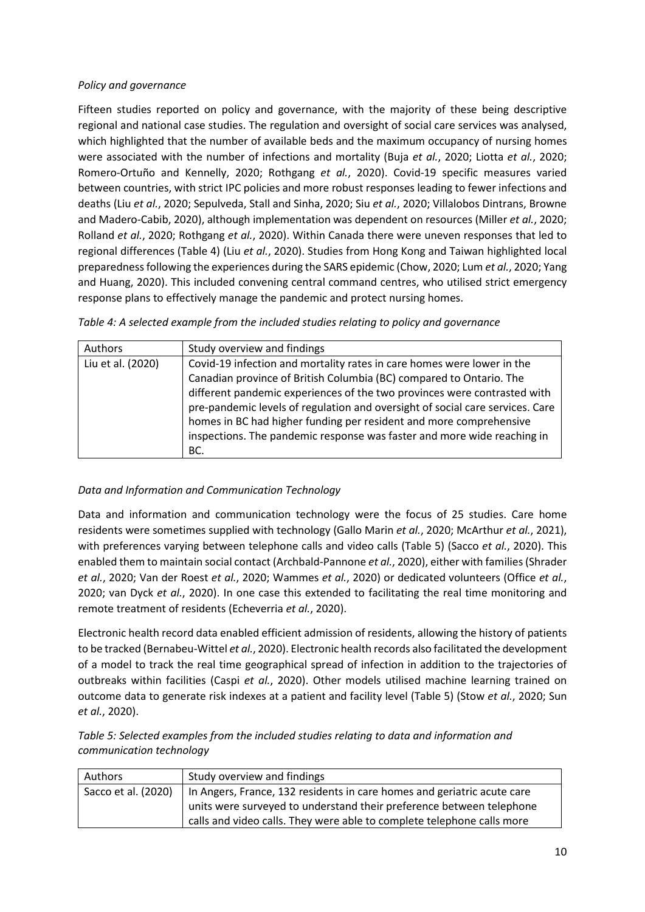### *Policy and governance*

Fifteen studies reported on policy and governance, with the majority of these being descriptive regional and national case studies. The regulation and oversight of social care services was analysed, which highlighted that the number of available beds and the maximum occupancy of nursing homes were associated with the number of infections and mortality (Buja *et al.*, 2020; Liotta *et al.*, 2020; Romero-Ortuño and Kennelly, 2020; Rothgang *et al.*, 2020). Covid-19 specific measures varied between countries, with strict IPC policies and more robust responses leading to fewer infections and deaths (Liu *et al.*, 2020; Sepulveda, Stall and Sinha, 2020; Siu *et al.*, 2020; Villalobos Dintrans, Browne and Madero-Cabib, 2020), although implementation was dependent on resources (Miller *et al.*, 2020; Rolland *et al.*, 2020; Rothgang *et al.*, 2020). Within Canada there were uneven responses that led to regional differences (Table 4) (Liu *et al.*, 2020). Studies from Hong Kong and Taiwan highlighted local preparedness following the experiences during the SARS epidemic (Chow, 2020; Lum *et al.*, 2020; Yang and Huang, 2020). This included convening central command centres, who utilised strict emergency response plans to effectively manage the pandemic and protect nursing homes.

|  | Table 4: A selected example from the included studies relating to policy and governance |  |
|--|-----------------------------------------------------------------------------------------|--|
|  |                                                                                         |  |

| Authors           | Study overview and findings                                                                                                                                                                                                                                                                                                                                                                                                                                        |  |  |  |
|-------------------|--------------------------------------------------------------------------------------------------------------------------------------------------------------------------------------------------------------------------------------------------------------------------------------------------------------------------------------------------------------------------------------------------------------------------------------------------------------------|--|--|--|
| Liu et al. (2020) | Covid-19 infection and mortality rates in care homes were lower in the<br>Canadian province of British Columbia (BC) compared to Ontario. The<br>different pandemic experiences of the two provinces were contrasted with<br>pre-pandemic levels of regulation and oversight of social care services. Care<br>homes in BC had higher funding per resident and more comprehensive<br>inspections. The pandemic response was faster and more wide reaching in<br>BC. |  |  |  |

## *Data and Information and Communication Technology*

Data and information and communication technology were the focus of 25 studies. Care home residents were sometimes supplied with technology (Gallo Marin *et al.*, 2020; McArthur *et al.*, 2021), with preferences varying between telephone calls and video calls (Table 5) (Sacco *et al.*, 2020). This enabled them to maintain social contact (Archbald-Pannone *et al.*, 2020), either with families (Shrader *et al.*, 2020; Van der Roest *et al.*, 2020; Wammes *et al.*, 2020) or dedicated volunteers (Office *et al.*, 2020; van Dyck *et al.*, 2020). In one case this extended to facilitating the real time monitoring and remote treatment of residents (Echeverria *et al.*, 2020).

Electronic health record data enabled efficient admission of residents, allowing the history of patients to be tracked (Bernabeu-Wittel *et al.*, 2020). Electronic health records also facilitated the development of a model to track the real time geographical spread of infection in addition to the trajectories of outbreaks within facilities (Caspi *et al.*, 2020). Other models utilised machine learning trained on outcome data to generate risk indexes at a patient and facility level (Table 5) (Stow *et al.*, 2020; Sun *et al.*, 2020).

| Table 5: Selected examples from the included studies relating to data and information and |  |
|-------------------------------------------------------------------------------------------|--|
| communication technology                                                                  |  |

| Authors             | Study overview and findings                                             |
|---------------------|-------------------------------------------------------------------------|
| Sacco et al. (2020) | In Angers, France, 132 residents in care homes and geriatric acute care |
|                     | units were surveyed to understand their preference between telephone    |
|                     | calls and video calls. They were able to complete telephone calls more  |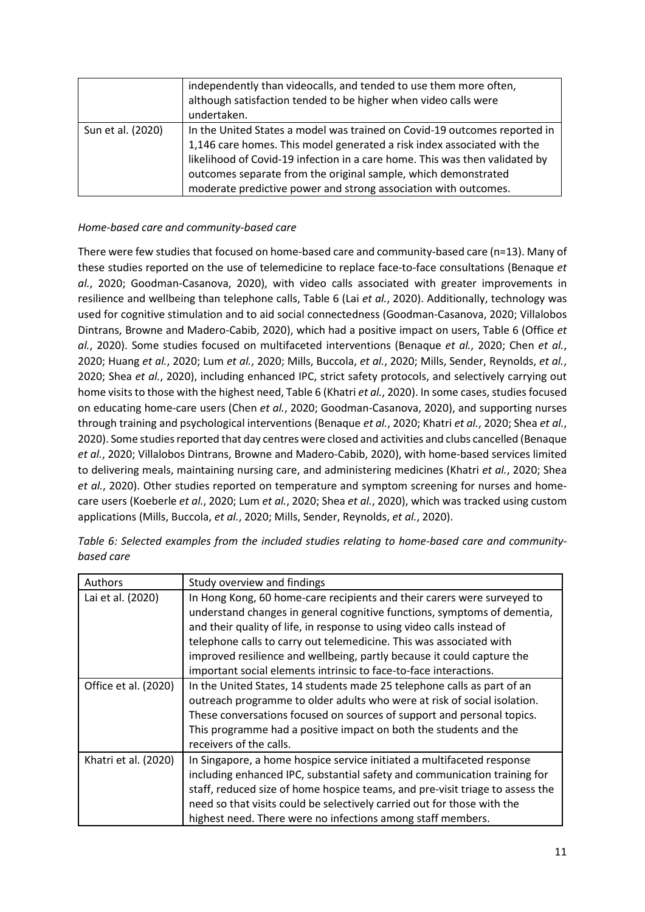|                   | independently than videocalls, and tended to use them more often,<br>although satisfaction tended to be higher when video calls were<br>undertaken.                                                                                                                                                                                                                      |
|-------------------|--------------------------------------------------------------------------------------------------------------------------------------------------------------------------------------------------------------------------------------------------------------------------------------------------------------------------------------------------------------------------|
| Sun et al. (2020) | In the United States a model was trained on Covid-19 outcomes reported in<br>1,146 care homes. This model generated a risk index associated with the<br>likelihood of Covid-19 infection in a care home. This was then validated by<br>outcomes separate from the original sample, which demonstrated<br>moderate predictive power and strong association with outcomes. |

### *Home-based care and community-based care*

There were few studies that focused on home-based care and community-based care (n=13). Many of these studies reported on the use of telemedicine to replace face-to-face consultations (Benaque *et al.*, 2020; Goodman-Casanova, 2020), with video calls associated with greater improvements in resilience and wellbeing than telephone calls, Table 6 (Lai *et al.*, 2020). Additionally, technology was used for cognitive stimulation and to aid social connectedness (Goodman-Casanova, 2020; Villalobos Dintrans, Browne and Madero-Cabib, 2020), which had a positive impact on users, Table 6 (Office *et al.*, 2020). Some studies focused on multifaceted interventions (Benaque *et al.*, 2020; Chen *et al.*, 2020; Huang *et al.*, 2020; Lum *et al.*, 2020; Mills, Buccola, *et al.*, 2020; Mills, Sender, Reynolds, *et al.*, 2020; Shea *et al.*, 2020), including enhanced IPC, strict safety protocols, and selectively carrying out home visits to those with the highest need, Table 6 (Khatri *et al.*, 2020). In some cases, studies focused on educating home-care users (Chen *et al.*, 2020; Goodman-Casanova, 2020), and supporting nurses through training and psychological interventions (Benaque *et al.*, 2020; Khatri *et al.*, 2020; Shea *et al.*, 2020). Some studies reported that day centres were closed and activities and clubs cancelled (Benaque *et al.*, 2020; Villalobos Dintrans, Browne and Madero-Cabib, 2020), with home-based services limited to delivering meals, maintaining nursing care, and administering medicines (Khatri *et al.*, 2020; Shea *et al.*, 2020). Other studies reported on temperature and symptom screening for nurses and homecare users (Koeberle *et al.*, 2020; Lum *et al.*, 2020; Shea *et al.*, 2020), which was tracked using custom applications (Mills, Buccola, *et al.*, 2020; Mills, Sender, Reynolds, *et al.*, 2020).

| Authors              | Study overview and findings                                                                                                                                                                                                                                                                                                                                                                                                                         |
|----------------------|-----------------------------------------------------------------------------------------------------------------------------------------------------------------------------------------------------------------------------------------------------------------------------------------------------------------------------------------------------------------------------------------------------------------------------------------------------|
| Lai et al. (2020)    | In Hong Kong, 60 home-care recipients and their carers were surveyed to<br>understand changes in general cognitive functions, symptoms of dementia,<br>and their quality of life, in response to using video calls instead of<br>telephone calls to carry out telemedicine. This was associated with<br>improved resilience and wellbeing, partly because it could capture the<br>important social elements intrinsic to face-to-face interactions. |
| Office et al. (2020) | In the United States, 14 students made 25 telephone calls as part of an<br>outreach programme to older adults who were at risk of social isolation.<br>These conversations focused on sources of support and personal topics.<br>This programme had a positive impact on both the students and the<br>receivers of the calls.                                                                                                                       |
| Khatri et al. (2020) | In Singapore, a home hospice service initiated a multifaceted response<br>including enhanced IPC, substantial safety and communication training for<br>staff, reduced size of home hospice teams, and pre-visit triage to assess the<br>need so that visits could be selectively carried out for those with the<br>highest need. There were no infections among staff members.                                                                      |

*Table 6: Selected examples from the included studies relating to home-based care and communitybased care*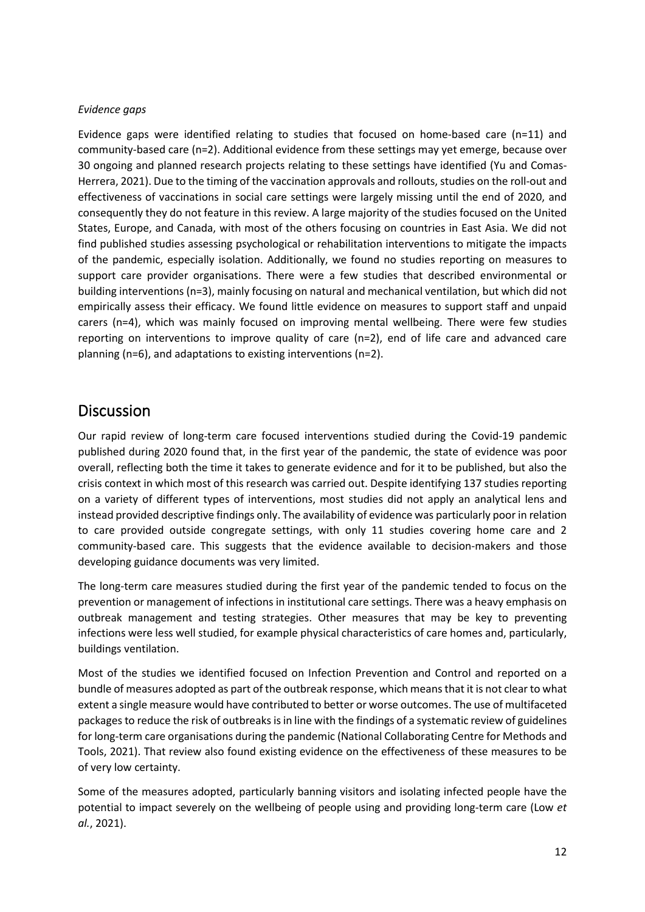#### *Evidence gaps*

Evidence gaps were identified relating to studies that focused on home-based care (n=11) and community-based care (n=2). Additional evidence from these settings may yet emerge, because over 30 ongoing and planned research projects relating to these settings have identified (Yu and Comas-Herrera, 2021). Due to the timing of the vaccination approvals and rollouts, studies on the roll-out and effectiveness of vaccinations in social care settings were largely missing until the end of 2020, and consequently they do not feature in this review. A large majority of the studies focused on the United States, Europe, and Canada, with most of the others focusing on countries in East Asia. We did not find published studies assessing psychological or rehabilitation interventions to mitigate the impacts of the pandemic, especially isolation. Additionally, we found no studies reporting on measures to support care provider organisations. There were a few studies that described environmental or building interventions (n=3), mainly focusing on natural and mechanical ventilation, but which did not empirically assess their efficacy. We found little evidence on measures to support staff and unpaid carers (n=4), which was mainly focused on improving mental wellbeing. There were few studies reporting on interventions to improve quality of care (n=2), end of life care and advanced care planning (n=6), and adaptations to existing interventions (n=2).

## **Discussion**

Our rapid review of long-term care focused interventions studied during the Covid-19 pandemic published during 2020 found that, in the first year of the pandemic, the state of evidence was poor overall, reflecting both the time it takes to generate evidence and for it to be published, but also the crisis context in which most of this research was carried out. Despite identifying 137 studies reporting on a variety of different types of interventions, most studies did not apply an analytical lens and instead provided descriptive findings only. The availability of evidence was particularly poor in relation to care provided outside congregate settings, with only 11 studies covering home care and 2 community-based care. This suggests that the evidence available to decision-makers and those developing guidance documents was very limited.

The long-term care measures studied during the first year of the pandemic tended to focus on the prevention or management of infections in institutional care settings. There was a heavy emphasis on outbreak management and testing strategies. Other measures that may be key to preventing infections were less well studied, for example physical characteristics of care homes and, particularly, buildings ventilation.

Most of the studies we identified focused on Infection Prevention and Control and reported on a bundle of measures adopted as part of the outbreak response, which means that it is not clear to what extent a single measure would have contributed to better or worse outcomes. The use of multifaceted packages to reduce the risk of outbreaks is in line with the findings of a systematic review of guidelines for long-term care organisations during the pandemic (National Collaborating Centre for Methods and Tools, 2021). That review also found existing evidence on the effectiveness of these measures to be of very low certainty.

Some of the measures adopted, particularly banning visitors and isolating infected people have the potential to impact severely on the wellbeing of people using and providing long-term care (Low *et al.*, 2021).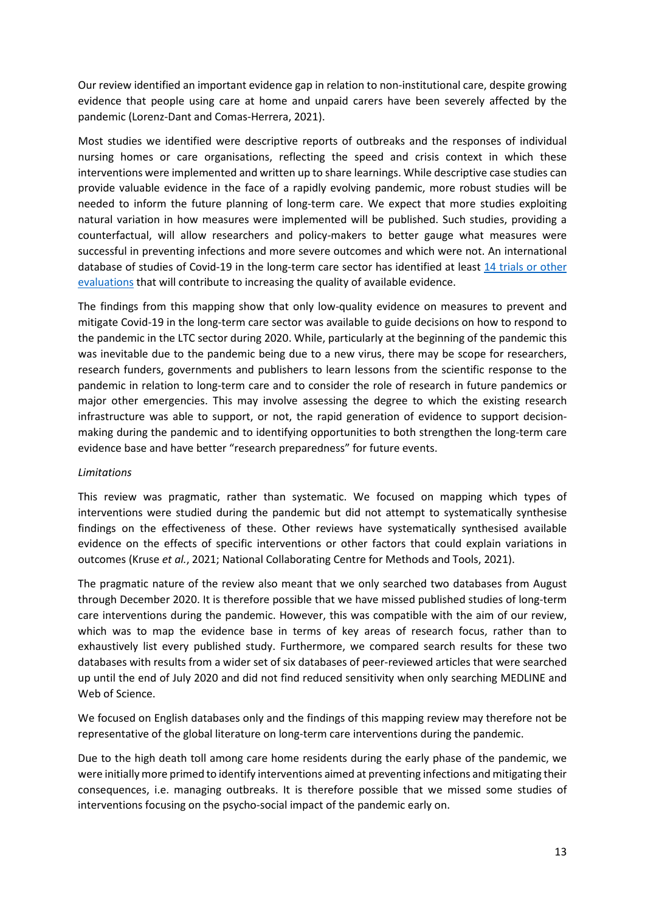Our review identified an important evidence gap in relation to non-institutional care, despite growing evidence that people using care at home and unpaid carers have been severely affected by the pandemic (Lorenz-Dant and Comas-Herrera, 2021).

Most studies we identified were descriptive reports of outbreaks and the responses of individual nursing homes or care organisations, reflecting the speed and crisis context in which these interventions were implemented and written up to share learnings. While descriptive case studies can provide valuable evidence in the face of a rapidly evolving pandemic, more robust studies will be needed to inform the future planning of long-term care. We expect that more studies exploiting natural variation in how measures were implemented will be published. Such studies, providing a counterfactual, will allow researchers and policy-makers to better gauge what measures were successful in preventing infections and more severe outcomes and which were not. An international database of studies of Covid-19 in the long-term care sector has identified at least [14 trials or other](https://ltccovid.org/completed-or-ongoing-research-projects-on-covid-19-and-long-term-care/?_methods=trials-and-other-evaluations)  [evaluations](https://ltccovid.org/completed-or-ongoing-research-projects-on-covid-19-and-long-term-care/?_methods=trials-and-other-evaluations) that will contribute to increasing the quality of available evidence.

The findings from this mapping show that only low-quality evidence on measures to prevent and mitigate Covid-19 in the long-term care sector was available to guide decisions on how to respond to the pandemic in the LTC sector during 2020. While, particularly at the beginning of the pandemic this was inevitable due to the pandemic being due to a new virus, there may be scope for researchers, research funders, governments and publishers to learn lessons from the scientific response to the pandemic in relation to long-term care and to consider the role of research in future pandemics or major other emergencies. This may involve assessing the degree to which the existing research infrastructure was able to support, or not, the rapid generation of evidence to support decisionmaking during the pandemic and to identifying opportunities to both strengthen the long-term care evidence base and have better "research preparedness" for future events.

#### *Limitations*

This review was pragmatic, rather than systematic. We focused on mapping which types of interventions were studied during the pandemic but did not attempt to systematically synthesise findings on the effectiveness of these. Other reviews have systematically synthesised available evidence on the effects of specific interventions or other factors that could explain variations in outcomes (Kruse *et al.*, 2021; National Collaborating Centre for Methods and Tools, 2021).

The pragmatic nature of the review also meant that we only searched two databases from August through December 2020. It is therefore possible that we have missed published studies of long-term care interventions during the pandemic. However, this was compatible with the aim of our review, which was to map the evidence base in terms of key areas of research focus, rather than to exhaustively list every published study. Furthermore, we compared search results for these two databases with results from a wider set of six databases of peer-reviewed articles that were searched up until the end of July 2020 and did not find reduced sensitivity when only searching MEDLINE and Web of Science.

We focused on English databases only and the findings of this mapping review may therefore not be representative of the global literature on long-term care interventions during the pandemic.

Due to the high death toll among care home residents during the early phase of the pandemic, we were initially more primed to identify interventions aimed at preventing infections and mitigating their consequences, i.e. managing outbreaks. It is therefore possible that we missed some studies of interventions focusing on the psycho-social impact of the pandemic early on.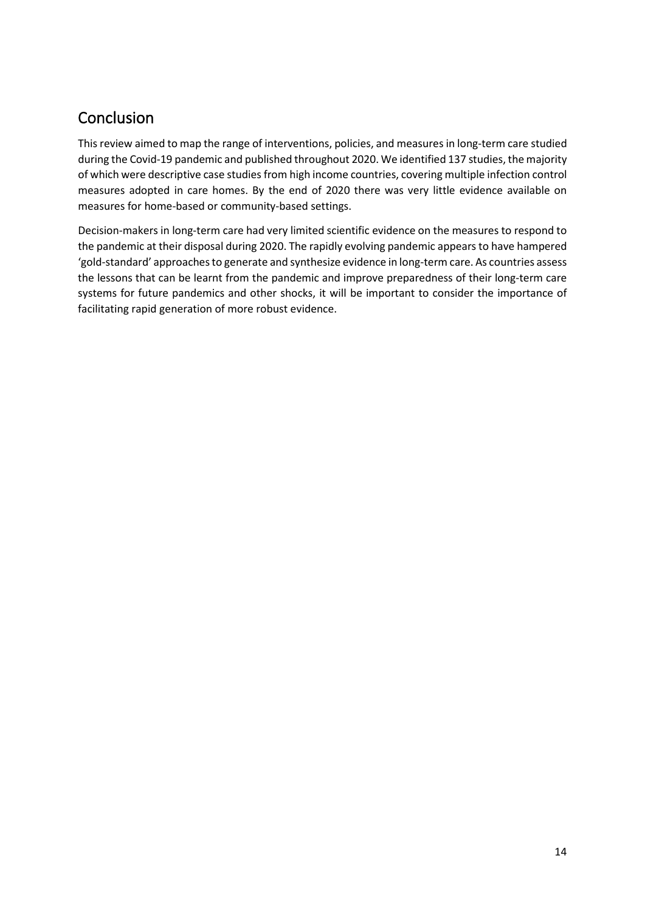# Conclusion

This review aimed to map the range of interventions, policies, and measures in long-term care studied during the Covid-19 pandemic and published throughout 2020. We identified 137 studies, the majority of which were descriptive case studies from high income countries, covering multiple infection control measures adopted in care homes. By the end of 2020 there was very little evidence available on measures for home-based or community-based settings.

Decision-makers in long-term care had very limited scientific evidence on the measures to respond to the pandemic at their disposal during 2020. The rapidly evolving pandemic appears to have hampered 'gold-standard' approaches to generate and synthesize evidence in long-term care. As countries assess the lessons that can be learnt from the pandemic and improve preparedness of their long-term care systems for future pandemics and other shocks, it will be important to consider the importance of facilitating rapid generation of more robust evidence.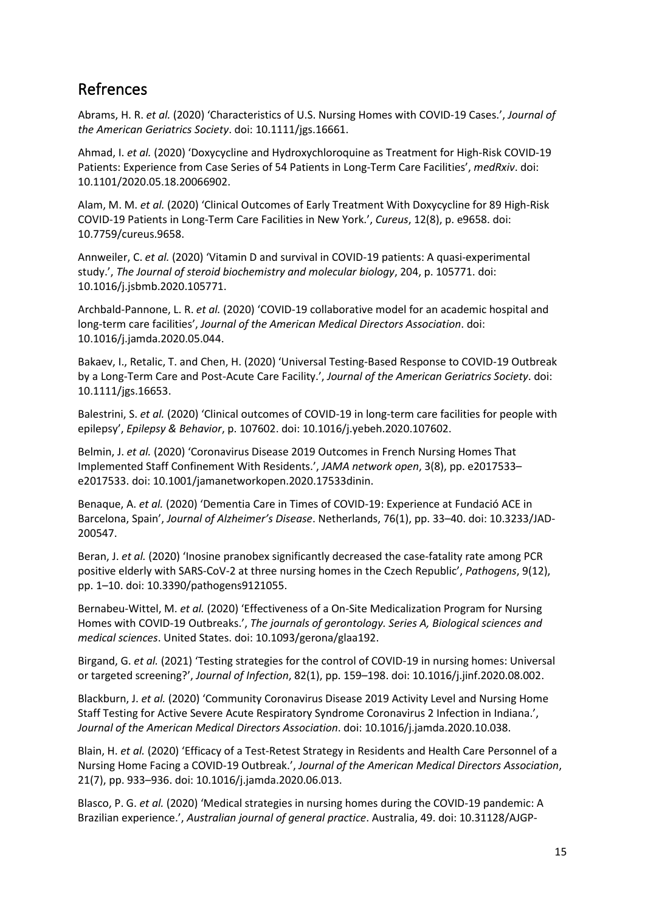## Refrences

Abrams, H. R. *et al.* (2020) 'Characteristics of U.S. Nursing Homes with COVID-19 Cases.', *Journal of the American Geriatrics Society*. doi: 10.1111/jgs.16661.

Ahmad, I. *et al.* (2020) 'Doxycycline and Hydroxychloroquine as Treatment for High-Risk COVID-19 Patients: Experience from Case Series of 54 Patients in Long-Term Care Facilities', *medRxiv*. doi: 10.1101/2020.05.18.20066902.

Alam, M. M. *et al.* (2020) 'Clinical Outcomes of Early Treatment With Doxycycline for 89 High-Risk COVID-19 Patients in Long-Term Care Facilities in New York.', *Cureus*, 12(8), p. e9658. doi: 10.7759/cureus.9658.

Annweiler, C. *et al.* (2020) 'Vitamin D and survival in COVID-19 patients: A quasi-experimental study.', *The Journal of steroid biochemistry and molecular biology*, 204, p. 105771. doi: 10.1016/j.jsbmb.2020.105771.

Archbald-Pannone, L. R. *et al.* (2020) 'COVID-19 collaborative model for an academic hospital and long-term care facilities', *Journal of the American Medical Directors Association*. doi: 10.1016/j.jamda.2020.05.044.

Bakaev, I., Retalic, T. and Chen, H. (2020) 'Universal Testing-Based Response to COVID-19 Outbreak by a Long-Term Care and Post-Acute Care Facility.', *Journal of the American Geriatrics Society*. doi: 10.1111/jgs.16653.

Balestrini, S. *et al.* (2020) 'Clinical outcomes of COVID-19 in long-term care facilities for people with epilepsy', *Epilepsy & Behavior*, p. 107602. doi: 10.1016/j.yebeh.2020.107602.

Belmin, J. *et al.* (2020) 'Coronavirus Disease 2019 Outcomes in French Nursing Homes That Implemented Staff Confinement With Residents.', *JAMA network open*, 3(8), pp. e2017533– e2017533. doi: 10.1001/jamanetworkopen.2020.17533dinin.

Benaque, A. *et al.* (2020) 'Dementia Care in Times of COVID-19: Experience at Fundació ACE in Barcelona, Spain', *Journal of Alzheimer's Disease*. Netherlands, 76(1), pp. 33–40. doi: 10.3233/JAD-200547.

Beran, J. *et al.* (2020) 'Inosine pranobex significantly decreased the case-fatality rate among PCR positive elderly with SARS-CoV-2 at three nursing homes in the Czech Republic', *Pathogens*, 9(12), pp. 1–10. doi: 10.3390/pathogens9121055.

Bernabeu-Wittel, M. *et al.* (2020) 'Effectiveness of a On-Site Medicalization Program for Nursing Homes with COVID-19 Outbreaks.', *The journals of gerontology. Series A, Biological sciences and medical sciences*. United States. doi: 10.1093/gerona/glaa192.

Birgand, G. *et al.* (2021) 'Testing strategies for the control of COVID-19 in nursing homes: Universal or targeted screening?', *Journal of Infection*, 82(1), pp. 159–198. doi: 10.1016/j.jinf.2020.08.002.

Blackburn, J. *et al.* (2020) 'Community Coronavirus Disease 2019 Activity Level and Nursing Home Staff Testing for Active Severe Acute Respiratory Syndrome Coronavirus 2 Infection in Indiana.', *Journal of the American Medical Directors Association*. doi: 10.1016/j.jamda.2020.10.038.

Blain, H. *et al.* (2020) 'Efficacy of a Test-Retest Strategy in Residents and Health Care Personnel of a Nursing Home Facing a COVID-19 Outbreak.', *Journal of the American Medical Directors Association*, 21(7), pp. 933–936. doi: 10.1016/j.jamda.2020.06.013.

Blasco, P. G. *et al.* (2020) 'Medical strategies in nursing homes during the COVID-19 pandemic: A Brazilian experience.', *Australian journal of general practice*. Australia, 49. doi: 10.31128/AJGP-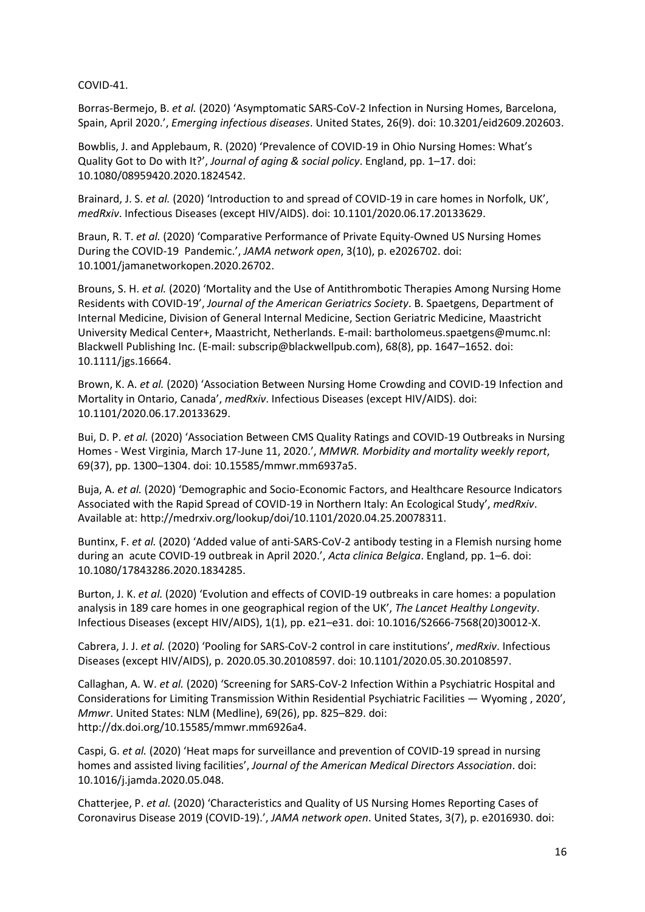COVID-41.

Borras-Bermejo, B. *et al.* (2020) 'Asymptomatic SARS-CoV-2 Infection in Nursing Homes, Barcelona, Spain, April 2020.', *Emerging infectious diseases*. United States, 26(9). doi: 10.3201/eid2609.202603.

Bowblis, J. and Applebaum, R. (2020) 'Prevalence of COVID-19 in Ohio Nursing Homes: What's Quality Got to Do with It?', *Journal of aging & social policy*. England, pp. 1–17. doi: 10.1080/08959420.2020.1824542.

Brainard, J. S. *et al.* (2020) 'Introduction to and spread of COVID-19 in care homes in Norfolk, UK', *medRxiv*. Infectious Diseases (except HIV/AIDS). doi: 10.1101/2020.06.17.20133629.

Braun, R. T. *et al.* (2020) 'Comparative Performance of Private Equity-Owned US Nursing Homes During the COVID-19 Pandemic.', *JAMA network open*, 3(10), p. e2026702. doi: 10.1001/jamanetworkopen.2020.26702.

Brouns, S. H. *et al.* (2020) 'Mortality and the Use of Antithrombotic Therapies Among Nursing Home Residents with COVID-19', *Journal of the American Geriatrics Society*. B. Spaetgens, Department of Internal Medicine, Division of General Internal Medicine, Section Geriatric Medicine, Maastricht University Medical Center+, Maastricht, Netherlands. E-mail: bartholomeus.spaetgens@mumc.nl: Blackwell Publishing Inc. (E-mail: subscrip@blackwellpub.com), 68(8), pp. 1647–1652. doi: 10.1111/jgs.16664.

Brown, K. A. *et al.* (2020) 'Association Between Nursing Home Crowding and COVID-19 Infection and Mortality in Ontario, Canada', *medRxiv*. Infectious Diseases (except HIV/AIDS). doi: 10.1101/2020.06.17.20133629.

Bui, D. P. *et al.* (2020) 'Association Between CMS Quality Ratings and COVID-19 Outbreaks in Nursing Homes - West Virginia, March 17-June 11, 2020.', *MMWR. Morbidity and mortality weekly report*, 69(37), pp. 1300–1304. doi: 10.15585/mmwr.mm6937a5.

Buja, A. *et al.* (2020) 'Demographic and Socio-Economic Factors, and Healthcare Resource Indicators Associated with the Rapid Spread of COVID-19 in Northern Italy: An Ecological Study', *medRxiv*. Available at: http://medrxiv.org/lookup/doi/10.1101/2020.04.25.20078311.

Buntinx, F. *et al.* (2020) 'Added value of anti-SARS-CoV-2 antibody testing in a Flemish nursing home during an acute COVID-19 outbreak in April 2020.', *Acta clinica Belgica*. England, pp. 1–6. doi: 10.1080/17843286.2020.1834285.

Burton, J. K. *et al.* (2020) 'Evolution and effects of COVID-19 outbreaks in care homes: a population analysis in 189 care homes in one geographical region of the UK', *The Lancet Healthy Longevity*. Infectious Diseases (except HIV/AIDS), 1(1), pp. e21–e31. doi: 10.1016/S2666-7568(20)30012-X.

Cabrera, J. J. *et al.* (2020) 'Pooling for SARS-CoV-2 control in care institutions', *medRxiv*. Infectious Diseases (except HIV/AIDS), p. 2020.05.30.20108597. doi: 10.1101/2020.05.30.20108597.

Callaghan, A. W. *et al.* (2020) 'Screening for SARS-CoV-2 Infection Within a Psychiatric Hospital and Considerations for Limiting Transmission Within Residential Psychiatric Facilities — Wyoming , 2020', *Mmwr*. United States: NLM (Medline), 69(26), pp. 825–829. doi: http://dx.doi.org/10.15585/mmwr.mm6926a4.

Caspi, G. *et al.* (2020) 'Heat maps for surveillance and prevention of COVID-19 spread in nursing homes and assisted living facilities', *Journal of the American Medical Directors Association*. doi: 10.1016/j.jamda.2020.05.048.

Chatterjee, P. *et al.* (2020) 'Characteristics and Quality of US Nursing Homes Reporting Cases of Coronavirus Disease 2019 (COVID-19).', *JAMA network open*. United States, 3(7), p. e2016930. doi: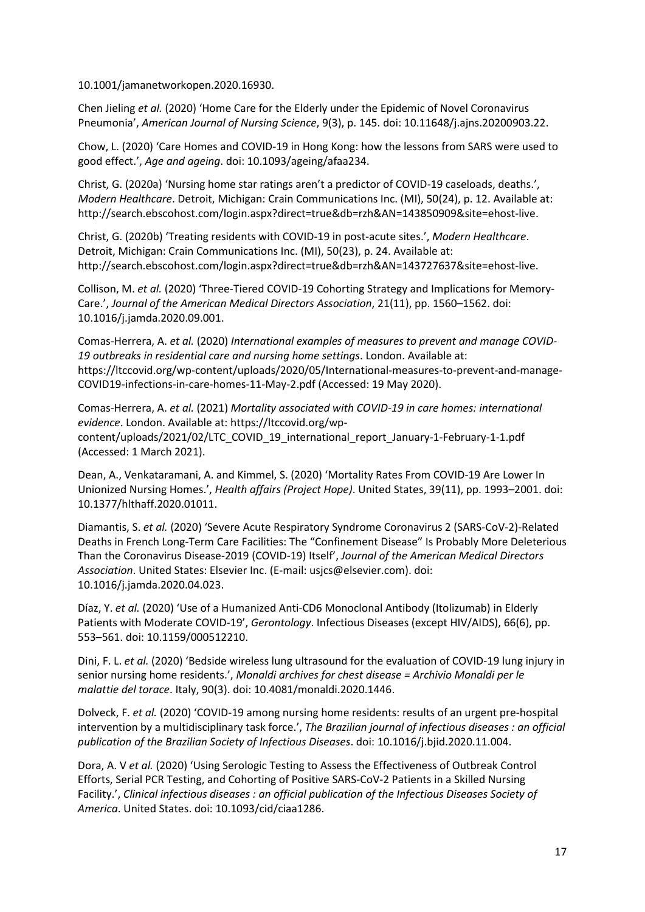10.1001/jamanetworkopen.2020.16930.

Chen Jieling *et al.* (2020) 'Home Care for the Elderly under the Epidemic of Novel Coronavirus Pneumonia', *American Journal of Nursing Science*, 9(3), p. 145. doi: 10.11648/j.ajns.20200903.22.

Chow, L. (2020) 'Care Homes and COVID-19 in Hong Kong: how the lessons from SARS were used to good effect.', *Age and ageing*. doi: 10.1093/ageing/afaa234.

Christ, G. (2020a) 'Nursing home star ratings aren't a predictor of COVID-19 caseloads, deaths.', *Modern Healthcare*. Detroit, Michigan: Crain Communications Inc. (MI), 50(24), p. 12. Available at: http://search.ebscohost.com/login.aspx?direct=true&db=rzh&AN=143850909&site=ehost-live.

Christ, G. (2020b) 'Treating residents with COVID-19 in post-acute sites.', *Modern Healthcare*. Detroit, Michigan: Crain Communications Inc. (MI), 50(23), p. 24. Available at: http://search.ebscohost.com/login.aspx?direct=true&db=rzh&AN=143727637&site=ehost-live.

Collison, M. *et al.* (2020) 'Three-Tiered COVID-19 Cohorting Strategy and Implications for Memory-Care.', *Journal of the American Medical Directors Association*, 21(11), pp. 1560–1562. doi: 10.1016/j.jamda.2020.09.001.

Comas-Herrera, A. *et al.* (2020) *International examples of measures to prevent and manage COVID-19 outbreaks in residential care and nursing home settings*. London. Available at: https://ltccovid.org/wp-content/uploads/2020/05/International-measures-to-prevent-and-manage-COVID19-infections-in-care-homes-11-May-2.pdf (Accessed: 19 May 2020).

Comas-Herrera, A. *et al.* (2021) *Mortality associated with COVID-19 in care homes: international evidence*. London. Available at: https://ltccovid.org/wpcontent/uploads/2021/02/LTC\_COVID\_19\_international\_report\_January-1-February-1-1.pdf (Accessed: 1 March 2021).

Dean, A., Venkataramani, A. and Kimmel, S. (2020) 'Mortality Rates From COVID-19 Are Lower In Unionized Nursing Homes.', *Health affairs (Project Hope)*. United States, 39(11), pp. 1993–2001. doi: 10.1377/hlthaff.2020.01011.

Diamantis, S. *et al.* (2020) 'Severe Acute Respiratory Syndrome Coronavirus 2 (SARS-CoV-2)-Related Deaths in French Long-Term Care Facilities: The "Confinement Disease" Is Probably More Deleterious Than the Coronavirus Disease-2019 (COVID-19) Itself', *Journal of the American Medical Directors Association*. United States: Elsevier Inc. (E-mail: usjcs@elsevier.com). doi: 10.1016/j.jamda.2020.04.023.

Díaz, Y. *et al.* (2020) 'Use of a Humanized Anti-CD6 Monoclonal Antibody (Itolizumab) in Elderly Patients with Moderate COVID-19', *Gerontology*. Infectious Diseases (except HIV/AIDS), 66(6), pp. 553–561. doi: 10.1159/000512210.

Dini, F. L. *et al.* (2020) 'Bedside wireless lung ultrasound for the evaluation of COVID-19 lung injury in senior nursing home residents.', *Monaldi archives for chest disease = Archivio Monaldi per le malattie del torace*. Italy, 90(3). doi: 10.4081/monaldi.2020.1446.

Dolveck, F. *et al.* (2020) 'COVID-19 among nursing home residents: results of an urgent pre-hospital intervention by a multidisciplinary task force.', *The Brazilian journal of infectious diseases : an official publication of the Brazilian Society of Infectious Diseases*. doi: 10.1016/j.bjid.2020.11.004.

Dora, A. V *et al.* (2020) 'Using Serologic Testing to Assess the Effectiveness of Outbreak Control Efforts, Serial PCR Testing, and Cohorting of Positive SARS-CoV-2 Patients in a Skilled Nursing Facility.', *Clinical infectious diseases : an official publication of the Infectious Diseases Society of America*. United States. doi: 10.1093/cid/ciaa1286.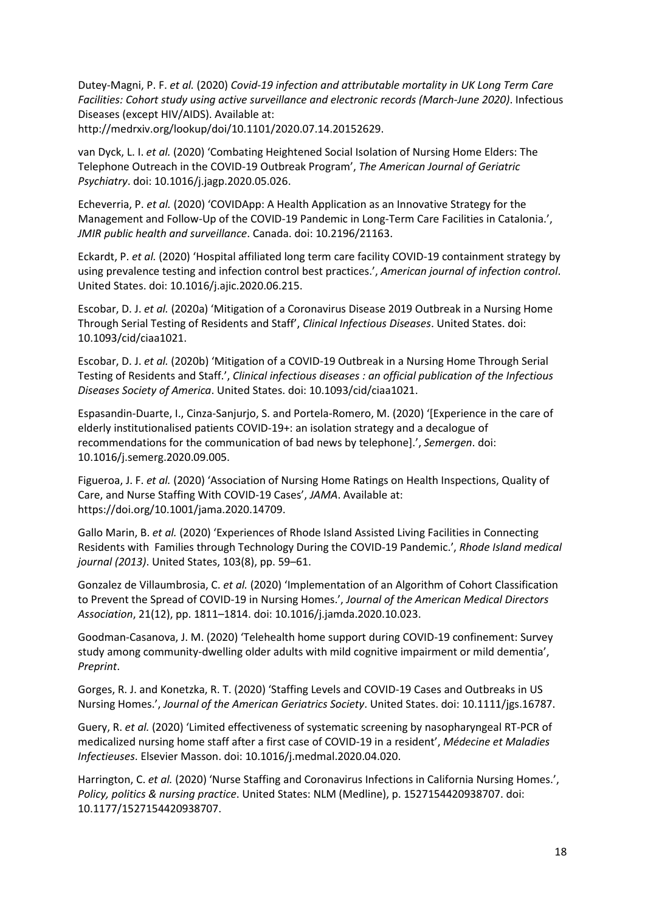Dutey-Magni, P. F. *et al.* (2020) *Covid-19 infection and attributable mortality in UK Long Term Care Facilities: Cohort study using active surveillance and electronic records (March-June 2020)*. Infectious Diseases (except HIV/AIDS). Available at:

http://medrxiv.org/lookup/doi/10.1101/2020.07.14.20152629.

van Dyck, L. I. *et al.* (2020) 'Combating Heightened Social Isolation of Nursing Home Elders: The Telephone Outreach in the COVID-19 Outbreak Program', *The American Journal of Geriatric Psychiatry*. doi: 10.1016/j.jagp.2020.05.026.

Echeverria, P. *et al.* (2020) 'COVIDApp: A Health Application as an Innovative Strategy for the Management and Follow-Up of the COVID-19 Pandemic in Long-Term Care Facilities in Catalonia.', *JMIR public health and surveillance*. Canada. doi: 10.2196/21163.

Eckardt, P. *et al.* (2020) 'Hospital affiliated long term care facility COVID-19 containment strategy by using prevalence testing and infection control best practices.', *American journal of infection control*. United States. doi: 10.1016/j.ajic.2020.06.215.

Escobar, D. J. *et al.* (2020a) 'Mitigation of a Coronavirus Disease 2019 Outbreak in a Nursing Home Through Serial Testing of Residents and Staff', *Clinical Infectious Diseases*. United States. doi: 10.1093/cid/ciaa1021.

Escobar, D. J. *et al.* (2020b) 'Mitigation of a COVID-19 Outbreak in a Nursing Home Through Serial Testing of Residents and Staff.', *Clinical infectious diseases : an official publication of the Infectious Diseases Society of America*. United States. doi: 10.1093/cid/ciaa1021.

Espasandin-Duarte, I., Cinza-Sanjurjo, S. and Portela-Romero, M. (2020) '[Experience in the care of elderly institutionalised patients COVID-19+: an isolation strategy and a decalogue of recommendations for the communication of bad news by telephone].', *Semergen*. doi: 10.1016/j.semerg.2020.09.005.

Figueroa, J. F. *et al.* (2020) 'Association of Nursing Home Ratings on Health Inspections, Quality of Care, and Nurse Staffing With COVID-19 Cases', *JAMA*. Available at: https://doi.org/10.1001/jama.2020.14709.

Gallo Marin, B. *et al.* (2020) 'Experiences of Rhode Island Assisted Living Facilities in Connecting Residents with Families through Technology During the COVID-19 Pandemic.', *Rhode Island medical journal (2013)*. United States, 103(8), pp. 59–61.

Gonzalez de Villaumbrosia, C. *et al.* (2020) 'Implementation of an Algorithm of Cohort Classification to Prevent the Spread of COVID-19 in Nursing Homes.', *Journal of the American Medical Directors Association*, 21(12), pp. 1811–1814. doi: 10.1016/j.jamda.2020.10.023.

Goodman-Casanova, J. M. (2020) 'Telehealth home support during COVID-19 confinement: Survey study among community-dwelling older adults with mild cognitive impairment or mild dementia', *Preprint*.

Gorges, R. J. and Konetzka, R. T. (2020) 'Staffing Levels and COVID-19 Cases and Outbreaks in US Nursing Homes.', *Journal of the American Geriatrics Society*. United States. doi: 10.1111/jgs.16787.

Guery, R. *et al.* (2020) 'Limited effectiveness of systematic screening by nasopharyngeal RT-PCR of medicalized nursing home staff after a first case of COVID-19 in a resident', *Médecine et Maladies Infectieuses*. Elsevier Masson. doi: 10.1016/j.medmal.2020.04.020.

Harrington, C. *et al.* (2020) 'Nurse Staffing and Coronavirus Infections in California Nursing Homes.', *Policy, politics & nursing practice*. United States: NLM (Medline), p. 1527154420938707. doi: 10.1177/1527154420938707.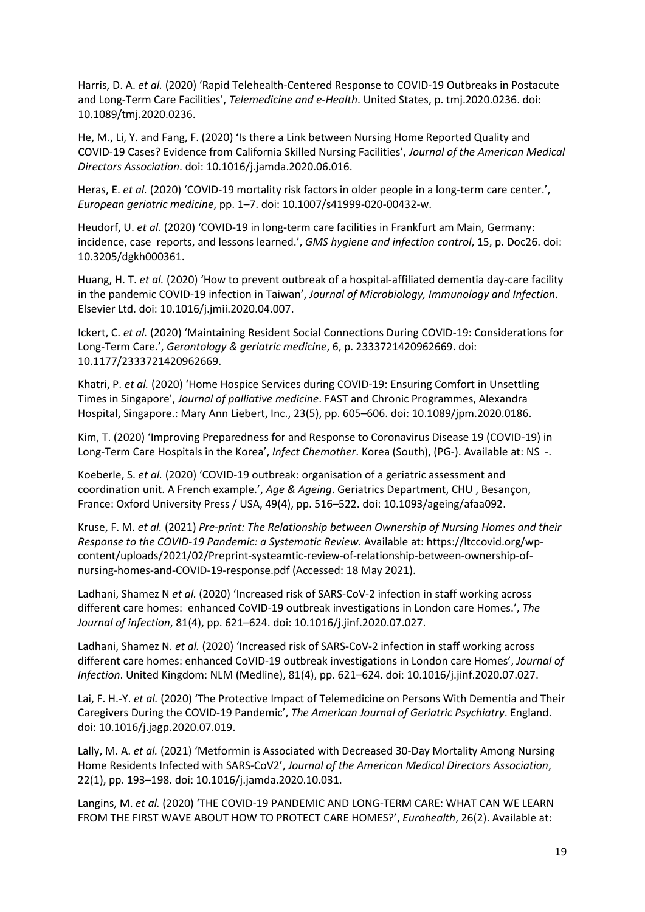Harris, D. A. *et al.* (2020) 'Rapid Telehealth-Centered Response to COVID-19 Outbreaks in Postacute and Long-Term Care Facilities', *Telemedicine and e-Health*. United States, p. tmj.2020.0236. doi: 10.1089/tmj.2020.0236.

He, M., Li, Y. and Fang, F. (2020) 'Is there a Link between Nursing Home Reported Quality and COVID-19 Cases? Evidence from California Skilled Nursing Facilities', *Journal of the American Medical Directors Association*. doi: 10.1016/j.jamda.2020.06.016.

Heras, E. *et al.* (2020) 'COVID-19 mortality risk factors in older people in a long-term care center.', *European geriatric medicine*, pp. 1–7. doi: 10.1007/s41999-020-00432-w.

Heudorf, U. *et al.* (2020) 'COVID-19 in long-term care facilities in Frankfurt am Main, Germany: incidence, case reports, and lessons learned.', *GMS hygiene and infection control*, 15, p. Doc26. doi: 10.3205/dgkh000361.

Huang, H. T. *et al.* (2020) 'How to prevent outbreak of a hospital-affiliated dementia day-care facility in the pandemic COVID-19 infection in Taiwan', *Journal of Microbiology, Immunology and Infection*. Elsevier Ltd. doi: 10.1016/j.jmii.2020.04.007.

Ickert, C. *et al.* (2020) 'Maintaining Resident Social Connections During COVID-19: Considerations for Long-Term Care.', *Gerontology & geriatric medicine*, 6, p. 2333721420962669. doi: 10.1177/2333721420962669.

Khatri, P. *et al.* (2020) 'Home Hospice Services during COVID-19: Ensuring Comfort in Unsettling Times in Singapore', *Journal of palliative medicine*. FAST and Chronic Programmes, Alexandra Hospital, Singapore.: Mary Ann Liebert, Inc., 23(5), pp. 605–606. doi: 10.1089/jpm.2020.0186.

Kim, T. (2020) 'Improving Preparedness for and Response to Coronavirus Disease 19 (COVID-19) in Long-Term Care Hospitals in the Korea', *Infect Chemother*. Korea (South), (PG-). Available at: NS -.

Koeberle, S. *et al.* (2020) 'COVID-19 outbreak: organisation of a geriatric assessment and coordination unit. A French example.', *Age & Ageing*. Geriatrics Department, CHU , Besançon, France: Oxford University Press / USA, 49(4), pp. 516–522. doi: 10.1093/ageing/afaa092.

Kruse, F. M. *et al.* (2021) *Pre-print: The Relationship between Ownership of Nursing Homes and their Response to the COVID-19 Pandemic: a Systematic Review*. Available at: https://ltccovid.org/wpcontent/uploads/2021/02/Preprint-systeamtic-review-of-relationship-between-ownership-ofnursing-homes-and-COVID-19-response.pdf (Accessed: 18 May 2021).

Ladhani, Shamez N *et al.* (2020) 'Increased risk of SARS-CoV-2 infection in staff working across different care homes: enhanced CoVID-19 outbreak investigations in London care Homes.', *The Journal of infection*, 81(4), pp. 621–624. doi: 10.1016/j.jinf.2020.07.027.

Ladhani, Shamez N. *et al.* (2020) 'Increased risk of SARS-CoV-2 infection in staff working across different care homes: enhanced CoVID-19 outbreak investigations in London care Homes', *Journal of Infection*. United Kingdom: NLM (Medline), 81(4), pp. 621–624. doi: 10.1016/j.jinf.2020.07.027.

Lai, F. H.-Y. *et al.* (2020) 'The Protective Impact of Telemedicine on Persons With Dementia and Their Caregivers During the COVID-19 Pandemic', *The American Journal of Geriatric Psychiatry*. England. doi: 10.1016/j.jagp.2020.07.019.

Lally, M. A. *et al.* (2021) 'Metformin is Associated with Decreased 30-Day Mortality Among Nursing Home Residents Infected with SARS-CoV2', *Journal of the American Medical Directors Association*, 22(1), pp. 193–198. doi: 10.1016/j.jamda.2020.10.031.

Langins, M. *et al.* (2020) 'THE COVID-19 PANDEMIC AND LONG-TERM CARE: WHAT CAN WE LEARN FROM THE FIRST WAVE ABOUT HOW TO PROTECT CARE HOMES?', *Eurohealth*, 26(2). Available at: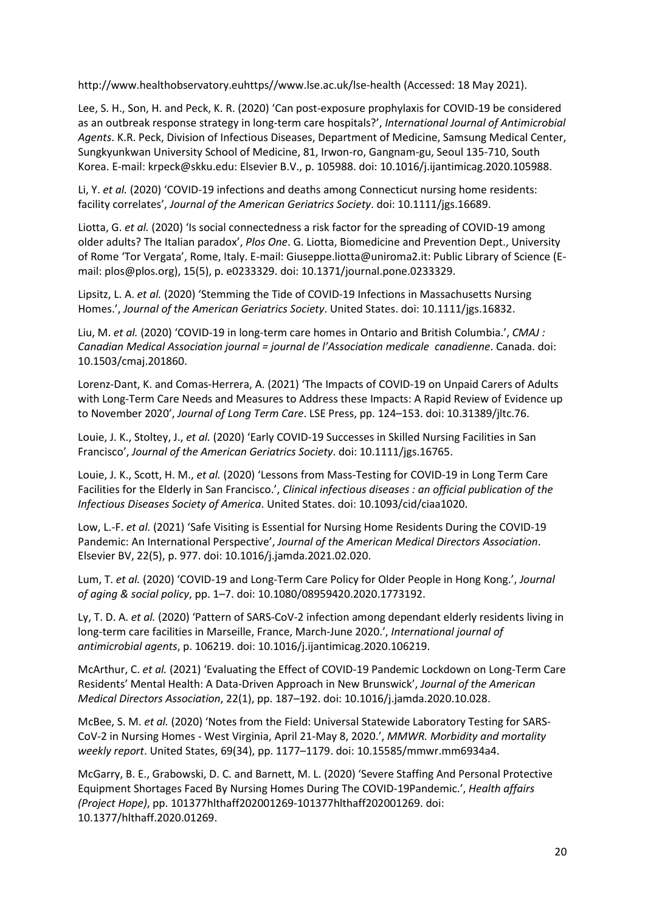http://www.healthobservatory.euhttps//www.lse.ac.uk/lse-health (Accessed: 18 May 2021).

Lee, S. H., Son, H. and Peck, K. R. (2020) 'Can post-exposure prophylaxis for COVID-19 be considered as an outbreak response strategy in long-term care hospitals?', *International Journal of Antimicrobial Agents*. K.R. Peck, Division of Infectious Diseases, Department of Medicine, Samsung Medical Center, Sungkyunkwan University School of Medicine, 81, Irwon-ro, Gangnam-gu, Seoul 135-710, South Korea. E-mail: krpeck@skku.edu: Elsevier B.V., p. 105988. doi: 10.1016/j.ijantimicag.2020.105988.

Li, Y. *et al.* (2020) 'COVID-19 infections and deaths among Connecticut nursing home residents: facility correlates', *Journal of the American Geriatrics Society*. doi: 10.1111/jgs.16689.

Liotta, G. *et al.* (2020) 'Is social connectedness a risk factor for the spreading of COVID-19 among older adults? The Italian paradox', *Plos One*. G. Liotta, Biomedicine and Prevention Dept., University of Rome 'Tor Vergata', Rome, Italy. E-mail: Giuseppe.liotta@uniroma2.it: Public Library of Science (Email: plos@plos.org), 15(5), p. e0233329. doi: 10.1371/journal.pone.0233329.

Lipsitz, L. A. *et al.* (2020) 'Stemming the Tide of COVID-19 Infections in Massachusetts Nursing Homes.', *Journal of the American Geriatrics Society*. United States. doi: 10.1111/jgs.16832.

Liu, M. *et al.* (2020) 'COVID-19 in long-term care homes in Ontario and British Columbia.', *CMAJ : Canadian Medical Association journal = journal de l'Association medicale canadienne*. Canada. doi: 10.1503/cmaj.201860.

Lorenz-Dant, K. and Comas-Herrera, A. (2021) 'The Impacts of COVID-19 on Unpaid Carers of Adults with Long-Term Care Needs and Measures to Address these Impacts: A Rapid Review of Evidence up to November 2020', *Journal of Long Term Care*. LSE Press, pp. 124–153. doi: 10.31389/jltc.76.

Louie, J. K., Stoltey, J., *et al.* (2020) 'Early COVID-19 Successes in Skilled Nursing Facilities in San Francisco', *Journal of the American Geriatrics Society*. doi: 10.1111/jgs.16765.

Louie, J. K., Scott, H. M., *et al.* (2020) 'Lessons from Mass-Testing for COVID-19 in Long Term Care Facilities for the Elderly in San Francisco.', *Clinical infectious diseases : an official publication of the Infectious Diseases Society of America*. United States. doi: 10.1093/cid/ciaa1020.

Low, L.-F. *et al.* (2021) 'Safe Visiting is Essential for Nursing Home Residents During the COVID-19 Pandemic: An International Perspective', *Journal of the American Medical Directors Association*. Elsevier BV, 22(5), p. 977. doi: 10.1016/j.jamda.2021.02.020.

Lum, T. *et al.* (2020) 'COVID-19 and Long-Term Care Policy for Older People in Hong Kong.', *Journal of aging & social policy*, pp. 1–7. doi: 10.1080/08959420.2020.1773192.

Ly, T. D. A. *et al.* (2020) 'Pattern of SARS-CoV-2 infection among dependant elderly residents living in long-term care facilities in Marseille, France, March-June 2020.', *International journal of antimicrobial agents*, p. 106219. doi: 10.1016/j.ijantimicag.2020.106219.

McArthur, C. *et al.* (2021) 'Evaluating the Effect of COVID-19 Pandemic Lockdown on Long-Term Care Residents' Mental Health: A Data-Driven Approach in New Brunswick', *Journal of the American Medical Directors Association*, 22(1), pp. 187–192. doi: 10.1016/j.jamda.2020.10.028.

McBee, S. M. *et al.* (2020) 'Notes from the Field: Universal Statewide Laboratory Testing for SARS-CoV-2 in Nursing Homes - West Virginia, April 21-May 8, 2020.', *MMWR. Morbidity and mortality weekly report*. United States, 69(34), pp. 1177–1179. doi: 10.15585/mmwr.mm6934a4.

McGarry, B. E., Grabowski, D. C. and Barnett, M. L. (2020) 'Severe Staffing And Personal Protective Equipment Shortages Faced By Nursing Homes During The COVID-19Pandemic.', *Health affairs (Project Hope)*, pp. 101377hlthaff202001269-101377hlthaff202001269. doi: 10.1377/hlthaff.2020.01269.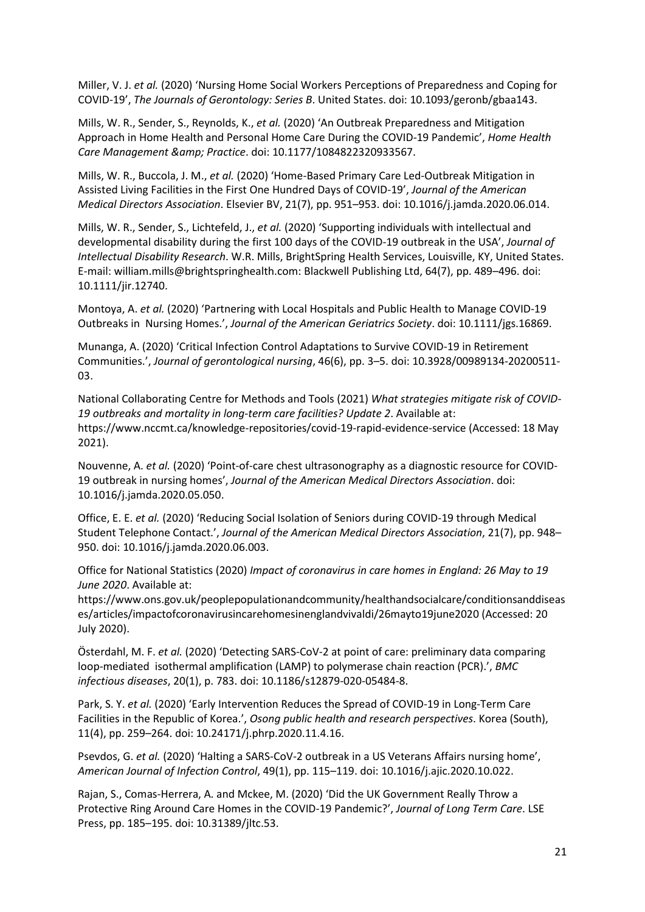Miller, V. J. *et al.* (2020) 'Nursing Home Social Workers Perceptions of Preparedness and Coping for COVID-19', *The Journals of Gerontology: Series B*. United States. doi: 10.1093/geronb/gbaa143.

Mills, W. R., Sender, S., Reynolds, K., *et al.* (2020) 'An Outbreak Preparedness and Mitigation Approach in Home Health and Personal Home Care During the COVID-19 Pandemic', *Home Health Care Management & Practice*. doi: 10.1177/1084822320933567.

Mills, W. R., Buccola, J. M., *et al.* (2020) 'Home-Based Primary Care Led-Outbreak Mitigation in Assisted Living Facilities in the First One Hundred Days of COVID-19', *Journal of the American Medical Directors Association*. Elsevier BV, 21(7), pp. 951–953. doi: 10.1016/j.jamda.2020.06.014.

Mills, W. R., Sender, S., Lichtefeld, J., *et al.* (2020) 'Supporting individuals with intellectual and developmental disability during the first 100 days of the COVID-19 outbreak in the USA', *Journal of Intellectual Disability Research*. W.R. Mills, BrightSpring Health Services, Louisville, KY, United States. E-mail: william.mills@brightspringhealth.com: Blackwell Publishing Ltd, 64(7), pp. 489–496. doi: 10.1111/jir.12740.

Montoya, A. *et al.* (2020) 'Partnering with Local Hospitals and Public Health to Manage COVID-19 Outbreaks in Nursing Homes.', *Journal of the American Geriatrics Society*. doi: 10.1111/jgs.16869.

Munanga, A. (2020) 'Critical Infection Control Adaptations to Survive COVID-19 in Retirement Communities.', *Journal of gerontological nursing*, 46(6), pp. 3–5. doi: 10.3928/00989134-20200511- 03.

National Collaborating Centre for Methods and Tools (2021) *What strategies mitigate risk of COVID-19 outbreaks and mortality in long-term care facilities? Update 2*. Available at: https://www.nccmt.ca/knowledge-repositories/covid-19-rapid-evidence-service (Accessed: 18 May 2021).

Nouvenne, A. *et al.* (2020) 'Point-of-care chest ultrasonography as a diagnostic resource for COVID-19 outbreak in nursing homes', *Journal of the American Medical Directors Association*. doi: 10.1016/j.jamda.2020.05.050.

Office, E. E. *et al.* (2020) 'Reducing Social Isolation of Seniors during COVID-19 through Medical Student Telephone Contact.', *Journal of the American Medical Directors Association*, 21(7), pp. 948– 950. doi: 10.1016/j.jamda.2020.06.003.

Office for National Statistics (2020) *Impact of coronavirus in care homes in England: 26 May to 19 June 2020*. Available at:

https://www.ons.gov.uk/peoplepopulationandcommunity/healthandsocialcare/conditionsanddiseas es/articles/impactofcoronavirusincarehomesinenglandvivaldi/26mayto19june2020 (Accessed: 20 July 2020).

Österdahl, M. F. *et al.* (2020) 'Detecting SARS-CoV-2 at point of care: preliminary data comparing loop-mediated isothermal amplification (LAMP) to polymerase chain reaction (PCR).', *BMC infectious diseases*, 20(1), p. 783. doi: 10.1186/s12879-020-05484-8.

Park, S. Y. *et al.* (2020) 'Early Intervention Reduces the Spread of COVID-19 in Long-Term Care Facilities in the Republic of Korea.', *Osong public health and research perspectives*. Korea (South), 11(4), pp. 259–264. doi: 10.24171/j.phrp.2020.11.4.16.

Psevdos, G. *et al.* (2020) 'Halting a SARS-CoV-2 outbreak in a US Veterans Affairs nursing home', *American Journal of Infection Control*, 49(1), pp. 115–119. doi: 10.1016/j.ajic.2020.10.022.

Rajan, S., Comas-Herrera, A. and Mckee, M. (2020) 'Did the UK Government Really Throw a Protective Ring Around Care Homes in the COVID-19 Pandemic?', *Journal of Long Term Care*. LSE Press, pp. 185–195. doi: 10.31389/jltc.53.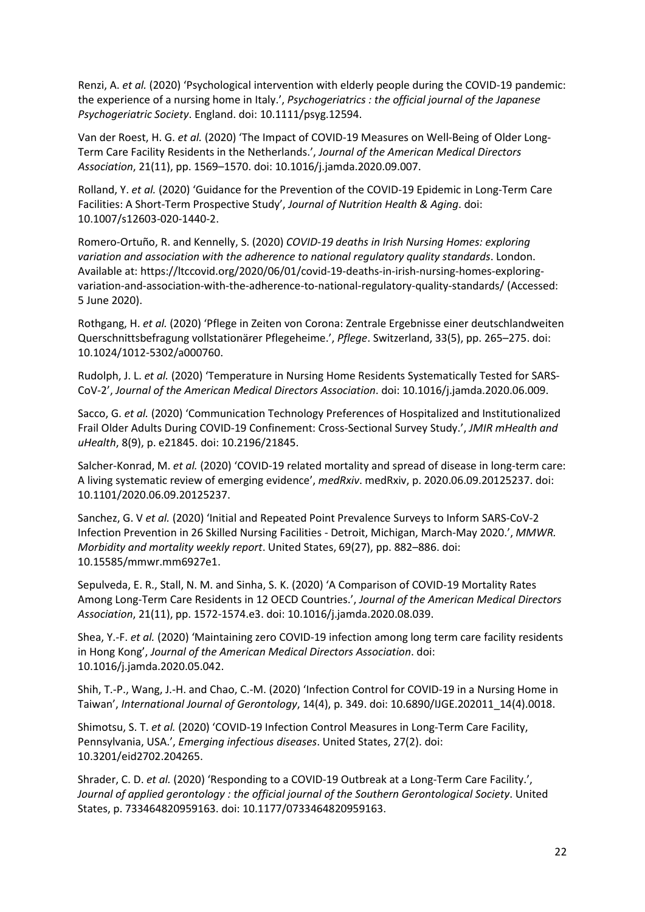Renzi, A. *et al.* (2020) 'Psychological intervention with elderly people during the COVID-19 pandemic: the experience of a nursing home in Italy.', *Psychogeriatrics : the official journal of the Japanese Psychogeriatric Society*. England. doi: 10.1111/psyg.12594.

Van der Roest, H. G. *et al.* (2020) 'The Impact of COVID-19 Measures on Well-Being of Older Long-Term Care Facility Residents in the Netherlands.', *Journal of the American Medical Directors Association*, 21(11), pp. 1569–1570. doi: 10.1016/j.jamda.2020.09.007.

Rolland, Y. *et al.* (2020) 'Guidance for the Prevention of the COVID-19 Epidemic in Long-Term Care Facilities: A Short-Term Prospective Study', *Journal of Nutrition Health & Aging*. doi: 10.1007/s12603-020-1440-2.

Romero-Ortuño, R. and Kennelly, S. (2020) *COVID-19 deaths in Irish Nursing Homes: exploring variation and association with the adherence to national regulatory quality standards*. London. Available at: https://ltccovid.org/2020/06/01/covid-19-deaths-in-irish-nursing-homes-exploringvariation-and-association-with-the-adherence-to-national-regulatory-quality-standards/ (Accessed: 5 June 2020).

Rothgang, H. *et al.* (2020) 'Pflege in Zeiten von Corona: Zentrale Ergebnisse einer deutschlandweiten Querschnittsbefragung vollstationärer Pflegeheime.', *Pflege*. Switzerland, 33(5), pp. 265–275. doi: 10.1024/1012-5302/a000760.

Rudolph, J. L. *et al.* (2020) 'Temperature in Nursing Home Residents Systematically Tested for SARS-CoV-2', *Journal of the American Medical Directors Association*. doi: 10.1016/j.jamda.2020.06.009.

Sacco, G. *et al.* (2020) 'Communication Technology Preferences of Hospitalized and Institutionalized Frail Older Adults During COVID-19 Confinement: Cross-Sectional Survey Study.', *JMIR mHealth and uHealth*, 8(9), p. e21845. doi: 10.2196/21845.

Salcher-Konrad, M. *et al.* (2020) 'COVID-19 related mortality and spread of disease in long-term care: A living systematic review of emerging evidence', *medRxiv*. medRxiv, p. 2020.06.09.20125237. doi: 10.1101/2020.06.09.20125237.

Sanchez, G. V *et al.* (2020) 'Initial and Repeated Point Prevalence Surveys to Inform SARS-CoV-2 Infection Prevention in 26 Skilled Nursing Facilities - Detroit, Michigan, March-May 2020.', *MMWR. Morbidity and mortality weekly report*. United States, 69(27), pp. 882–886. doi: 10.15585/mmwr.mm6927e1.

Sepulveda, E. R., Stall, N. M. and Sinha, S. K. (2020) 'A Comparison of COVID-19 Mortality Rates Among Long-Term Care Residents in 12 OECD Countries.', *Journal of the American Medical Directors Association*, 21(11), pp. 1572-1574.e3. doi: 10.1016/j.jamda.2020.08.039.

Shea, Y.-F. *et al.* (2020) 'Maintaining zero COVID-19 infection among long term care facility residents in Hong Kong', *Journal of the American Medical Directors Association*. doi: 10.1016/j.jamda.2020.05.042.

Shih, T.-P., Wang, J.-H. and Chao, C.-M. (2020) 'Infection Control for COVID-19 in a Nursing Home in Taiwan', *International Journal of Gerontology*, 14(4), p. 349. doi: 10.6890/IJGE.202011\_14(4).0018.

Shimotsu, S. T. *et al.* (2020) 'COVID-19 Infection Control Measures in Long-Term Care Facility, Pennsylvania, USA.', *Emerging infectious diseases*. United States, 27(2). doi: 10.3201/eid2702.204265.

Shrader, C. D. *et al.* (2020) 'Responding to a COVID-19 Outbreak at a Long-Term Care Facility.', *Journal of applied gerontology : the official journal of the Southern Gerontological Society*. United States, p. 733464820959163. doi: 10.1177/0733464820959163.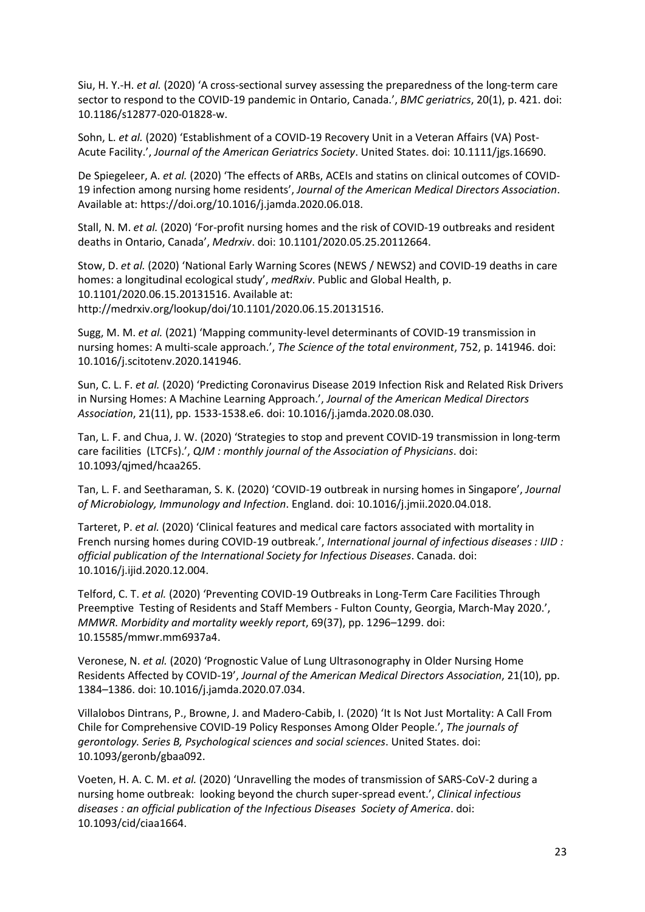Siu, H. Y.-H. *et al.* (2020) 'A cross-sectional survey assessing the preparedness of the long-term care sector to respond to the COVID-19 pandemic in Ontario, Canada.', *BMC geriatrics*, 20(1), p. 421. doi: 10.1186/s12877-020-01828-w.

Sohn, L. *et al.* (2020) 'Establishment of a COVID-19 Recovery Unit in a Veteran Affairs (VA) Post-Acute Facility.', *Journal of the American Geriatrics Society*. United States. doi: 10.1111/jgs.16690.

De Spiegeleer, A. *et al.* (2020) 'The effects of ARBs, ACEIs and statins on clinical outcomes of COVID-19 infection among nursing home residents', *Journal of the American Medical Directors Association*. Available at: https://doi.org/10.1016/j.jamda.2020.06.018.

Stall, N. M. *et al.* (2020) 'For-profit nursing homes and the risk of COVID-19 outbreaks and resident deaths in Ontario, Canada', *Medrxiv*. doi: 10.1101/2020.05.25.20112664.

Stow, D. *et al.* (2020) 'National Early Warning Scores (NEWS / NEWS2) and COVID-19 deaths in care homes: a longitudinal ecological study', *medRxiv*. Public and Global Health, p. 10.1101/2020.06.15.20131516. Available at: http://medrxiv.org/lookup/doi/10.1101/2020.06.15.20131516.

Sugg, M. M. *et al.* (2021) 'Mapping community-level determinants of COVID-19 transmission in nursing homes: A multi-scale approach.', *The Science of the total environment*, 752, p. 141946. doi: 10.1016/j.scitotenv.2020.141946.

Sun, C. L. F. *et al.* (2020) 'Predicting Coronavirus Disease 2019 Infection Risk and Related Risk Drivers in Nursing Homes: A Machine Learning Approach.', *Journal of the American Medical Directors Association*, 21(11), pp. 1533-1538.e6. doi: 10.1016/j.jamda.2020.08.030.

Tan, L. F. and Chua, J. W. (2020) 'Strategies to stop and prevent COVID-19 transmission in long-term care facilities (LTCFs).', *QJM : monthly journal of the Association of Physicians*. doi: 10.1093/qjmed/hcaa265.

Tan, L. F. and Seetharaman, S. K. (2020) 'COVID-19 outbreak in nursing homes in Singapore', *Journal of Microbiology, Immunology and Infection*. England. doi: 10.1016/j.jmii.2020.04.018.

Tarteret, P. *et al.* (2020) 'Clinical features and medical care factors associated with mortality in French nursing homes during COVID-19 outbreak.', *International journal of infectious diseases : IJID : official publication of the International Society for Infectious Diseases*. Canada. doi: 10.1016/j.ijid.2020.12.004.

Telford, C. T. *et al.* (2020) 'Preventing COVID-19 Outbreaks in Long-Term Care Facilities Through Preemptive Testing of Residents and Staff Members - Fulton County, Georgia, March-May 2020.', *MMWR. Morbidity and mortality weekly report*, 69(37), pp. 1296–1299. doi: 10.15585/mmwr.mm6937a4.

Veronese, N. *et al.* (2020) 'Prognostic Value of Lung Ultrasonography in Older Nursing Home Residents Affected by COVID-19', *Journal of the American Medical Directors Association*, 21(10), pp. 1384–1386. doi: 10.1016/j.jamda.2020.07.034.

Villalobos Dintrans, P., Browne, J. and Madero-Cabib, I. (2020) 'It Is Not Just Mortality: A Call From Chile for Comprehensive COVID-19 Policy Responses Among Older People.', *The journals of gerontology. Series B, Psychological sciences and social sciences*. United States. doi: 10.1093/geronb/gbaa092.

Voeten, H. A. C. M. *et al.* (2020) 'Unravelling the modes of transmission of SARS-CoV-2 during a nursing home outbreak: looking beyond the church super-spread event.', *Clinical infectious diseases : an official publication of the Infectious Diseases Society of America*. doi: 10.1093/cid/ciaa1664.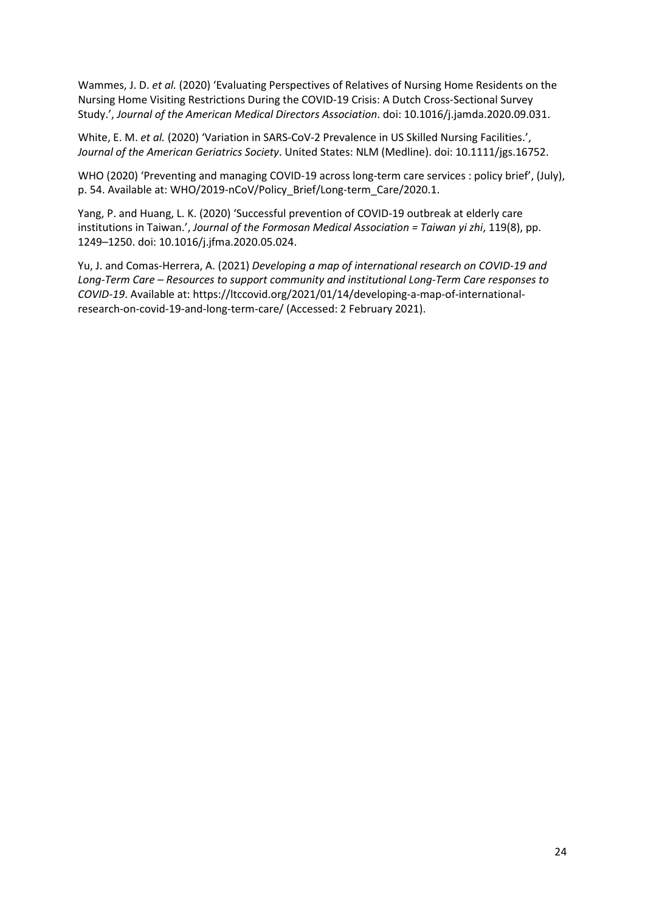Wammes, J. D. *et al.* (2020) 'Evaluating Perspectives of Relatives of Nursing Home Residents on the Nursing Home Visiting Restrictions During the COVID-19 Crisis: A Dutch Cross-Sectional Survey Study.', *Journal of the American Medical Directors Association*. doi: 10.1016/j.jamda.2020.09.031.

White, E. M. *et al.* (2020) 'Variation in SARS-CoV-2 Prevalence in US Skilled Nursing Facilities.', *Journal of the American Geriatrics Society*. United States: NLM (Medline). doi: 10.1111/jgs.16752.

WHO (2020) 'Preventing and managing COVID-19 across long-term care services : policy brief', (July), p. 54. Available at: WHO/2019-nCoV/Policy\_Brief/Long-term\_Care/2020.1.

Yang, P. and Huang, L. K. (2020) 'Successful prevention of COVID-19 outbreak at elderly care institutions in Taiwan.', *Journal of the Formosan Medical Association = Taiwan yi zhi*, 119(8), pp. 1249–1250. doi: 10.1016/j.jfma.2020.05.024.

Yu, J. and Comas-Herrera, A. (2021) *Developing a map of international research on COVID-19 and Long-Term Care – Resources to support community and institutional Long-Term Care responses to COVID-19*. Available at: https://ltccovid.org/2021/01/14/developing-a-map-of-internationalresearch-on-covid-19-and-long-term-care/ (Accessed: 2 February 2021).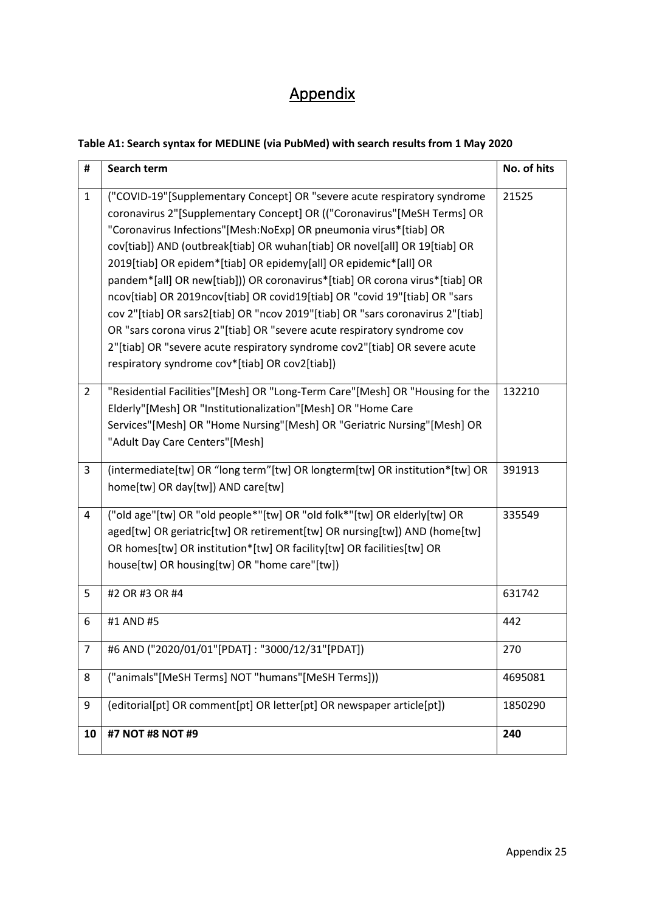# Appendix

## **Table A1: Search syntax for MEDLINE (via PubMed) with search results from 1 May 2020**

| #              | Search term                                                                                                                                                                                                                                                                                                                                                                                                                                                                                                                                                                                                                                                                                                                                                                                                                           | No. of hits |
|----------------|---------------------------------------------------------------------------------------------------------------------------------------------------------------------------------------------------------------------------------------------------------------------------------------------------------------------------------------------------------------------------------------------------------------------------------------------------------------------------------------------------------------------------------------------------------------------------------------------------------------------------------------------------------------------------------------------------------------------------------------------------------------------------------------------------------------------------------------|-------------|
| $\mathbf{1}$   | ("COVID-19"[Supplementary Concept] OR "severe acute respiratory syndrome<br>coronavirus 2"[Supplementary Concept] OR (("Coronavirus"[MeSH Terms] OR<br>"Coronavirus Infections"[Mesh:NoExp] OR pneumonia virus*[tiab] OR<br>cov[tiab]) AND (outbreak[tiab] OR wuhan[tiab] OR novel[all] OR 19[tiab] OR<br>2019[tiab] OR epidem*[tiab] OR epidemy[all] OR epidemic*[all] OR<br>pandem*[all] OR new[tiab])) OR coronavirus*[tiab] OR corona virus*[tiab] OR<br>ncov[tiab] OR 2019ncov[tiab] OR covid19[tiab] OR "covid 19"[tiab] OR "sars<br>cov 2"[tiab] OR sars2[tiab] OR "ncov 2019"[tiab] OR "sars coronavirus 2"[tiab]<br>OR "sars corona virus 2"[tiab] OR "severe acute respiratory syndrome cov<br>2"[tiab] OR "severe acute respiratory syndrome cov2"[tiab] OR severe acute<br>respiratory syndrome cov*[tiab] OR cov2[tiab]) | 21525       |
| $\overline{2}$ | "Residential Facilities"[Mesh] OR "Long-Term Care"[Mesh] OR "Housing for the<br>Elderly"[Mesh] OR "Institutionalization"[Mesh] OR "Home Care<br>Services"[Mesh] OR "Home Nursing"[Mesh] OR "Geriatric Nursing"[Mesh] OR<br>"Adult Day Care Centers"[Mesh]                                                                                                                                                                                                                                                                                                                                                                                                                                                                                                                                                                             | 132210      |
| 3              | (intermediate[tw] OR "long term"[tw] OR longterm[tw] OR institution*[tw] OR<br>home[tw] OR day[tw]) AND care[tw]                                                                                                                                                                                                                                                                                                                                                                                                                                                                                                                                                                                                                                                                                                                      | 391913      |
| 4              | ("old age"[tw] OR "old people*"[tw] OR "old folk*"[tw] OR elderly[tw] OR<br>aged[tw] OR geriatric[tw] OR retirement[tw] OR nursing[tw]) AND (home[tw]<br>OR homes[tw] OR institution*[tw] OR facility[tw] OR facilities[tw] OR<br>house[tw] OR housing[tw] OR "home care"[tw])                                                                                                                                                                                                                                                                                                                                                                                                                                                                                                                                                        | 335549      |
| 5              | #2 OR #3 OR #4                                                                                                                                                                                                                                                                                                                                                                                                                                                                                                                                                                                                                                                                                                                                                                                                                        | 631742      |
| 6              | #1 AND #5                                                                                                                                                                                                                                                                                                                                                                                                                                                                                                                                                                                                                                                                                                                                                                                                                             | 442         |
| $\overline{7}$ | #6 AND ("2020/01/01"[PDAT]: "3000/12/31"[PDAT])                                                                                                                                                                                                                                                                                                                                                                                                                                                                                                                                                                                                                                                                                                                                                                                       | 270         |
| 8              | ("animals"[MeSH Terms] NOT "humans"[MeSH Terms]))                                                                                                                                                                                                                                                                                                                                                                                                                                                                                                                                                                                                                                                                                                                                                                                     | 4695081     |
| 9              | (editorial[pt] OR comment[pt] OR letter[pt] OR newspaper article[pt])                                                                                                                                                                                                                                                                                                                                                                                                                                                                                                                                                                                                                                                                                                                                                                 | 1850290     |
| 10             | #7 NOT #8 NOT #9                                                                                                                                                                                                                                                                                                                                                                                                                                                                                                                                                                                                                                                                                                                                                                                                                      | 240         |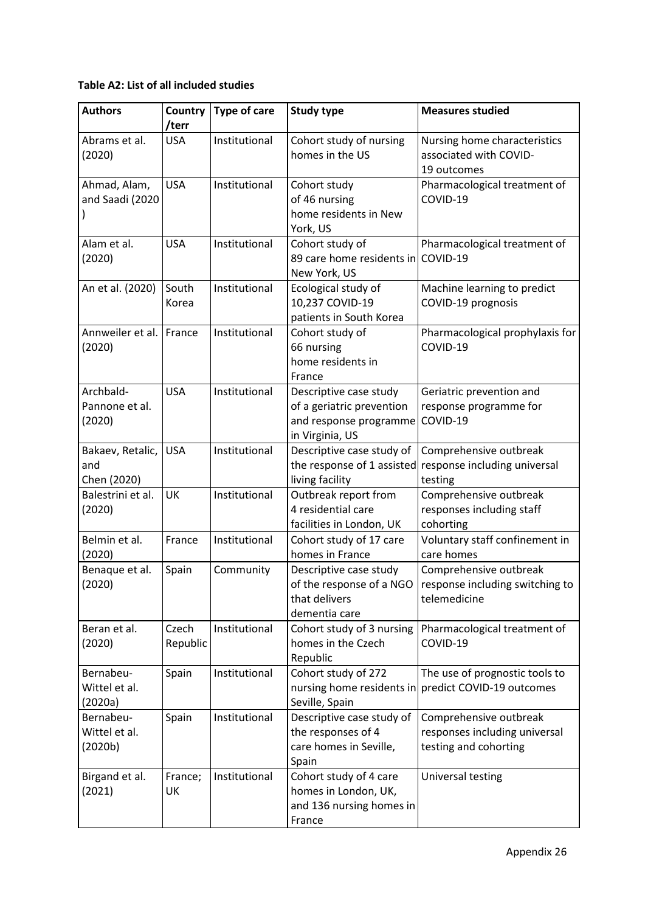## **Table A2: List of all included studies**

| <b>Authors</b>                         | Country<br>/terr  | <b>Type of care</b> | <b>Study type</b>                                                                                | <b>Measures studied</b>                                                          |
|----------------------------------------|-------------------|---------------------|--------------------------------------------------------------------------------------------------|----------------------------------------------------------------------------------|
| Abrams et al.<br>(2020)                | <b>USA</b>        | Institutional       | Cohort study of nursing<br>homes in the US                                                       | Nursing home characteristics<br>associated with COVID-<br>19 outcomes            |
| Ahmad, Alam,<br>and Saadi (2020        | <b>USA</b>        | Institutional       | Cohort study<br>of 46 nursing<br>home residents in New<br>York, US                               | Pharmacological treatment of<br>COVID-19                                         |
| Alam et al.<br>(2020)                  | <b>USA</b>        | Institutional       | Cohort study of<br>89 care home residents in<br>New York, US                                     | Pharmacological treatment of<br>COVID-19                                         |
| An et al. (2020)                       | South<br>Korea    | Institutional       | Ecological study of<br>10,237 COVID-19<br>patients in South Korea                                | Machine learning to predict<br>COVID-19 prognosis                                |
| Annweiler et al.<br>(2020)             | France            | Institutional       | Cohort study of<br>66 nursing<br>home residents in<br>France                                     | Pharmacological prophylaxis for<br>COVID-19                                      |
| Archbald-<br>Pannone et al.<br>(2020)  | <b>USA</b>        | Institutional       | Descriptive case study<br>of a geriatric prevention<br>and response programme<br>in Virginia, US | Geriatric prevention and<br>response programme for<br>COVID-19                   |
| Bakaev, Retalic,<br>and<br>Chen (2020) | <b>USA</b>        | Institutional       | Descriptive case study of<br>the response of 1 assisted<br>living facility                       | Comprehensive outbreak<br>response including universal<br>testing                |
| Balestrini et al.<br>(2020)            | UK                | Institutional       | Outbreak report from<br>4 residential care<br>facilities in London, UK                           | Comprehensive outbreak<br>responses including staff<br>cohorting                 |
| Belmin et al.<br>(2020)                | France            | Institutional       | Cohort study of 17 care<br>homes in France                                                       | Voluntary staff confinement in<br>care homes                                     |
| Benaque et al.<br>(2020)               | Spain             | Community           | Descriptive case study<br>of the response of a NGO<br>that delivers<br>dementia care             | Comprehensive outbreak<br>response including switching to<br>telemedicine        |
| Beran et al.<br>(2020)                 | Czech<br>Republic | Institutional       | Cohort study of 3 nursing<br>homes in the Czech<br>Republic                                      | Pharmacological treatment of<br>COVID-19                                         |
| Bernabeu-<br>Wittel et al.<br>(2020a)  | Spain             | Institutional       | Cohort study of 272<br>nursing home residents in<br>Seville, Spain                               | The use of prognostic tools to<br>predict COVID-19 outcomes                      |
| Bernabeu-<br>Wittel et al.<br>(2020b)  | Spain             | Institutional       | Descriptive case study of<br>the responses of 4<br>care homes in Seville,<br>Spain               | Comprehensive outbreak<br>responses including universal<br>testing and cohorting |
| Birgand et al.<br>(2021)               | France;<br>UK     | Institutional       | Cohort study of 4 care<br>homes in London, UK,<br>and 136 nursing homes in<br>France             | Universal testing                                                                |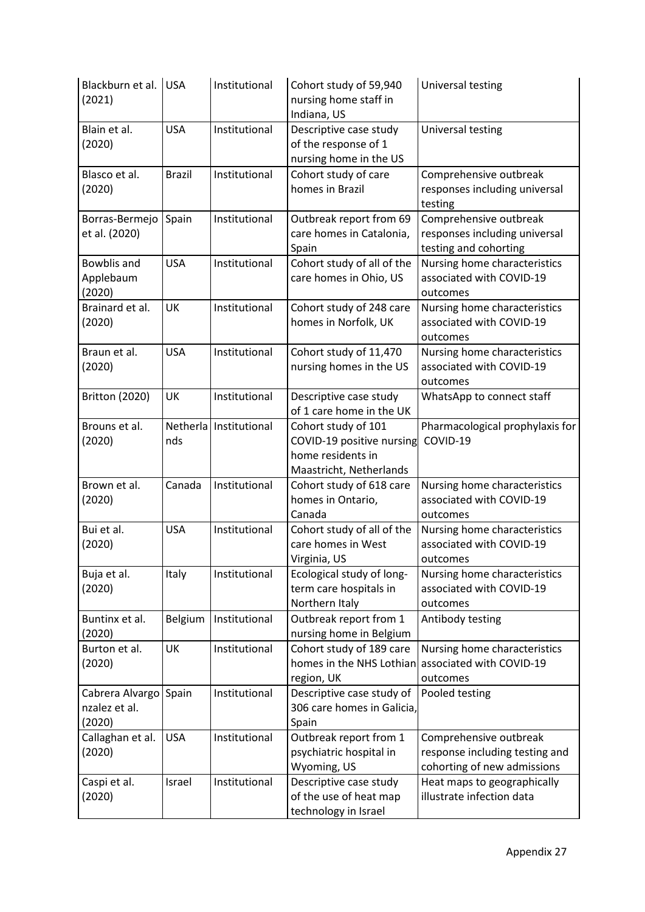| Blackburn et al. USA<br>(2021)             |               | Institutional            | Cohort study of 59,940<br>nursing home staff in<br>Indiana, US                                   | Universal testing                                                                       |
|--------------------------------------------|---------------|--------------------------|--------------------------------------------------------------------------------------------------|-----------------------------------------------------------------------------------------|
| Blain et al.<br>(2020)                     | <b>USA</b>    | Institutional            | Descriptive case study<br>of the response of 1<br>nursing home in the US                         | Universal testing                                                                       |
| Blasco et al.<br>(2020)                    | <b>Brazil</b> | Institutional            | Cohort study of care<br>homes in Brazil                                                          | Comprehensive outbreak<br>responses including universal<br>testing                      |
| Borras-Bermejo<br>et al. (2020)            | Spain         | Institutional            | Outbreak report from 69<br>care homes in Catalonia,<br>Spain                                     | Comprehensive outbreak<br>responses including universal<br>testing and cohorting        |
| Bowblis and<br>Applebaum<br>(2020)         | <b>USA</b>    | Institutional            | Cohort study of all of the<br>care homes in Ohio, US                                             | Nursing home characteristics<br>associated with COVID-19<br>outcomes                    |
| Brainard et al.<br>(2020)                  | UK            | Institutional            | Cohort study of 248 care<br>homes in Norfolk, UK                                                 | Nursing home characteristics<br>associated with COVID-19<br>outcomes                    |
| Braun et al.<br>(2020)                     | <b>USA</b>    | Institutional            | Cohort study of 11,470<br>nursing homes in the US                                                | Nursing home characteristics<br>associated with COVID-19<br>outcomes                    |
| <b>Britton (2020)</b>                      | UK            | Institutional            | Descriptive case study<br>of 1 care home in the UK                                               | WhatsApp to connect staff                                                               |
| Brouns et al.<br>(2020)                    | nds           | Netherla   Institutional | Cohort study of 101<br>COVID-19 positive nursing<br>home residents in<br>Maastricht, Netherlands | Pharmacological prophylaxis for<br>COVID-19                                             |
| Brown et al.<br>(2020)                     | Canada        | Institutional            | Cohort study of 618 care<br>homes in Ontario,<br>Canada                                          | Nursing home characteristics<br>associated with COVID-19<br>outcomes                    |
| Bui et al.<br>(2020)                       | <b>USA</b>    | Institutional            | Cohort study of all of the<br>care homes in West<br>Virginia, US                                 | Nursing home characteristics<br>associated with COVID-19<br>outcomes                    |
| Buja et al.<br>(2020)                      | Italy         | Institutional            | Ecological study of long-<br>term care hospitals in<br>Northern Italy                            | Nursing home characteristics<br>associated with COVID-19<br>outcomes                    |
| Buntinx et al.<br>(2020)                   | Belgium       | Institutional            | Outbreak report from 1<br>nursing home in Belgium                                                | Antibody testing                                                                        |
| Burton et al.<br>(2020)                    | UK            | Institutional            | Cohort study of 189 care<br>homes in the NHS Lothian<br>region, UK                               | Nursing home characteristics<br>associated with COVID-19<br>outcomes                    |
| Cabrera Alvargo<br>nzalez et al.<br>(2020) | Spain         | Institutional            | Descriptive case study of<br>306 care homes in Galicia,<br>Spain                                 | Pooled testing                                                                          |
| Callaghan et al.<br>(2020)                 | <b>USA</b>    | Institutional            | Outbreak report from 1<br>psychiatric hospital in<br>Wyoming, US                                 | Comprehensive outbreak<br>response including testing and<br>cohorting of new admissions |
| Caspi et al.<br>(2020)                     | Israel        | Institutional            | Descriptive case study<br>of the use of heat map<br>technology in Israel                         | Heat maps to geographically<br>illustrate infection data                                |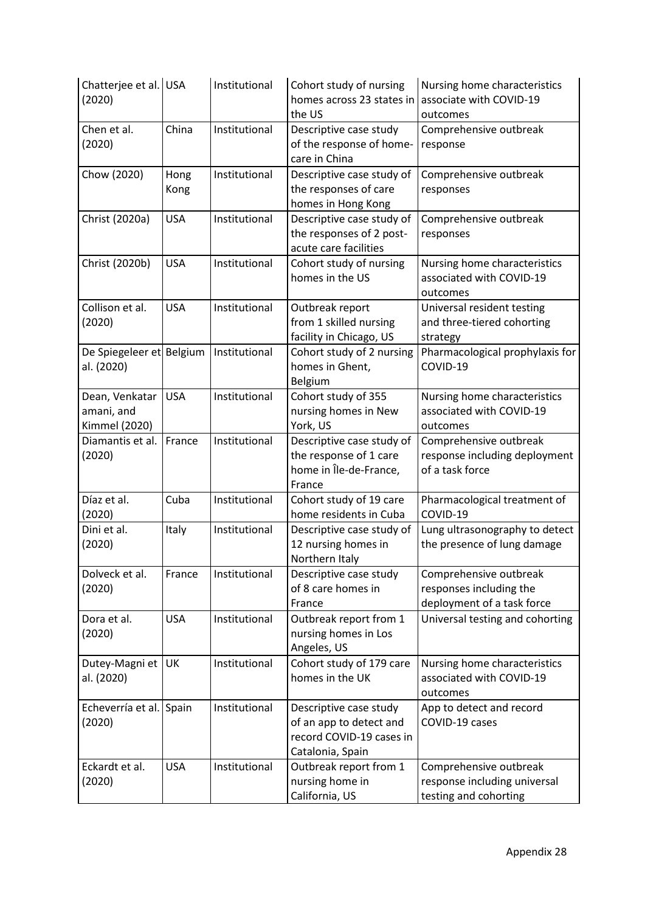| Chatterjee et al. USA<br>(2020)               |              | Institutional | Cohort study of nursing<br>homes across 23 states in<br>the US                                    | Nursing home characteristics<br>associate with COVID-19<br>outcomes             |
|-----------------------------------------------|--------------|---------------|---------------------------------------------------------------------------------------------------|---------------------------------------------------------------------------------|
| Chen et al.<br>(2020)                         | China        | Institutional | Descriptive case study<br>of the response of home-<br>care in China                               | Comprehensive outbreak<br>response                                              |
| Chow (2020)                                   | Hong<br>Kong | Institutional | Descriptive case study of<br>the responses of care<br>homes in Hong Kong                          | Comprehensive outbreak<br>responses                                             |
| Christ (2020a)                                | <b>USA</b>   | Institutional | Descriptive case study of<br>the responses of 2 post-<br>acute care facilities                    | Comprehensive outbreak<br>responses                                             |
| Christ (2020b)                                | <b>USA</b>   | Institutional | Cohort study of nursing<br>homes in the US                                                        | Nursing home characteristics<br>associated with COVID-19<br>outcomes            |
| Collison et al.<br>(2020)                     | <b>USA</b>   | Institutional | Outbreak report<br>from 1 skilled nursing<br>facility in Chicago, US                              | Universal resident testing<br>and three-tiered cohorting<br>strategy            |
| De Spiegeleer et Belgium<br>al. (2020)        |              | Institutional | Cohort study of 2 nursing<br>homes in Ghent,<br>Belgium                                           | Pharmacological prophylaxis for<br>COVID-19                                     |
| Dean, Venkatar<br>amani, and<br>Kimmel (2020) | <b>USA</b>   | Institutional | Cohort study of 355<br>nursing homes in New<br>York, US                                           | Nursing home characteristics<br>associated with COVID-19<br>outcomes            |
| Diamantis et al.<br>(2020)                    | France       | Institutional | Descriptive case study of<br>the response of 1 care<br>home in Île-de-France,<br>France           | Comprehensive outbreak<br>response including deployment<br>of a task force      |
| Díaz et al.<br>(2020)                         | Cuba         | Institutional | Cohort study of 19 care<br>home residents in Cuba                                                 | Pharmacological treatment of<br>COVID-19                                        |
| Dini et al.<br>(2020)                         | Italy        | Institutional | Descriptive case study of<br>12 nursing homes in<br>Northern Italy                                | Lung ultrasonography to detect<br>the presence of lung damage                   |
| Dolveck et al.<br>(2020)                      | France       | Institutional | Descriptive case study<br>of 8 care homes in<br>France                                            | Comprehensive outbreak<br>responses including the<br>deployment of a task force |
| Dora et al.<br>(2020)                         | <b>USA</b>   | Institutional | Outbreak report from 1<br>nursing homes in Los<br>Angeles, US                                     | Universal testing and cohorting                                                 |
| Dutey-Magni et<br>al. (2020)                  | UK           | Institutional | Cohort study of 179 care<br>homes in the UK                                                       | Nursing home characteristics<br>associated with COVID-19<br>outcomes            |
| Echeverría et al.<br>(2020)                   | Spain        | Institutional | Descriptive case study<br>of an app to detect and<br>record COVID-19 cases in<br>Catalonia, Spain | App to detect and record<br>COVID-19 cases                                      |
| Eckardt et al.<br>(2020)                      | <b>USA</b>   | Institutional | Outbreak report from 1<br>nursing home in<br>California, US                                       | Comprehensive outbreak<br>response including universal<br>testing and cohorting |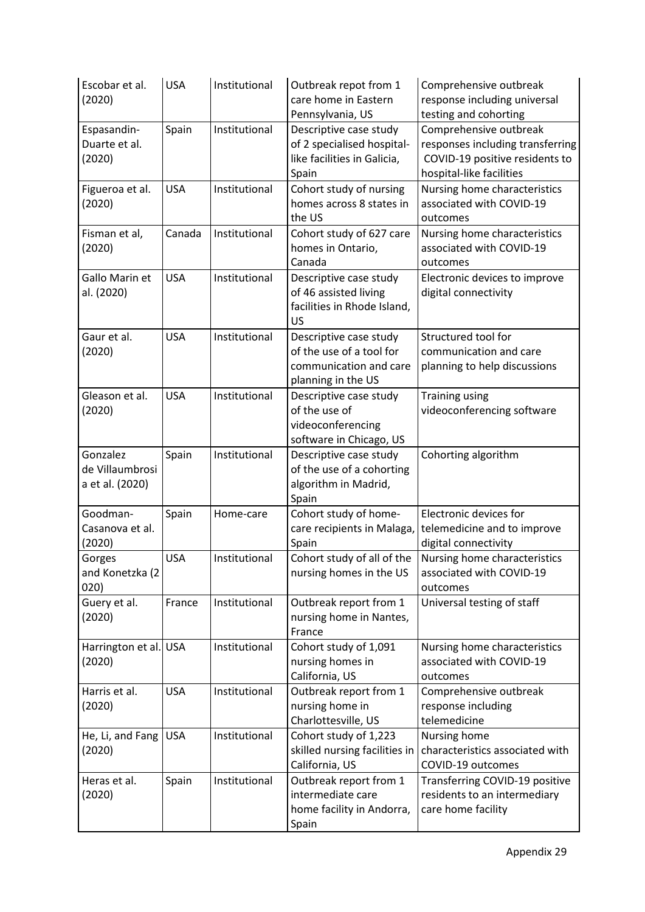| Escobar et al.<br>(2020)                       | <b>USA</b> | Institutional | Outbreak repot from 1<br>care home in Eastern<br>Pennsylvania, US                                  | Comprehensive outbreak<br>response including universal<br>testing and cohorting                                          |
|------------------------------------------------|------------|---------------|----------------------------------------------------------------------------------------------------|--------------------------------------------------------------------------------------------------------------------------|
| Espasandin-<br>Duarte et al.<br>(2020)         | Spain      | Institutional | Descriptive case study<br>of 2 specialised hospital-<br>like facilities in Galicia,<br>Spain       | Comprehensive outbreak<br>responses including transferring<br>COVID-19 positive residents to<br>hospital-like facilities |
| Figueroa et al.<br>(2020)                      | <b>USA</b> | Institutional | Cohort study of nursing<br>homes across 8 states in<br>the US                                      | Nursing home characteristics<br>associated with COVID-19<br>outcomes                                                     |
| Fisman et al,<br>(2020)                        | Canada     | Institutional | Cohort study of 627 care<br>homes in Ontario,<br>Canada                                            | Nursing home characteristics<br>associated with COVID-19<br>outcomes                                                     |
| Gallo Marin et<br>al. (2020)                   | <b>USA</b> | Institutional | Descriptive case study<br>of 46 assisted living<br>facilities in Rhode Island,<br><b>US</b>        | Electronic devices to improve<br>digital connectivity                                                                    |
| Gaur et al.<br>(2020)                          | <b>USA</b> | Institutional | Descriptive case study<br>of the use of a tool for<br>communication and care<br>planning in the US | Structured tool for<br>communication and care<br>planning to help discussions                                            |
| Gleason et al.<br>(2020)                       | <b>USA</b> | Institutional | Descriptive case study<br>of the use of<br>videoconferencing<br>software in Chicago, US            | <b>Training using</b><br>videoconferencing software                                                                      |
| Gonzalez<br>de Villaumbrosi<br>a et al. (2020) | Spain      | Institutional | Descriptive case study<br>of the use of a cohorting<br>algorithm in Madrid,<br>Spain               | Cohorting algorithm                                                                                                      |
| Goodman-<br>Casanova et al.<br>(2020)          | Spain      | Home-care     | Cohort study of home-<br>care recipients in Malaga,<br>Spain                                       | Electronic devices for<br>telemedicine and to improve<br>digital connectivity                                            |
| Gorges<br>and Konetzka (2<br>020)              | <b>USA</b> | Institutional | Cohort study of all of the<br>nursing homes in the US                                              | Nursing home characteristics<br>associated with COVID-19<br>outcomes                                                     |
| Guery et al.<br>(2020)                         | France     | Institutional | Outbreak report from 1<br>nursing home in Nantes,<br>France                                        | Universal testing of staff                                                                                               |
| Harrington et al. USA<br>(2020)                |            | Institutional | Cohort study of 1,091<br>nursing homes in<br>California, US                                        | Nursing home characteristics<br>associated with COVID-19<br>outcomes                                                     |
| Harris et al.<br>(2020)                        | <b>USA</b> | Institutional | Outbreak report from 1<br>nursing home in<br>Charlottesville, US                                   | Comprehensive outbreak<br>response including<br>telemedicine                                                             |
| He, Li, and Fang<br>(2020)                     | <b>USA</b> | Institutional | Cohort study of 1,223<br>skilled nursing facilities in<br>California, US                           | Nursing home<br>characteristics associated with<br>COVID-19 outcomes                                                     |
| Heras et al.<br>(2020)                         | Spain      | Institutional | Outbreak report from 1<br>intermediate care<br>home facility in Andorra,<br>Spain                  | Transferring COVID-19 positive<br>residents to an intermediary<br>care home facility                                     |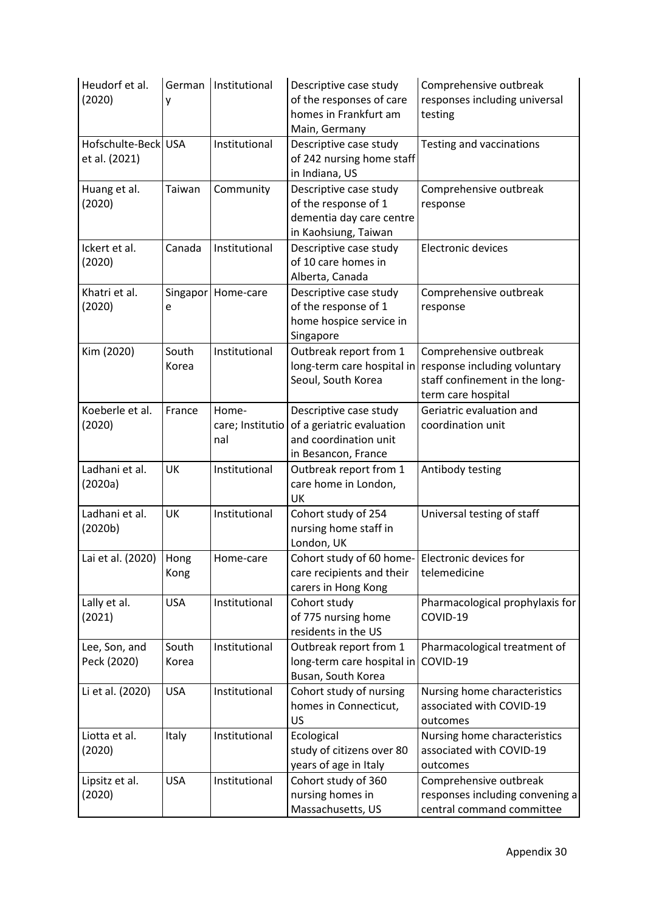| Heudorf et al.<br>(2020)             | y              | German   Institutional           | Descriptive case study<br>of the responses of care<br>homes in Frankfurt am<br>Main, Germany        | Comprehensive outbreak<br>responses including universal<br>testing                                             |
|--------------------------------------|----------------|----------------------------------|-----------------------------------------------------------------------------------------------------|----------------------------------------------------------------------------------------------------------------|
| Hofschulte-Beck USA<br>et al. (2021) |                | Institutional                    | Descriptive case study<br>of 242 nursing home staff<br>in Indiana, US                               | Testing and vaccinations                                                                                       |
| Huang et al.<br>(2020)               | Taiwan         | Community                        | Descriptive case study<br>of the response of 1<br>dementia day care centre<br>in Kaohsiung, Taiwan  | Comprehensive outbreak<br>response                                                                             |
| Ickert et al.<br>(2020)              | Canada         | Institutional                    | Descriptive case study<br>of 10 care homes in<br>Alberta, Canada                                    | Electronic devices                                                                                             |
| Khatri et al.<br>(2020)              | e              | Singapor   Home-care             | Descriptive case study<br>of the response of 1<br>home hospice service in<br>Singapore              | Comprehensive outbreak<br>response                                                                             |
| Kim (2020)                           | South<br>Korea | Institutional                    | Outbreak report from 1<br>long-term care hospital in<br>Seoul, South Korea                          | Comprehensive outbreak<br>response including voluntary<br>staff confinement in the long-<br>term care hospital |
| Koeberle et al.<br>(2020)            | France         | Home-<br>care; Institutio<br>nal | Descriptive case study<br>of a geriatric evaluation<br>and coordination unit<br>in Besancon, France | Geriatric evaluation and<br>coordination unit                                                                  |
| Ladhani et al.<br>(2020a)            | UK             | Institutional                    | Outbreak report from 1<br>care home in London,<br>UK                                                | Antibody testing                                                                                               |
| Ladhani et al.<br>(2020b)            | UK             | Institutional                    | Cohort study of 254<br>nursing home staff in<br>London, UK                                          | Universal testing of staff                                                                                     |
| Lai et al. (2020)                    | Hong<br>Kong   | Home-care                        | Cohort study of 60 home- Electronic devices for<br>care recipients and their<br>carers in Hong Kong | telemedicine                                                                                                   |
| Lally et al.<br>(2021)               | <b>USA</b>     | Institutional                    | Cohort study<br>of 775 nursing home<br>residents in the US                                          | Pharmacological prophylaxis for<br>COVID-19                                                                    |
| Lee, Son, and<br>Peck (2020)         | South<br>Korea | Institutional                    | Outbreak report from 1<br>long-term care hospital in<br>Busan, South Korea                          | Pharmacological treatment of<br>COVID-19                                                                       |
| Li et al. (2020)                     | <b>USA</b>     | Institutional                    | Cohort study of nursing<br>homes in Connecticut,<br>US                                              | Nursing home characteristics<br>associated with COVID-19<br>outcomes                                           |
| Liotta et al.<br>(2020)              | Italy          | Institutional                    | Ecological<br>study of citizens over 80<br>years of age in Italy                                    | Nursing home characteristics<br>associated with COVID-19<br>outcomes                                           |
| Lipsitz et al.<br>(2020)             | <b>USA</b>     | Institutional                    | Cohort study of 360<br>nursing homes in<br>Massachusetts, US                                        | Comprehensive outbreak<br>responses including convening a<br>central command committee                         |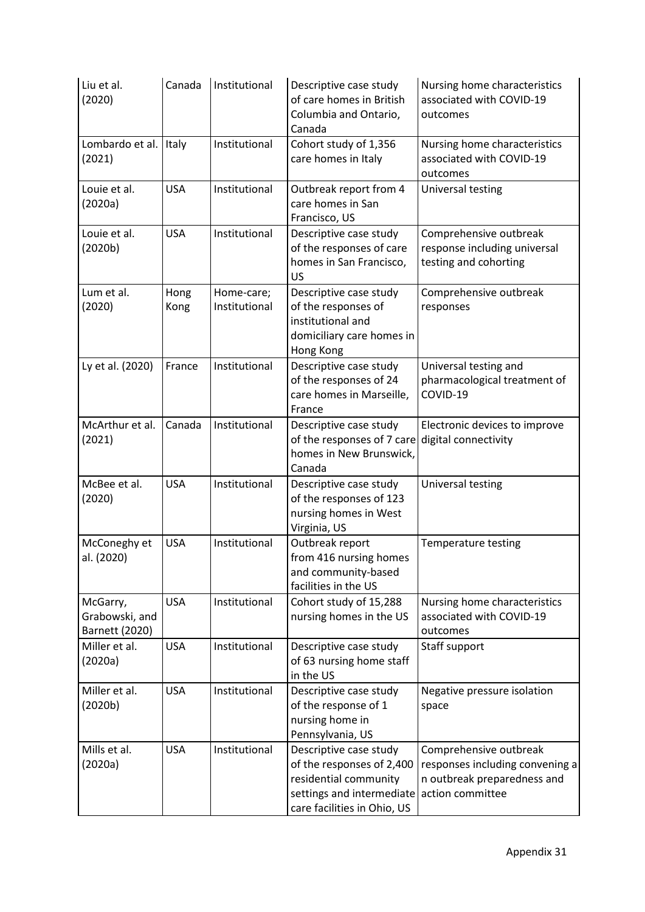| Liu et al.<br>(2020)                         | Canada       | Institutional               | Descriptive case study<br>of care homes in British<br>Columbia and Ontario,<br>Canada                                                    | Nursing home characteristics<br>associated with COVID-19<br>outcomes                                         |
|----------------------------------------------|--------------|-----------------------------|------------------------------------------------------------------------------------------------------------------------------------------|--------------------------------------------------------------------------------------------------------------|
| Lombardo et al.<br>(2021)                    | Italy        | Institutional               | Cohort study of 1,356<br>care homes in Italy                                                                                             | Nursing home characteristics<br>associated with COVID-19<br>outcomes                                         |
| Louie et al.<br>(2020a)                      | <b>USA</b>   | Institutional               | Outbreak report from 4<br>care homes in San<br>Francisco, US                                                                             | Universal testing                                                                                            |
| Louie et al.<br>(2020b)                      | <b>USA</b>   | Institutional               | Descriptive case study<br>of the responses of care<br>homes in San Francisco,<br>US                                                      | Comprehensive outbreak<br>response including universal<br>testing and cohorting                              |
| Lum et al.<br>(2020)                         | Hong<br>Kong | Home-care;<br>Institutional | Descriptive case study<br>of the responses of<br>institutional and<br>domiciliary care homes in<br>Hong Kong                             | Comprehensive outbreak<br>responses                                                                          |
| Ly et al. (2020)                             | France       | Institutional               | Descriptive case study<br>of the responses of 24<br>care homes in Marseille,<br>France                                                   | Universal testing and<br>pharmacological treatment of<br>COVID-19                                            |
| McArthur et al.<br>(2021)                    | Canada       | Institutional               | Descriptive case study<br>of the responses of 7 care<br>homes in New Brunswick,<br>Canada                                                | Electronic devices to improve<br>digital connectivity                                                        |
| McBee et al.<br>(2020)                       | <b>USA</b>   | Institutional               | Descriptive case study<br>of the responses of 123<br>nursing homes in West<br>Virginia, US                                               | Universal testing                                                                                            |
| McConeghy et<br>al. (2020)                   | <b>USA</b>   | Institutional               | Outbreak report<br>from 416 nursing homes<br>and community-based<br>facilities in the US                                                 | <b>Temperature testing</b>                                                                                   |
| McGarry,<br>Grabowski, and<br>Barnett (2020) | <b>USA</b>   | Institutional               | Cohort study of 15,288<br>nursing homes in the US                                                                                        | Nursing home characteristics<br>associated with COVID-19<br>outcomes                                         |
| Miller et al.<br>(2020a)                     | <b>USA</b>   | Institutional               | Descriptive case study<br>of 63 nursing home staff<br>in the US                                                                          | Staff support                                                                                                |
| Miller et al.<br>(2020b)                     | <b>USA</b>   | Institutional               | Descriptive case study<br>of the response of 1<br>nursing home in<br>Pennsylvania, US                                                    | Negative pressure isolation<br>space                                                                         |
| Mills et al.<br>(2020a)                      | <b>USA</b>   | Institutional               | Descriptive case study<br>of the responses of 2,400<br>residential community<br>settings and intermediate<br>care facilities in Ohio, US | Comprehensive outbreak<br>responses including convening a<br>n outbreak preparedness and<br>action committee |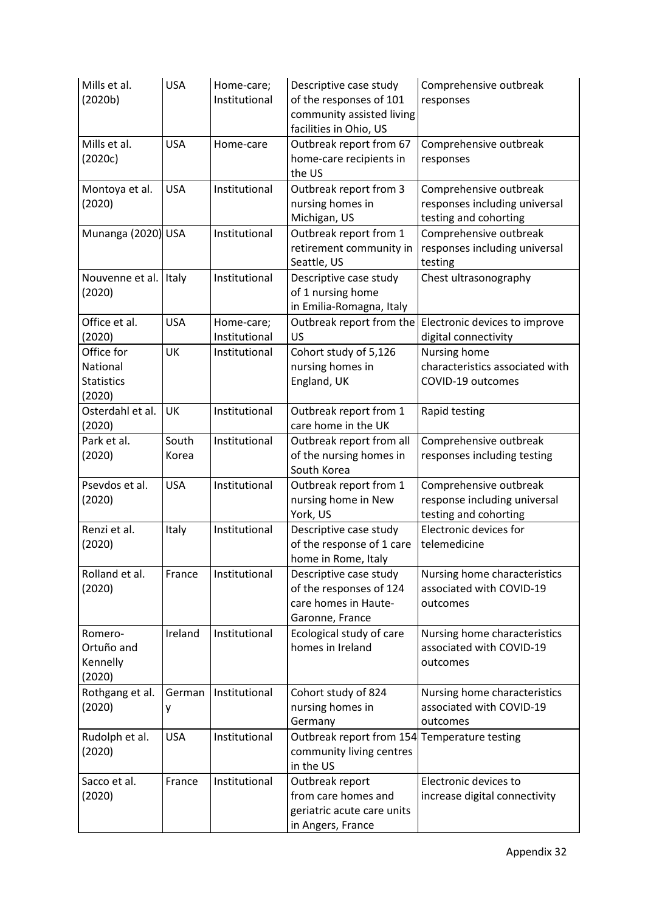| Mills et al.<br>(2020b)                               | <b>USA</b>     | Home-care;<br>Institutional | Descriptive case study<br>of the responses of 101<br>community assisted living<br>facilities in Ohio, US | Comprehensive outbreak<br>responses                                              |
|-------------------------------------------------------|----------------|-----------------------------|----------------------------------------------------------------------------------------------------------|----------------------------------------------------------------------------------|
| Mills et al.<br>(2020c)                               | <b>USA</b>     | Home-care                   | Outbreak report from 67<br>home-care recipients in<br>the US                                             | Comprehensive outbreak<br>responses                                              |
| Montoya et al.<br>(2020)                              | <b>USA</b>     | Institutional               | Outbreak report from 3<br>nursing homes in<br>Michigan, US                                               | Comprehensive outbreak<br>responses including universal<br>testing and cohorting |
| Munanga (2020) USA                                    |                | Institutional               | Outbreak report from 1<br>retirement community in<br>Seattle, US                                         | Comprehensive outbreak<br>responses including universal<br>testing               |
| Nouvenne et al.<br>(2020)                             | Italy          | Institutional               | Descriptive case study<br>of 1 nursing home<br>in Emilia-Romagna, Italy                                  | Chest ultrasonography                                                            |
| Office et al.<br>(2020)                               | <b>USA</b>     | Home-care;<br>Institutional | Outbreak report from the<br><b>US</b>                                                                    | Electronic devices to improve<br>digital connectivity                            |
| Office for<br>National<br><b>Statistics</b><br>(2020) | UK             | Institutional               | Cohort study of 5,126<br>nursing homes in<br>England, UK                                                 | Nursing home<br>characteristics associated with<br>COVID-19 outcomes             |
| Osterdahl et al.<br>(2020)                            | UK             | Institutional               | Outbreak report from 1<br>care home in the UK                                                            | Rapid testing                                                                    |
| Park et al.<br>(2020)                                 | South<br>Korea | Institutional               | Outbreak report from all<br>of the nursing homes in<br>South Korea                                       | Comprehensive outbreak<br>responses including testing                            |
| Psevdos et al.<br>(2020)                              | <b>USA</b>     | Institutional               | Outbreak report from 1<br>nursing home in New<br>York, US                                                | Comprehensive outbreak<br>response including universal<br>testing and cohorting  |
| Renzi et al.<br>(2020)                                | Italy          | Institutional               | Descriptive case study<br>of the response of 1 care<br>home in Rome, Italy                               | Electronic devices for<br>telemedicine                                           |
| Rolland et al.<br>(2020)                              | France         | Institutional               | Descriptive case study<br>of the responses of 124<br>care homes in Haute-<br>Garonne, France             | Nursing home characteristics<br>associated with COVID-19<br>outcomes             |
| Romero-<br>Ortuño and<br>Kennelly<br>(2020)           | Ireland        | Institutional               | Ecological study of care<br>homes in Ireland                                                             | Nursing home characteristics<br>associated with COVID-19<br>outcomes             |
| Rothgang et al.<br>(2020)                             | German<br>у    | Institutional               | Cohort study of 824<br>nursing homes in<br>Germany                                                       | Nursing home characteristics<br>associated with COVID-19<br>outcomes             |
| Rudolph et al.<br>(2020)                              | <b>USA</b>     | Institutional               | Outbreak report from 154 Temperature testing<br>community living centres<br>in the US                    |                                                                                  |
| Sacco et al.<br>(2020)                                | France         | Institutional               | Outbreak report<br>from care homes and<br>geriatric acute care units<br>in Angers, France                | Electronic devices to<br>increase digital connectivity                           |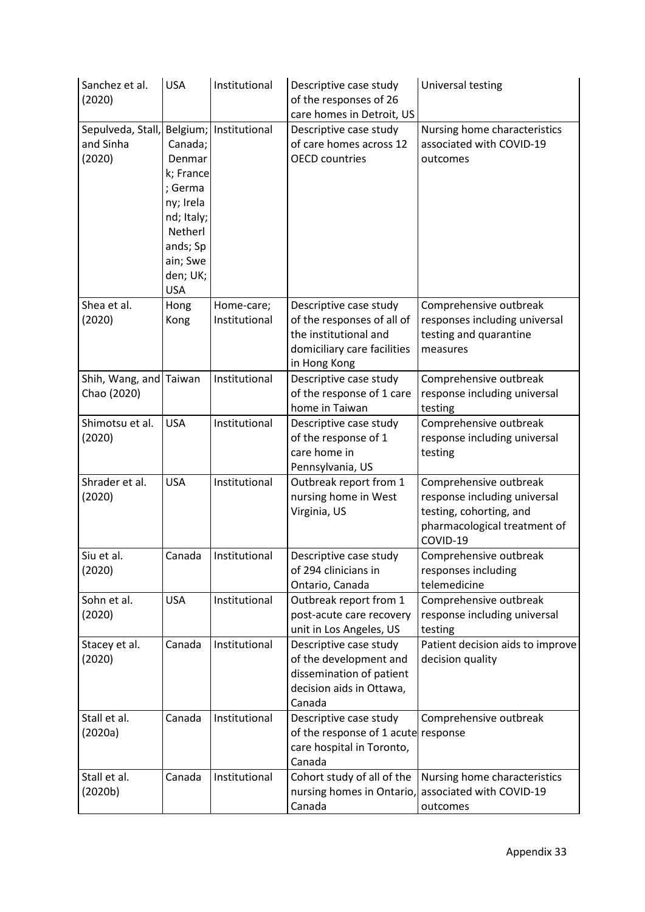| Sanchez et al.<br>(2020)                 | <b>USA</b>                                                                                                                        | Institutional               | Descriptive case study<br>of the responses of 26<br>care homes in Detroit, US                                                | Universal testing                                                                                                             |
|------------------------------------------|-----------------------------------------------------------------------------------------------------------------------------------|-----------------------------|------------------------------------------------------------------------------------------------------------------------------|-------------------------------------------------------------------------------------------------------------------------------|
| Sepulveda, Stall,<br>and Sinha<br>(2020) | Canada;<br>Denmar<br>k; France<br>; Germa<br>ny; Irela<br>nd; Italy;<br>Netherl<br>ands; Sp<br>ain; Swe<br>den; UK;<br><b>USA</b> | Belgium; Institutional      | Descriptive case study<br>of care homes across 12<br><b>OECD</b> countries                                                   | Nursing home characteristics<br>associated with COVID-19<br>outcomes                                                          |
| Shea et al.<br>(2020)                    | Hong<br>Kong                                                                                                                      | Home-care;<br>Institutional | Descriptive case study<br>of the responses of all of<br>the institutional and<br>domiciliary care facilities<br>in Hong Kong | Comprehensive outbreak<br>responses including universal<br>testing and quarantine<br>measures                                 |
| Shih, Wang, and<br>Chao (2020)           | Taiwan                                                                                                                            | Institutional               | Descriptive case study<br>of the response of 1 care<br>home in Taiwan                                                        | Comprehensive outbreak<br>response including universal<br>testing                                                             |
| Shimotsu et al.<br>(2020)                | <b>USA</b>                                                                                                                        | Institutional               | Descriptive case study<br>of the response of 1<br>care home in<br>Pennsylvania, US                                           | Comprehensive outbreak<br>response including universal<br>testing                                                             |
| Shrader et al.<br>(2020)                 | <b>USA</b>                                                                                                                        | Institutional               | Outbreak report from 1<br>nursing home in West<br>Virginia, US                                                               | Comprehensive outbreak<br>response including universal<br>testing, cohorting, and<br>pharmacological treatment of<br>COVID-19 |
| Siu et al.<br>(2020)                     | Canada                                                                                                                            | Institutional               | Descriptive case study<br>of 294 clinicians in<br>Ontario, Canada                                                            | Comprehensive outbreak<br>responses including<br>telemedicine                                                                 |
| Sohn et al.<br>(2020)                    | <b>USA</b>                                                                                                                        | Institutional               | Outbreak report from 1<br>post-acute care recovery<br>unit in Los Angeles, US                                                | Comprehensive outbreak<br>response including universal<br>testing                                                             |
| Stacey et al.<br>(2020)                  | Canada                                                                                                                            | Institutional               | Descriptive case study<br>of the development and<br>dissemination of patient<br>decision aids in Ottawa,<br>Canada           | Patient decision aids to improve<br>decision quality                                                                          |
| Stall et al.<br>(2020a)                  | Canada                                                                                                                            | Institutional               | Descriptive case study<br>of the response of 1 acute response<br>care hospital in Toronto,<br>Canada                         | Comprehensive outbreak                                                                                                        |
| Stall et al.<br>(2020b)                  | Canada                                                                                                                            | Institutional               | Cohort study of all of the<br>nursing homes in Ontario,<br>Canada                                                            | Nursing home characteristics<br>associated with COVID-19<br>outcomes                                                          |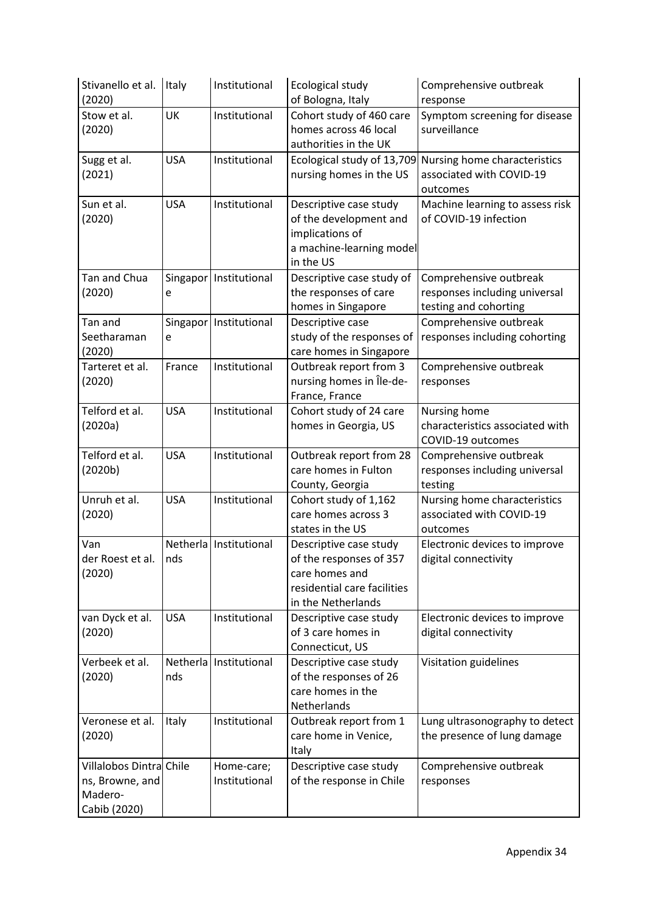| Stivanello et al.<br>(2020)                                           | Italy      | Institutional               | Ecological study<br>of Bologna, Italy                                                                                    | Comprehensive outbreak<br>response                                                              |
|-----------------------------------------------------------------------|------------|-----------------------------|--------------------------------------------------------------------------------------------------------------------------|-------------------------------------------------------------------------------------------------|
| Stow et al.<br>(2020)                                                 | UK         | Institutional               | Cohort study of 460 care<br>homes across 46 local<br>authorities in the UK                                               | Symptom screening for disease<br>surveillance                                                   |
| Sugg et al.<br>(2021)                                                 | <b>USA</b> | Institutional               | nursing homes in the US                                                                                                  | Ecological study of 13,709 Nursing home characteristics<br>associated with COVID-19<br>outcomes |
| Sun et al.<br>(2020)                                                  | <b>USA</b> | Institutional               | Descriptive case study<br>of the development and<br>implications of<br>a machine-learning model<br>in the US             | Machine learning to assess risk<br>of COVID-19 infection                                        |
| Tan and Chua<br>(2020)                                                | e          | Singapor   Institutional    | Descriptive case study of<br>the responses of care<br>homes in Singapore                                                 | Comprehensive outbreak<br>responses including universal<br>testing and cohorting                |
| Tan and<br>Seetharaman<br>(2020)                                      | e          | Singapor   Institutional    | Descriptive case<br>study of the responses of<br>care homes in Singapore                                                 | Comprehensive outbreak<br>responses including cohorting                                         |
| Tarteret et al.<br>(2020)                                             | France     | Institutional               | Outbreak report from 3<br>nursing homes in Île-de-<br>France, France                                                     | Comprehensive outbreak<br>responses                                                             |
| Telford et al.<br>(2020a)                                             | <b>USA</b> | Institutional               | Cohort study of 24 care<br>homes in Georgia, US                                                                          | Nursing home<br>characteristics associated with<br>COVID-19 outcomes                            |
| Telford et al.<br>(2020b)                                             | <b>USA</b> | Institutional               | Outbreak report from 28<br>care homes in Fulton<br>County, Georgia                                                       | Comprehensive outbreak<br>responses including universal<br>testing                              |
| Unruh et al.<br>(2020)                                                | <b>USA</b> | Institutional               | Cohort study of 1,162<br>care homes across 3<br>states in the US                                                         | Nursing home characteristics<br>associated with COVID-19<br>outcomes                            |
| Van<br>der Roest et al.<br>(2020)                                     | nds        | Netherla Institutional      | Descriptive case study<br>of the responses of 357<br>care homes and<br>residential care facilities<br>in the Netherlands | Electronic devices to improve<br>digital connectivity                                           |
| van Dyck et al.<br>(2020)                                             | <b>USA</b> | Institutional               | Descriptive case study<br>of 3 care homes in<br>Connecticut, US                                                          | Electronic devices to improve<br>digital connectivity                                           |
| Verbeek et al.<br>(2020)                                              | nds        | Netherla   Institutional    | Descriptive case study<br>of the responses of 26<br>care homes in the<br>Netherlands                                     | Visitation guidelines                                                                           |
| Veronese et al.<br>(2020)                                             | Italy      | Institutional               | Outbreak report from 1<br>care home in Venice,<br>Italy                                                                  | Lung ultrasonography to detect<br>the presence of lung damage                                   |
| Villalobos Dintra Chile<br>ns, Browne, and<br>Madero-<br>Cabib (2020) |            | Home-care;<br>Institutional | Descriptive case study<br>of the response in Chile                                                                       | Comprehensive outbreak<br>responses                                                             |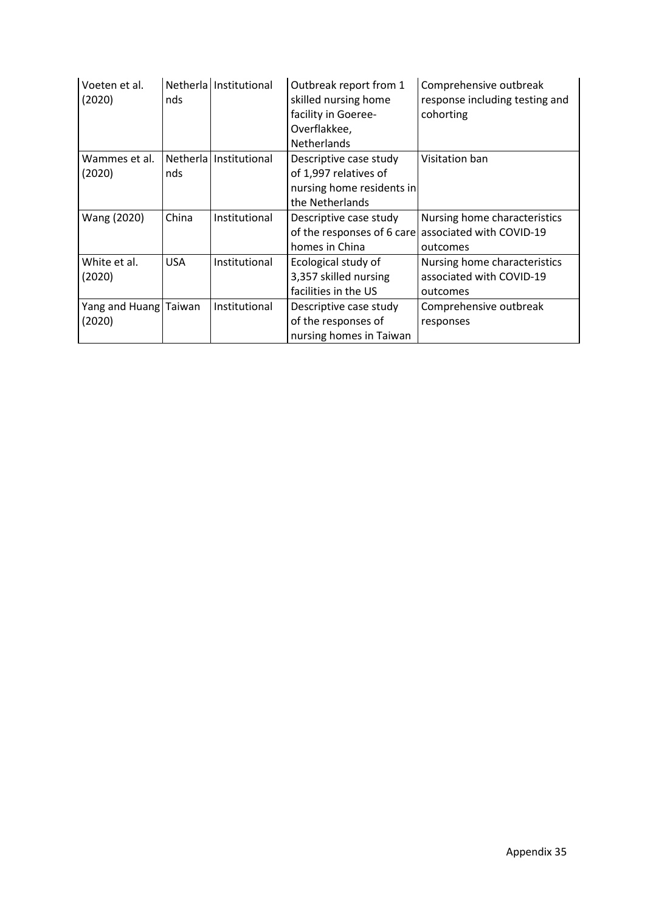| Voeten et al.<br>(2020) | nds        | Netherla   Institutional | Outbreak report from 1<br>skilled nursing home<br>facility in Goeree-<br>Overflakkee,<br><b>Netherlands</b> | Comprehensive outbreak<br>response including testing and<br>cohorting |
|-------------------------|------------|--------------------------|-------------------------------------------------------------------------------------------------------------|-----------------------------------------------------------------------|
| Wammes et al.           |            | Netherla   Institutional | Descriptive case study                                                                                      | Visitation ban                                                        |
| (2020)                  | nds        |                          | of 1,997 relatives of                                                                                       |                                                                       |
|                         |            |                          | nursing home residents in                                                                                   |                                                                       |
|                         |            |                          | the Netherlands                                                                                             |                                                                       |
| Wang (2020)             | China      | Institutional            | Descriptive case study                                                                                      | Nursing home characteristics                                          |
|                         |            |                          |                                                                                                             | of the responses of 6 care associated with COVID-19                   |
|                         |            |                          | homes in China                                                                                              | outcomes                                                              |
| White et al.            | <b>USA</b> | Institutional            | Ecological study of                                                                                         | Nursing home characteristics                                          |
| (2020)                  |            |                          | 3,357 skilled nursing                                                                                       | associated with COVID-19                                              |
|                         |            |                          | facilities in the US                                                                                        | outcomes                                                              |
| Yang and Huang Taiwan   |            | Institutional            | Descriptive case study                                                                                      | Comprehensive outbreak                                                |
| (2020)                  |            |                          | of the responses of                                                                                         | responses                                                             |
|                         |            |                          | nursing homes in Taiwan                                                                                     |                                                                       |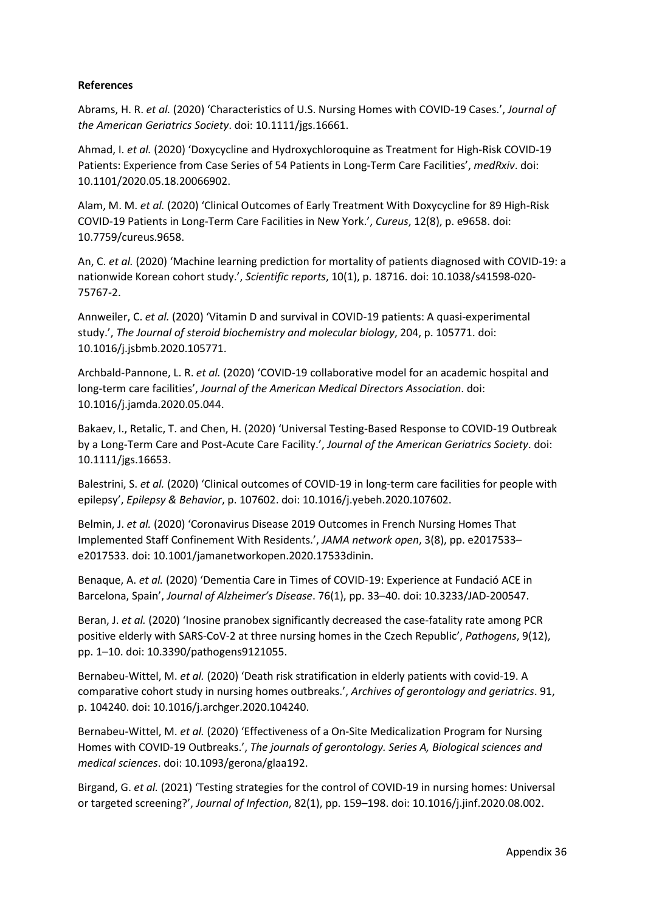### **References**

Abrams, H. R. *et al.* (2020) 'Characteristics of U.S. Nursing Homes with COVID-19 Cases.', *Journal of the American Geriatrics Society*. doi: 10.1111/jgs.16661.

Ahmad, I. *et al.* (2020) 'Doxycycline and Hydroxychloroquine as Treatment for High-Risk COVID-19 Patients: Experience from Case Series of 54 Patients in Long-Term Care Facilities', *medRxiv*. doi: 10.1101/2020.05.18.20066902.

Alam, M. M. *et al.* (2020) 'Clinical Outcomes of Early Treatment With Doxycycline for 89 High-Risk COVID-19 Patients in Long-Term Care Facilities in New York.', *Cureus*, 12(8), p. e9658. doi: 10.7759/cureus.9658.

An, C. *et al.* (2020) 'Machine learning prediction for mortality of patients diagnosed with COVID-19: a nationwide Korean cohort study.', *Scientific reports*, 10(1), p. 18716. doi: 10.1038/s41598-020- 75767-2.

Annweiler, C. *et al.* (2020) 'Vitamin D and survival in COVID-19 patients: A quasi-experimental study.', *The Journal of steroid biochemistry and molecular biology*, 204, p. 105771. doi: 10.1016/j.jsbmb.2020.105771.

Archbald-Pannone, L. R. *et al.* (2020) 'COVID-19 collaborative model for an academic hospital and long-term care facilities', *Journal of the American Medical Directors Association*. doi: 10.1016/j.jamda.2020.05.044.

Bakaev, I., Retalic, T. and Chen, H. (2020) 'Universal Testing-Based Response to COVID-19 Outbreak by a Long-Term Care and Post-Acute Care Facility.', *Journal of the American Geriatrics Society*. doi: 10.1111/jgs.16653.

Balestrini, S. *et al.* (2020) 'Clinical outcomes of COVID-19 in long-term care facilities for people with epilepsy', *Epilepsy & Behavior*, p. 107602. doi: 10.1016/j.yebeh.2020.107602.

Belmin, J. *et al.* (2020) 'Coronavirus Disease 2019 Outcomes in French Nursing Homes That Implemented Staff Confinement With Residents.', *JAMA network open*, 3(8), pp. e2017533– e2017533. doi: 10.1001/jamanetworkopen.2020.17533dinin.

Benaque, A. *et al.* (2020) 'Dementia Care in Times of COVID-19: Experience at Fundació ACE in Barcelona, Spain', *Journal of Alzheimer's Disease*. 76(1), pp. 33–40. doi: 10.3233/JAD-200547.

Beran, J. *et al.* (2020) 'Inosine pranobex significantly decreased the case-fatality rate among PCR positive elderly with SARS-CoV-2 at three nursing homes in the Czech Republic', *Pathogens*, 9(12), pp. 1–10. doi: 10.3390/pathogens9121055.

Bernabeu-Wittel, M. *et al.* (2020) 'Death risk stratification in elderly patients with covid-19. A comparative cohort study in nursing homes outbreaks.', *Archives of gerontology and geriatrics*. 91, p. 104240. doi: 10.1016/j.archger.2020.104240.

Bernabeu-Wittel, M. *et al.* (2020) 'Effectiveness of a On-Site Medicalization Program for Nursing Homes with COVID-19 Outbreaks.', *The journals of gerontology. Series A, Biological sciences and medical sciences*. doi: 10.1093/gerona/glaa192.

Birgand, G. *et al.* (2021) 'Testing strategies for the control of COVID-19 in nursing homes: Universal or targeted screening?', *Journal of Infection*, 82(1), pp. 159–198. doi: 10.1016/j.jinf.2020.08.002.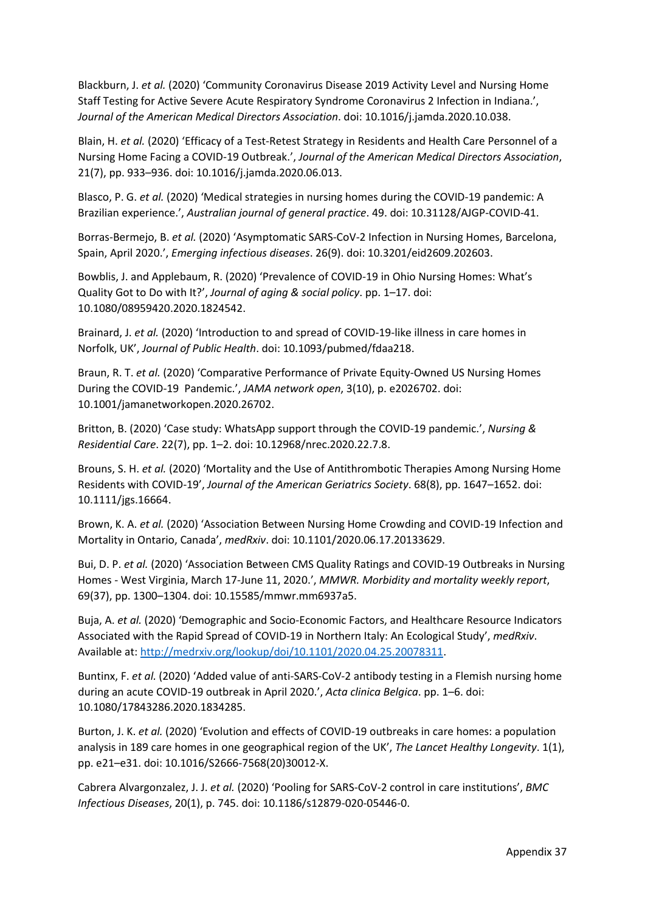Blackburn, J. *et al.* (2020) 'Community Coronavirus Disease 2019 Activity Level and Nursing Home Staff Testing for Active Severe Acute Respiratory Syndrome Coronavirus 2 Infection in Indiana.', *Journal of the American Medical Directors Association*. doi: 10.1016/j.jamda.2020.10.038.

Blain, H. *et al.* (2020) 'Efficacy of a Test-Retest Strategy in Residents and Health Care Personnel of a Nursing Home Facing a COVID-19 Outbreak.', *Journal of the American Medical Directors Association*, 21(7), pp. 933–936. doi: 10.1016/j.jamda.2020.06.013.

Blasco, P. G. *et al.* (2020) 'Medical strategies in nursing homes during the COVID-19 pandemic: A Brazilian experience.', *Australian journal of general practice*. 49. doi: 10.31128/AJGP-COVID-41.

Borras-Bermejo, B. *et al.* (2020) 'Asymptomatic SARS-CoV-2 Infection in Nursing Homes, Barcelona, Spain, April 2020.', *Emerging infectious diseases*. 26(9). doi: 10.3201/eid2609.202603.

Bowblis, J. and Applebaum, R. (2020) 'Prevalence of COVID-19 in Ohio Nursing Homes: What's Quality Got to Do with It?', *Journal of aging & social policy*. pp. 1–17. doi: 10.1080/08959420.2020.1824542.

Brainard, J. *et al.* (2020) 'Introduction to and spread of COVID-19-like illness in care homes in Norfolk, UK', *Journal of Public Health*. doi: 10.1093/pubmed/fdaa218.

Braun, R. T. *et al.* (2020) 'Comparative Performance of Private Equity-Owned US Nursing Homes During the COVID-19 Pandemic.', *JAMA network open*, 3(10), p. e2026702. doi: 10.1001/jamanetworkopen.2020.26702.

Britton, B. (2020) 'Case study: WhatsApp support through the COVID-19 pandemic.', *Nursing & Residential Care*. 22(7), pp. 1–2. doi: 10.12968/nrec.2020.22.7.8.

Brouns, S. H. *et al.* (2020) 'Mortality and the Use of Antithrombotic Therapies Among Nursing Home Residents with COVID-19', *Journal of the American Geriatrics Society*. 68(8), pp. 1647–1652. doi: 10.1111/jgs.16664.

Brown, K. A. *et al.* (2020) 'Association Between Nursing Home Crowding and COVID-19 Infection and Mortality in Ontario, Canada', *medRxiv*. doi: 10.1101/2020.06.17.20133629.

Bui, D. P. *et al.* (2020) 'Association Between CMS Quality Ratings and COVID-19 Outbreaks in Nursing Homes - West Virginia, March 17-June 11, 2020.', *MMWR. Morbidity and mortality weekly report*, 69(37), pp. 1300–1304. doi: 10.15585/mmwr.mm6937a5.

Buja, A. *et al.* (2020) 'Demographic and Socio-Economic Factors, and Healthcare Resource Indicators Associated with the Rapid Spread of COVID-19 in Northern Italy: An Ecological Study', *medRxiv*. Available at[: http://medrxiv.org/lookup/doi/10.1101/2020.04.25.20078311.](http://medrxiv.org/lookup/doi/10.1101/2020.04.25.20078311)

Buntinx, F. *et al.* (2020) 'Added value of anti-SARS-CoV-2 antibody testing in a Flemish nursing home during an acute COVID-19 outbreak in April 2020.', *Acta clinica Belgica*. pp. 1–6. doi: 10.1080/17843286.2020.1834285.

Burton, J. K. *et al.* (2020) 'Evolution and effects of COVID-19 outbreaks in care homes: a population analysis in 189 care homes in one geographical region of the UK', *The Lancet Healthy Longevity*. 1(1), pp. e21–e31. doi: 10.1016/S2666-7568(20)30012-X.

Cabrera Alvargonzalez, J. J. *et al.* (2020) 'Pooling for SARS-CoV-2 control in care institutions', *BMC Infectious Diseases*, 20(1), p. 745. doi: 10.1186/s12879-020-05446-0.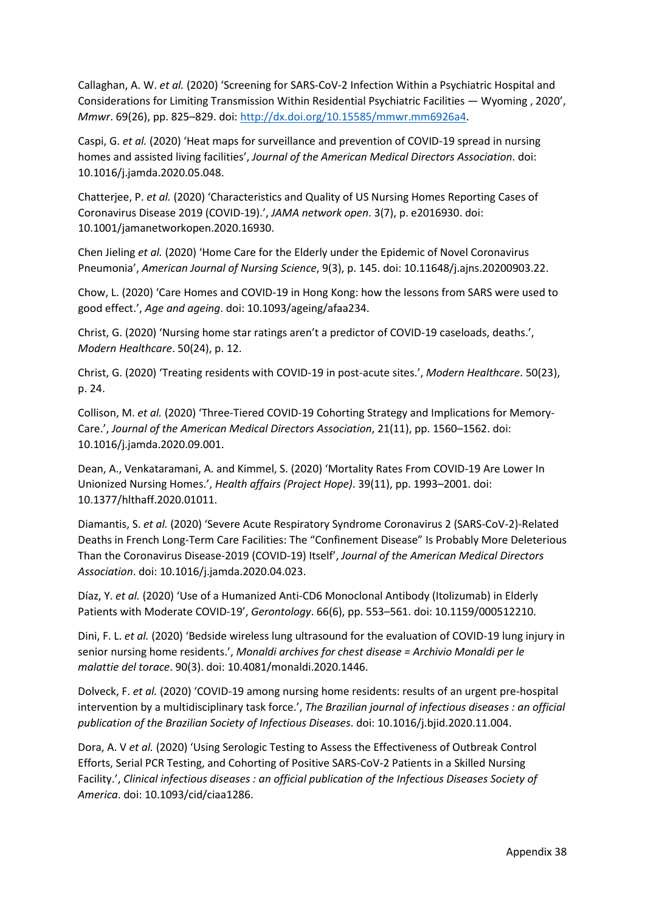Callaghan, A. W. *et al.* (2020) 'Screening for SARS-CoV-2 Infection Within a Psychiatric Hospital and Considerations for Limiting Transmission Within Residential Psychiatric Facilities — Wyoming , 2020', *Mmwr*. 69(26), pp. 825–829. doi: [http://dx.doi.org/10.15585/mmwr.mm6926a4.](http://dx.doi.org/10.15585/mmwr.mm6926a4)

Caspi, G. *et al.* (2020) 'Heat maps for surveillance and prevention of COVID-19 spread in nursing homes and assisted living facilities', *Journal of the American Medical Directors Association*. doi: 10.1016/j.jamda.2020.05.048.

Chatterjee, P. *et al.* (2020) 'Characteristics and Quality of US Nursing Homes Reporting Cases of Coronavirus Disease 2019 (COVID-19).', *JAMA network open*. 3(7), p. e2016930. doi: 10.1001/jamanetworkopen.2020.16930.

Chen Jieling *et al.* (2020) 'Home Care for the Elderly under the Epidemic of Novel Coronavirus Pneumonia', *American Journal of Nursing Science*, 9(3), p. 145. doi: 10.11648/j.ajns.20200903.22.

Chow, L. (2020) 'Care Homes and COVID-19 in Hong Kong: how the lessons from SARS were used to good effect.', *Age and ageing*. doi: 10.1093/ageing/afaa234.

Christ, G. (2020) 'Nursing home star ratings aren't a predictor of COVID-19 caseloads, deaths.', *Modern Healthcare*. 50(24), p. 12.

Christ, G. (2020) 'Treating residents with COVID-19 in post-acute sites.', *Modern Healthcare*. 50(23), p. 24.

Collison, M. *et al.* (2020) 'Three-Tiered COVID-19 Cohorting Strategy and Implications for Memory-Care.', *Journal of the American Medical Directors Association*, 21(11), pp. 1560–1562. doi: 10.1016/j.jamda.2020.09.001.

Dean, A., Venkataramani, A. and Kimmel, S. (2020) 'Mortality Rates From COVID-19 Are Lower In Unionized Nursing Homes.', *Health affairs (Project Hope)*. 39(11), pp. 1993–2001. doi: 10.1377/hlthaff.2020.01011.

Diamantis, S. *et al.* (2020) 'Severe Acute Respiratory Syndrome Coronavirus 2 (SARS-CoV-2)-Related Deaths in French Long-Term Care Facilities: The "Confinement Disease" Is Probably More Deleterious Than the Coronavirus Disease-2019 (COVID-19) Itself', *Journal of the American Medical Directors Association*. doi: 10.1016/j.jamda.2020.04.023.

Díaz, Y. *et al.* (2020) 'Use of a Humanized Anti-CD6 Monoclonal Antibody (Itolizumab) in Elderly Patients with Moderate COVID-19', *Gerontology*. 66(6), pp. 553–561. doi: 10.1159/000512210.

Dini, F. L. *et al.* (2020) 'Bedside wireless lung ultrasound for the evaluation of COVID-19 lung injury in senior nursing home residents.', *Monaldi archives for chest disease = Archivio Monaldi per le malattie del torace*. 90(3). doi: 10.4081/monaldi.2020.1446.

Dolveck, F. *et al.* (2020) 'COVID-19 among nursing home residents: results of an urgent pre-hospital intervention by a multidisciplinary task force.', *The Brazilian journal of infectious diseases : an official publication of the Brazilian Society of Infectious Diseases*. doi: 10.1016/j.bjid.2020.11.004.

Dora, A. V *et al.* (2020) 'Using Serologic Testing to Assess the Effectiveness of Outbreak Control Efforts, Serial PCR Testing, and Cohorting of Positive SARS-CoV-2 Patients in a Skilled Nursing Facility.', *Clinical infectious diseases : an official publication of the Infectious Diseases Society of America*. doi: 10.1093/cid/ciaa1286.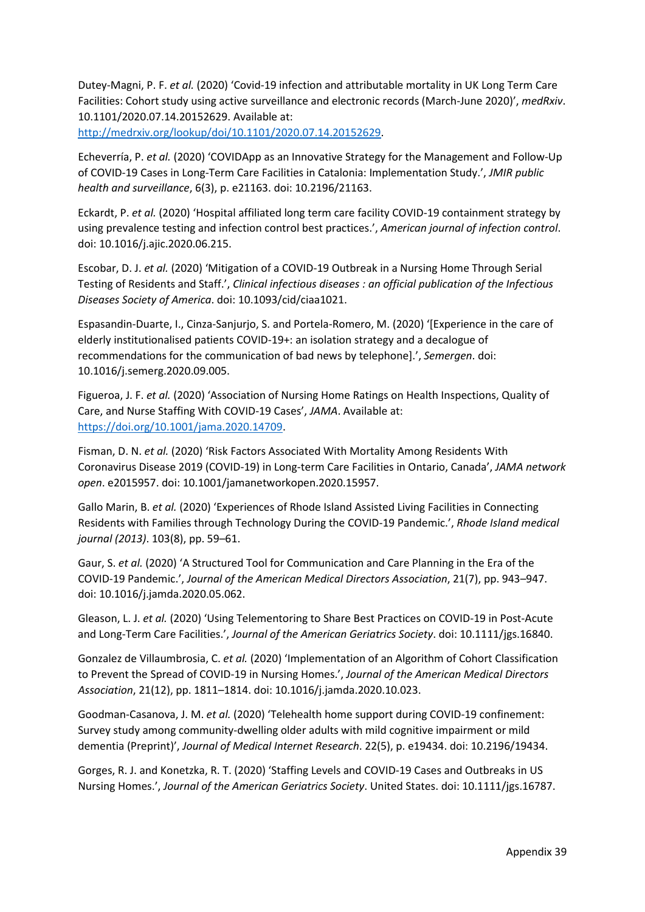Dutey-Magni, P. F. *et al.* (2020) 'Covid-19 infection and attributable mortality in UK Long Term Care Facilities: Cohort study using active surveillance and electronic records (March-June 2020)', *medRxiv*. 10.1101/2020.07.14.20152629. Available at:

[http://medrxiv.org/lookup/doi/10.1101/2020.07.14.20152629.](http://medrxiv.org/lookup/doi/10.1101/2020.07.14.20152629)

Echeverría, P. *et al.* (2020) 'COVIDApp as an Innovative Strategy for the Management and Follow-Up of COVID-19 Cases in Long-Term Care Facilities in Catalonia: Implementation Study.', *JMIR public health and surveillance*, 6(3), p. e21163. doi: 10.2196/21163.

Eckardt, P. *et al.* (2020) 'Hospital affiliated long term care facility COVID-19 containment strategy by using prevalence testing and infection control best practices.', *American journal of infection control*. doi: 10.1016/j.ajic.2020.06.215.

Escobar, D. J. *et al.* (2020) 'Mitigation of a COVID-19 Outbreak in a Nursing Home Through Serial Testing of Residents and Staff.', *Clinical infectious diseases : an official publication of the Infectious Diseases Society of America*. doi: 10.1093/cid/ciaa1021.

Espasandin-Duarte, I., Cinza-Sanjurjo, S. and Portela-Romero, M. (2020) '[Experience in the care of elderly institutionalised patients COVID-19+: an isolation strategy and a decalogue of recommendations for the communication of bad news by telephone].', *Semergen*. doi: 10.1016/j.semerg.2020.09.005.

Figueroa, J. F. *et al.* (2020) 'Association of Nursing Home Ratings on Health Inspections, Quality of Care, and Nurse Staffing With COVID-19 Cases', *JAMA*. Available at: [https://doi.org/10.1001/jama.2020.14709.](https://doi.org/10.1001/jama.2020.14709)

Fisman, D. N. *et al.* (2020) 'Risk Factors Associated With Mortality Among Residents With Coronavirus Disease 2019 (COVID-19) in Long-term Care Facilities in Ontario, Canada', *JAMA network open*. e2015957. doi: 10.1001/jamanetworkopen.2020.15957.

Gallo Marin, B. *et al.* (2020) 'Experiences of Rhode Island Assisted Living Facilities in Connecting Residents with Families through Technology During the COVID-19 Pandemic.', *Rhode Island medical journal (2013)*. 103(8), pp. 59–61.

Gaur, S. *et al.* (2020) 'A Structured Tool for Communication and Care Planning in the Era of the COVID-19 Pandemic.', *Journal of the American Medical Directors Association*, 21(7), pp. 943–947. doi: 10.1016/j.jamda.2020.05.062.

Gleason, L. J. *et al.* (2020) 'Using Telementoring to Share Best Practices on COVID-19 in Post-Acute and Long-Term Care Facilities.', *Journal of the American Geriatrics Society*. doi: 10.1111/jgs.16840.

Gonzalez de Villaumbrosia, C. *et al.* (2020) 'Implementation of an Algorithm of Cohort Classification to Prevent the Spread of COVID-19 in Nursing Homes.', *Journal of the American Medical Directors Association*, 21(12), pp. 1811–1814. doi: 10.1016/j.jamda.2020.10.023.

Goodman-Casanova, J. M. *et al.* (2020) 'Telehealth home support during COVID-19 confinement: Survey study among community-dwelling older adults with mild cognitive impairment or mild dementia (Preprint)', *Journal of Medical Internet Research*. 22(5), p. e19434. doi: 10.2196/19434.

Gorges, R. J. and Konetzka, R. T. (2020) 'Staffing Levels and COVID-19 Cases and Outbreaks in US Nursing Homes.', *Journal of the American Geriatrics Society*. United States. doi: 10.1111/jgs.16787.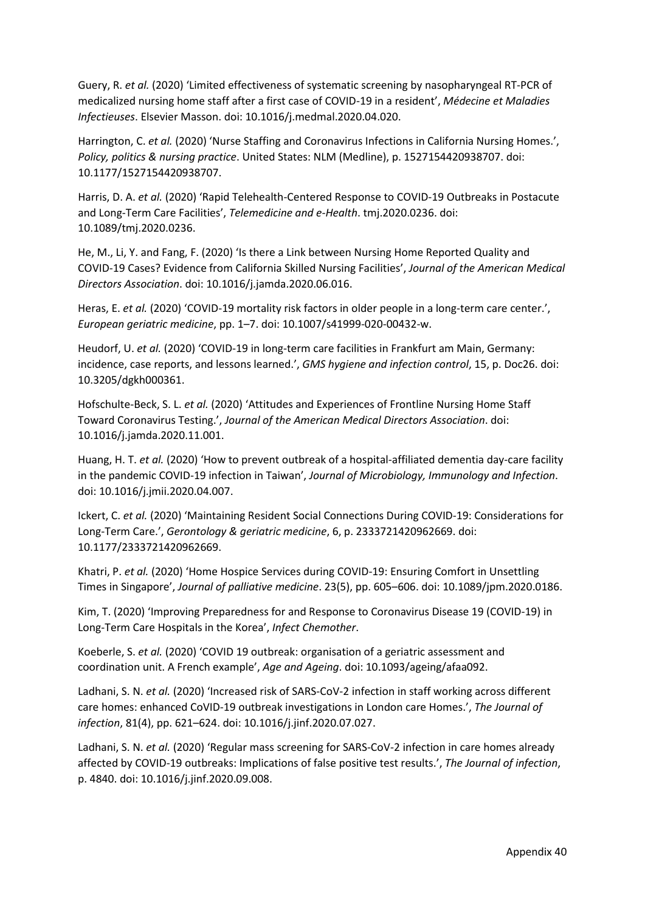Guery, R. *et al.* (2020) 'Limited effectiveness of systematic screening by nasopharyngeal RT-PCR of medicalized nursing home staff after a first case of COVID-19 in a resident', *Médecine et Maladies Infectieuses*. Elsevier Masson. doi: 10.1016/j.medmal.2020.04.020.

Harrington, C. *et al.* (2020) 'Nurse Staffing and Coronavirus Infections in California Nursing Homes.', *Policy, politics & nursing practice*. United States: NLM (Medline), p. 1527154420938707. doi: 10.1177/1527154420938707.

Harris, D. A. *et al.* (2020) 'Rapid Telehealth-Centered Response to COVID-19 Outbreaks in Postacute and Long-Term Care Facilities', *Telemedicine and e-Health*. tmj.2020.0236. doi: 10.1089/tmj.2020.0236.

He, M., Li, Y. and Fang, F. (2020) 'Is there a Link between Nursing Home Reported Quality and COVID-19 Cases? Evidence from California Skilled Nursing Facilities', *Journal of the American Medical Directors Association*. doi: 10.1016/j.jamda.2020.06.016.

Heras, E. *et al.* (2020) 'COVID-19 mortality risk factors in older people in a long-term care center.', *European geriatric medicine*, pp. 1–7. doi: 10.1007/s41999-020-00432-w.

Heudorf, U. *et al.* (2020) 'COVID-19 in long-term care facilities in Frankfurt am Main, Germany: incidence, case reports, and lessons learned.', *GMS hygiene and infection control*, 15, p. Doc26. doi: 10.3205/dgkh000361.

Hofschulte-Beck, S. L. *et al.* (2020) 'Attitudes and Experiences of Frontline Nursing Home Staff Toward Coronavirus Testing.', *Journal of the American Medical Directors Association*. doi: 10.1016/j.jamda.2020.11.001.

Huang, H. T. *et al.* (2020) 'How to prevent outbreak of a hospital-affiliated dementia day-care facility in the pandemic COVID-19 infection in Taiwan', *Journal of Microbiology, Immunology and Infection*. doi: 10.1016/j.jmii.2020.04.007.

Ickert, C. *et al.* (2020) 'Maintaining Resident Social Connections During COVID-19: Considerations for Long-Term Care.', *Gerontology & geriatric medicine*, 6, p. 2333721420962669. doi: 10.1177/2333721420962669.

Khatri, P. *et al.* (2020) 'Home Hospice Services during COVID-19: Ensuring Comfort in Unsettling Times in Singapore', *Journal of palliative medicine*. 23(5), pp. 605–606. doi: 10.1089/jpm.2020.0186.

Kim, T. (2020) 'Improving Preparedness for and Response to Coronavirus Disease 19 (COVID-19) in Long-Term Care Hospitals in the Korea', *Infect Chemother*.

Koeberle, S. *et al.* (2020) 'COVID 19 outbreak: organisation of a geriatric assessment and coordination unit. A French example', *Age and Ageing*. doi: 10.1093/ageing/afaa092.

Ladhani, S. N. *et al.* (2020) 'Increased risk of SARS-CoV-2 infection in staff working across different care homes: enhanced CoVID-19 outbreak investigations in London care Homes.', *The Journal of infection*, 81(4), pp. 621–624. doi: 10.1016/j.jinf.2020.07.027.

Ladhani, S. N. *et al.* (2020) 'Regular mass screening for SARS-CoV-2 infection in care homes already affected by COVID-19 outbreaks: Implications of false positive test results.', *The Journal of infection*, p. 4840. doi: 10.1016/j.jinf.2020.09.008.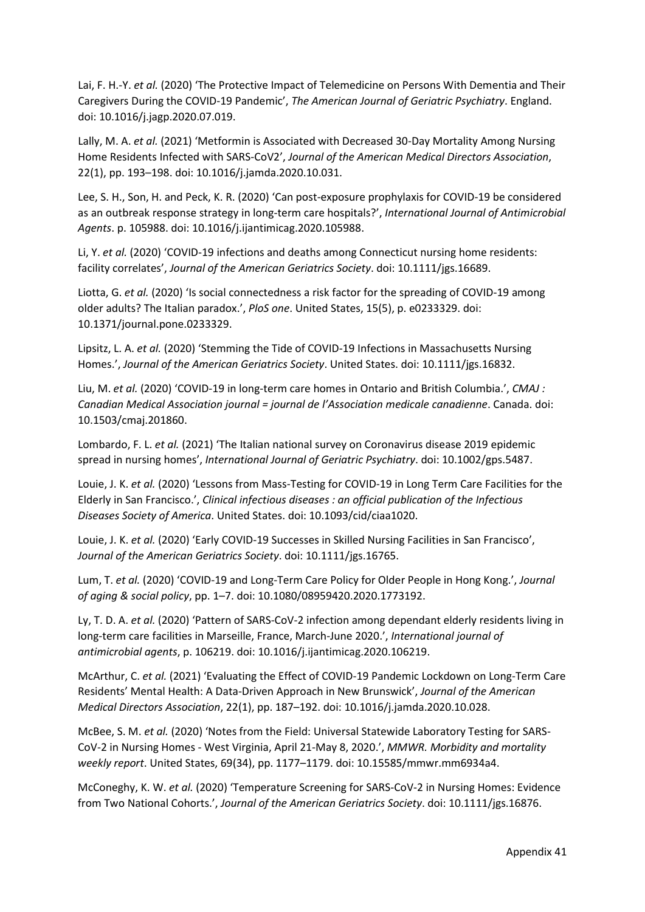Lai, F. H.-Y. *et al.* (2020) 'The Protective Impact of Telemedicine on Persons With Dementia and Their Caregivers During the COVID-19 Pandemic', *The American Journal of Geriatric Psychiatry*. England. doi: 10.1016/j.jagp.2020.07.019.

Lally, M. A. *et al.* (2021) 'Metformin is Associated with Decreased 30-Day Mortality Among Nursing Home Residents Infected with SARS-CoV2', *Journal of the American Medical Directors Association*, 22(1), pp. 193–198. doi: 10.1016/j.jamda.2020.10.031.

Lee, S. H., Son, H. and Peck, K. R. (2020) 'Can post-exposure prophylaxis for COVID-19 be considered as an outbreak response strategy in long-term care hospitals?', *International Journal of Antimicrobial Agents*. p. 105988. doi: 10.1016/j.ijantimicag.2020.105988.

Li, Y. *et al.* (2020) 'COVID-19 infections and deaths among Connecticut nursing home residents: facility correlates', *Journal of the American Geriatrics Society*. doi: 10.1111/jgs.16689.

Liotta, G. *et al.* (2020) 'Is social connectedness a risk factor for the spreading of COVID-19 among older adults? The Italian paradox.', *PloS one*. United States, 15(5), p. e0233329. doi: 10.1371/journal.pone.0233329.

Lipsitz, L. A. *et al.* (2020) 'Stemming the Tide of COVID-19 Infections in Massachusetts Nursing Homes.', *Journal of the American Geriatrics Society*. United States. doi: 10.1111/jgs.16832.

Liu, M. *et al.* (2020) 'COVID-19 in long-term care homes in Ontario and British Columbia.', *CMAJ : Canadian Medical Association journal = journal de l'Association medicale canadienne*. Canada. doi: 10.1503/cmaj.201860.

Lombardo, F. L. *et al.* (2021) 'The Italian national survey on Coronavirus disease 2019 epidemic spread in nursing homes', *International Journal of Geriatric Psychiatry*. doi: 10.1002/gps.5487.

Louie, J. K. *et al.* (2020) 'Lessons from Mass-Testing for COVID-19 in Long Term Care Facilities for the Elderly in San Francisco.', *Clinical infectious diseases : an official publication of the Infectious Diseases Society of America*. United States. doi: 10.1093/cid/ciaa1020.

Louie, J. K. *et al.* (2020) 'Early COVID-19 Successes in Skilled Nursing Facilities in San Francisco', *Journal of the American Geriatrics Society*. doi: 10.1111/jgs.16765.

Lum, T. *et al.* (2020) 'COVID-19 and Long-Term Care Policy for Older People in Hong Kong.', *Journal of aging & social policy*, pp. 1–7. doi: 10.1080/08959420.2020.1773192.

Ly, T. D. A. *et al.* (2020) 'Pattern of SARS-CoV-2 infection among dependant elderly residents living in long-term care facilities in Marseille, France, March-June 2020.', *International journal of antimicrobial agents*, p. 106219. doi: 10.1016/j.ijantimicag.2020.106219.

McArthur, C. *et al.* (2021) 'Evaluating the Effect of COVID-19 Pandemic Lockdown on Long-Term Care Residents' Mental Health: A Data-Driven Approach in New Brunswick', *Journal of the American Medical Directors Association*, 22(1), pp. 187–192. doi: 10.1016/j.jamda.2020.10.028.

McBee, S. M. *et al.* (2020) 'Notes from the Field: Universal Statewide Laboratory Testing for SARS-CoV-2 in Nursing Homes - West Virginia, April 21-May 8, 2020.', *MMWR. Morbidity and mortality weekly report*. United States, 69(34), pp. 1177–1179. doi: 10.15585/mmwr.mm6934a4.

McConeghy, K. W. *et al.* (2020) 'Temperature Screening for SARS-CoV-2 in Nursing Homes: Evidence from Two National Cohorts.', *Journal of the American Geriatrics Society*. doi: 10.1111/jgs.16876.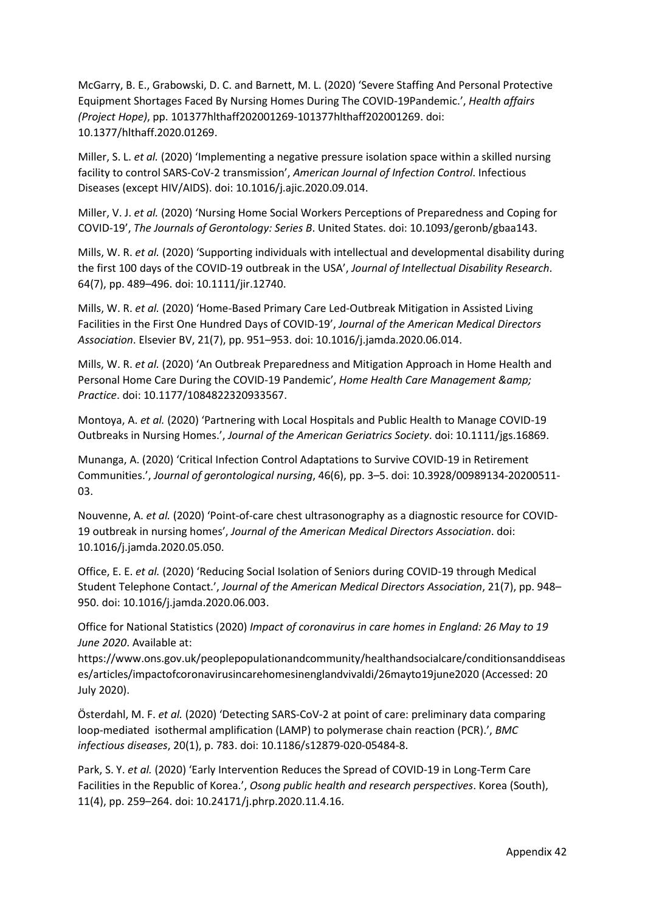McGarry, B. E., Grabowski, D. C. and Barnett, M. L. (2020) 'Severe Staffing And Personal Protective Equipment Shortages Faced By Nursing Homes During The COVID-19Pandemic.', *Health affairs (Project Hope)*, pp. 101377hlthaff202001269-101377hlthaff202001269. doi: 10.1377/hlthaff.2020.01269.

Miller, S. L. *et al.* (2020) 'Implementing a negative pressure isolation space within a skilled nursing facility to control SARS-CoV-2 transmission', *American Journal of Infection Control*. Infectious Diseases (except HIV/AIDS). doi: 10.1016/j.ajic.2020.09.014.

Miller, V. J. *et al.* (2020) 'Nursing Home Social Workers Perceptions of Preparedness and Coping for COVID-19', *The Journals of Gerontology: Series B*. United States. doi: 10.1093/geronb/gbaa143.

Mills, W. R. *et al.* (2020) 'Supporting individuals with intellectual and developmental disability during the first 100 days of the COVID-19 outbreak in the USA', *Journal of Intellectual Disability Research*. 64(7), pp. 489–496. doi: 10.1111/jir.12740.

Mills, W. R. *et al.* (2020) 'Home-Based Primary Care Led-Outbreak Mitigation in Assisted Living Facilities in the First One Hundred Days of COVID-19', *Journal of the American Medical Directors Association*. Elsevier BV, 21(7), pp. 951–953. doi: 10.1016/j.jamda.2020.06.014.

Mills, W. R. *et al.* (2020) 'An Outbreak Preparedness and Mitigation Approach in Home Health and Personal Home Care During the COVID-19 Pandemic', *Home Health Care Management & Practice*. doi: 10.1177/1084822320933567.

Montoya, A. *et al.* (2020) 'Partnering with Local Hospitals and Public Health to Manage COVID-19 Outbreaks in Nursing Homes.', *Journal of the American Geriatrics Society*. doi: 10.1111/jgs.16869.

Munanga, A. (2020) 'Critical Infection Control Adaptations to Survive COVID-19 in Retirement Communities.', *Journal of gerontological nursing*, 46(6), pp. 3–5. doi: 10.3928/00989134-20200511- 03.

Nouvenne, A. *et al.* (2020) 'Point-of-care chest ultrasonography as a diagnostic resource for COVID-19 outbreak in nursing homes', *Journal of the American Medical Directors Association*. doi: 10.1016/j.jamda.2020.05.050.

Office, E. E. *et al.* (2020) 'Reducing Social Isolation of Seniors during COVID-19 through Medical Student Telephone Contact.', *Journal of the American Medical Directors Association*, 21(7), pp. 948– 950. doi: 10.1016/j.jamda.2020.06.003.

Office for National Statistics (2020) *Impact of coronavirus in care homes in England: 26 May to 19 June 2020*. Available at:

https://www.ons.gov.uk/peoplepopulationandcommunity/healthandsocialcare/conditionsanddiseas es/articles/impactofcoronavirusincarehomesinenglandvivaldi/26mayto19june2020 (Accessed: 20 July 2020).

Österdahl, M. F. *et al.* (2020) 'Detecting SARS-CoV-2 at point of care: preliminary data comparing loop-mediated isothermal amplification (LAMP) to polymerase chain reaction (PCR).', *BMC infectious diseases*, 20(1), p. 783. doi: 10.1186/s12879-020-05484-8.

Park, S. Y. *et al.* (2020) 'Early Intervention Reduces the Spread of COVID-19 in Long-Term Care Facilities in the Republic of Korea.', *Osong public health and research perspectives*. Korea (South), 11(4), pp. 259–264. doi: 10.24171/j.phrp.2020.11.4.16.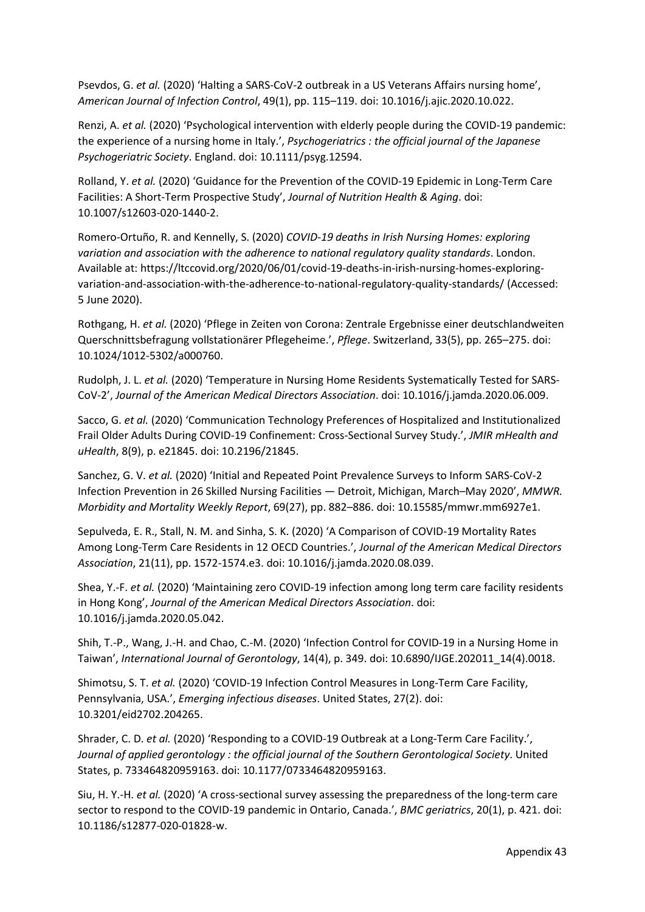Psevdos, G. *et al.* (2020) 'Halting a SARS-CoV-2 outbreak in a US Veterans Affairs nursing home', *American Journal of Infection Control*, 49(1), pp. 115–119. doi: 10.1016/j.ajic.2020.10.022.

Renzi, A. *et al.* (2020) 'Psychological intervention with elderly people during the COVID-19 pandemic: the experience of a nursing home in Italy.', *Psychogeriatrics : the official journal of the Japanese Psychogeriatric Society*. England. doi: 10.1111/psyg.12594.

Rolland, Y. *et al.* (2020) 'Guidance for the Prevention of the COVID-19 Epidemic in Long-Term Care Facilities: A Short-Term Prospective Study', *Journal of Nutrition Health & Aging*. doi: 10.1007/s12603-020-1440-2.

Romero-Ortuño, R. and Kennelly, S. (2020) *COVID-19 deaths in Irish Nursing Homes: exploring variation and association with the adherence to national regulatory quality standards*. London. Available at: https://ltccovid.org/2020/06/01/covid-19-deaths-in-irish-nursing-homes-exploringvariation-and-association-with-the-adherence-to-national-regulatory-quality-standards/ (Accessed: 5 June 2020).

Rothgang, H. *et al.* (2020) 'Pflege in Zeiten von Corona: Zentrale Ergebnisse einer deutschlandweiten Querschnittsbefragung vollstationärer Pflegeheime.', *Pflege*. Switzerland, 33(5), pp. 265–275. doi: 10.1024/1012-5302/a000760.

Rudolph, J. L. *et al.* (2020) 'Temperature in Nursing Home Residents Systematically Tested for SARS-CoV-2', *Journal of the American Medical Directors Association*. doi: 10.1016/j.jamda.2020.06.009.

Sacco, G. *et al.* (2020) 'Communication Technology Preferences of Hospitalized and Institutionalized Frail Older Adults During COVID-19 Confinement: Cross-Sectional Survey Study.', *JMIR mHealth and uHealth*, 8(9), p. e21845. doi: 10.2196/21845.

Sanchez, G. V. *et al.* (2020) 'Initial and Repeated Point Prevalence Surveys to Inform SARS-CoV-2 Infection Prevention in 26 Skilled Nursing Facilities — Detroit, Michigan, March–May 2020', *MMWR. Morbidity and Mortality Weekly Report*, 69(27), pp. 882–886. doi: 10.15585/mmwr.mm6927e1.

Sepulveda, E. R., Stall, N. M. and Sinha, S. K. (2020) 'A Comparison of COVID-19 Mortality Rates Among Long-Term Care Residents in 12 OECD Countries.', *Journal of the American Medical Directors Association*, 21(11), pp. 1572-1574.e3. doi: 10.1016/j.jamda.2020.08.039.

Shea, Y.-F. *et al.* (2020) 'Maintaining zero COVID-19 infection among long term care facility residents in Hong Kong', *Journal of the American Medical Directors Association*. doi: 10.1016/j.jamda.2020.05.042.

Shih, T.-P., Wang, J.-H. and Chao, C.-M. (2020) 'Infection Control for COVID-19 in a Nursing Home in Taiwan', *International Journal of Gerontology*, 14(4), p. 349. doi: 10.6890/IJGE.202011\_14(4).0018.

Shimotsu, S. T. *et al.* (2020) 'COVID-19 Infection Control Measures in Long-Term Care Facility, Pennsylvania, USA.', *Emerging infectious diseases*. United States, 27(2). doi: 10.3201/eid2702.204265.

Shrader, C. D. *et al.* (2020) 'Responding to a COVID-19 Outbreak at a Long-Term Care Facility.', *Journal of applied gerontology : the official journal of the Southern Gerontological Society*. United States, p. 733464820959163. doi: 10.1177/0733464820959163.

Siu, H. Y.-H. *et al.* (2020) 'A cross-sectional survey assessing the preparedness of the long-term care sector to respond to the COVID-19 pandemic in Ontario, Canada.', *BMC geriatrics*, 20(1), p. 421. doi: 10.1186/s12877-020-01828-w.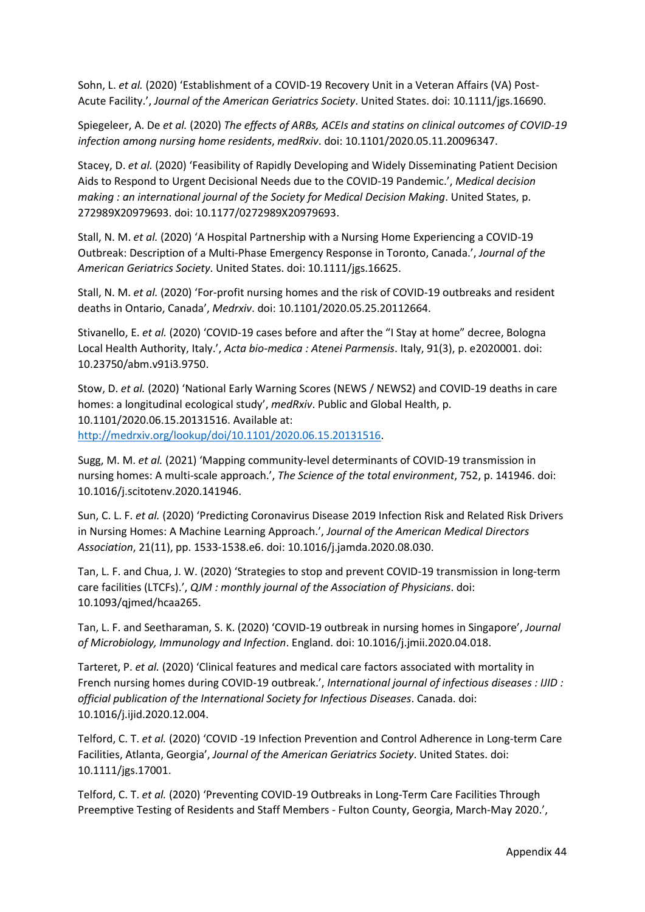Sohn, L. *et al.* (2020) 'Establishment of a COVID-19 Recovery Unit in a Veteran Affairs (VA) Post-Acute Facility.', *Journal of the American Geriatrics Society*. United States. doi: 10.1111/jgs.16690.

Spiegeleer, A. De *et al.* (2020) *The effects of ARBs, ACEIs and statins on clinical outcomes of COVID-19 infection among nursing home residents*, *medRxiv*. doi: 10.1101/2020.05.11.20096347.

Stacey, D. *et al.* (2020) 'Feasibility of Rapidly Developing and Widely Disseminating Patient Decision Aids to Respond to Urgent Decisional Needs due to the COVID-19 Pandemic.', *Medical decision making : an international journal of the Society for Medical Decision Making*. United States, p. 272989X20979693. doi: 10.1177/0272989X20979693.

Stall, N. M. *et al.* (2020) 'A Hospital Partnership with a Nursing Home Experiencing a COVID-19 Outbreak: Description of a Multi-Phase Emergency Response in Toronto, Canada.', *Journal of the American Geriatrics Society*. United States. doi: 10.1111/jgs.16625.

Stall, N. M. *et al.* (2020) 'For-profit nursing homes and the risk of COVID-19 outbreaks and resident deaths in Ontario, Canada', *Medrxiv*. doi: 10.1101/2020.05.25.20112664.

Stivanello, E. *et al.* (2020) 'COVID-19 cases before and after the "I Stay at home" decree, Bologna Local Health Authority, Italy.', *Acta bio-medica : Atenei Parmensis*. Italy, 91(3), p. e2020001. doi: 10.23750/abm.v91i3.9750.

Stow, D. *et al.* (2020) 'National Early Warning Scores (NEWS / NEWS2) and COVID-19 deaths in care homes: a longitudinal ecological study', *medRxiv*. Public and Global Health, p. 10.1101/2020.06.15.20131516. Available at: [http://medrxiv.org/lookup/doi/10.1101/2020.06.15.20131516.](http://medrxiv.org/lookup/doi/10.1101/2020.06.15.20131516)

Sugg, M. M. *et al.* (2021) 'Mapping community-level determinants of COVID-19 transmission in nursing homes: A multi-scale approach.', *The Science of the total environment*, 752, p. 141946. doi: 10.1016/j.scitotenv.2020.141946.

Sun, C. L. F. *et al.* (2020) 'Predicting Coronavirus Disease 2019 Infection Risk and Related Risk Drivers in Nursing Homes: A Machine Learning Approach.', *Journal of the American Medical Directors Association*, 21(11), pp. 1533-1538.e6. doi: 10.1016/j.jamda.2020.08.030.

Tan, L. F. and Chua, J. W. (2020) 'Strategies to stop and prevent COVID-19 transmission in long-term care facilities (LTCFs).', *QJM : monthly journal of the Association of Physicians*. doi: 10.1093/qjmed/hcaa265.

Tan, L. F. and Seetharaman, S. K. (2020) 'COVID-19 outbreak in nursing homes in Singapore', *Journal of Microbiology, Immunology and Infection*. England. doi: 10.1016/j.jmii.2020.04.018.

Tarteret, P. *et al.* (2020) 'Clinical features and medical care factors associated with mortality in French nursing homes during COVID-19 outbreak.', *International journal of infectious diseases : IJID : official publication of the International Society for Infectious Diseases*. Canada. doi: 10.1016/j.ijid.2020.12.004.

Telford, C. T. *et al.* (2020) 'COVID -19 Infection Prevention and Control Adherence in Long-term Care Facilities, Atlanta, Georgia', *Journal of the American Geriatrics Society*. United States. doi: 10.1111/jgs.17001.

Telford, C. T. *et al.* (2020) 'Preventing COVID-19 Outbreaks in Long-Term Care Facilities Through Preemptive Testing of Residents and Staff Members - Fulton County, Georgia, March-May 2020.',